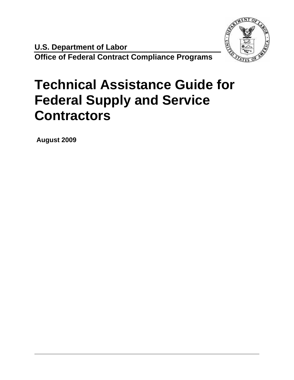

**U.S. Department of Labor Office of Federal Contract Compliance Programs** 

# **Technical Assistance Guide for Federal Supply and Service Contractors**

 **August 2009**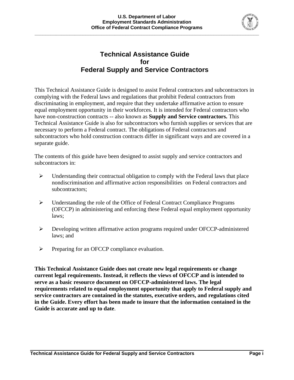

## **Technical Assistance Guide for Federal Supply and Service Contractors**

This Technical Assistance Guide is designed to assist Federal contractors and subcontractors in complying with the Federal laws and regulations that prohibit Federal contractors from discriminating in employment, and require that they undertake affirmative action to ensure equal employment opportunity in their workforces. It is intended for Federal contractors who have non-construction contracts -- also known as **Supply and Service contractors.** This Technical Assistance Guide is also for subcontractors who furnish supplies or services that are necessary to perform a Federal contract. The obligations of Federal contractors and subcontractors who hold construction contracts differ in significant ways and are covered in a separate guide.

The contents of this guide have been designed to assist supply and service contractors and subcontractors in:

- $\triangleright$  Understanding their contractual obligation to comply with the Federal laws that place nondiscrimination and affirmative action responsibilities on Federal contractors and subcontractors;
- ¾ Understanding the role of the Office of Federal Contract Compliance Programs (OFCCP) in administering and enforcing these Federal equal employment opportunity laws;
- ¾ Developing written affirmative action programs required under OFCCP-administered laws; and
- ¾ Preparing for an OFCCP compliance evaluation.

**This Technical Assistance Guide does not create new legal requirements or change current legal requirements. Instead, it reflects the views of OFCCP and is intended to serve as a basic resource document on OFCCP-administered laws. The legal requirements related to equal employment opportunity that apply to Federal supply and service contractors are contained in the statutes, executive orders, and regulations cited in the Guide. Every effort has been made to insure that the information contained in the Guide is accurate and up to date**.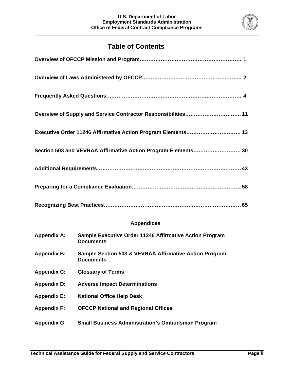**\_\_\_\_\_\_\_\_\_\_\_\_\_\_\_\_\_\_\_\_\_\_\_\_\_\_\_\_\_\_\_\_\_\_\_\_\_\_\_\_\_\_\_\_\_\_\_\_\_\_\_\_\_\_\_\_\_\_\_\_\_\_\_\_\_\_\_\_\_\_\_\_\_\_\_\_\_\_\_\_\_\_\_\_** 



## **Table of Contents**

| Overview of Supply and Service Contractor Responsibilities 11 |  |
|---------------------------------------------------------------|--|
| Executive Order 11246 Affirmative Action Program Elements 13  |  |
| Section 503 and VEVRAA Affirmative Action Program Elements 30 |  |
|                                                               |  |
|                                                               |  |
|                                                               |  |

#### **Appendices**

| <b>Appendix A:</b> | Sample Executive Order 11246 Affirmative Action Program<br><b>Documents</b> |
|--------------------|-----------------------------------------------------------------------------|
| <b>Appendix B:</b> | Sample Section 503 & VEVRAA Affirmative Action Program<br><b>Documents</b>  |
| <b>Appendix C:</b> | <b>Glossary of Terms</b>                                                    |
| <b>Appendix D:</b> | <b>Adverse Impact Determinations</b>                                        |
| <b>Appendix E:</b> | <b>National Office Help Desk</b>                                            |
| <b>Appendix F:</b> | <b>OFCCP National and Regional Offices</b>                                  |
| <b>Appendix G:</b> | <b>Small Business Administration's Ombudsman Program</b>                    |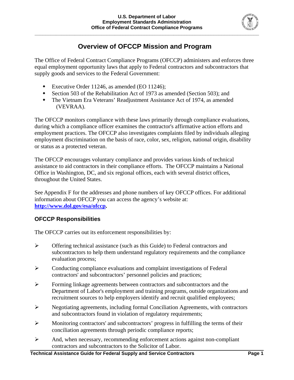

## **Overview of OFCCP Mission and Program**

The Office of Federal Contract Compliance Programs (OFCCP) administers and enforces three equal employment opportunity laws that apply to Federal contractors and subcontractors that supply goods and services to the Federal Government:

- Executive Order 11246, as amended (EO 11246);
- Section 503 of the Rehabilitation Act of 1973 as amended (Section 503); and
- The Vietnam Era Veterans' Readjustment Assistance Act of 1974, as amended (VEVRAA).

The OFCCP monitors compliance with these laws primarily through compliance evaluations, during which a compliance officer examines the contractor's affirmative action efforts and employment practices. The OFCCP also investigates complaints filed by individuals alleging employment discrimination on the basis of race, color, sex, religion, national origin, disability or status as a protected veteran.

The OFCCP encourages voluntary compliance and provides various kinds of technical assistance to aid contractors in their compliance efforts. The OFCCP maintains a National Office in Washington, DC, and six regional offices, each with several district offices, throughout the United States.

See Appendix F for the addresses and phone numbers of key OFCCP offices. For additional information about OFCCP you can access the agency's website at: **[http://www.dol.gov/esa/ofccp.](http://www.dol.gov/esa/ofccp)** 

#### **OFCCP Responsibilities**

The OFCCP carries out its enforcement responsibilities by:

- ¾ Offering technical assistance (such as this Guide) to Federal contractors and subcontractors to help them understand regulatory requirements and the compliance evaluation process;
- ¾ Conducting compliance evaluations and complaint investigations of Federal contractors' and subcontractors' personnel policies and practices;
- ¾ Forming linkage agreements between contractors and subcontractors and the Department of Labor's employment and training programs, outside organizations and recruitment sources to help employers identify and recruit qualified employees;
- ¾ Negotiating agreements, including formal Conciliation Agreements, with contractors and subcontractors found in violation of regulatory requirements;
- ¾ Monitoring contractors' and subcontractors' progress in fulfilling the terms of their conciliation agreements through periodic compliance reports;
- $\triangleright$  And, when necessary, recommending enforcement actions against non-compliant contractors and subcontractors to the Solicitor of Labor.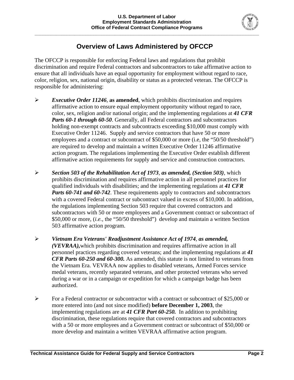

## **Overview of Laws Administered by OFCCP**

The OFCCP is responsible for enforcing Federal laws and regulations that prohibit discrimination and require Federal contractors and subcontractors to take affirmative action to ensure that all individuals have an equal opportunity for employment without regard to race, color, religion, sex, national origin, disability or status as a protected veteran. The OFCCP is responsible for administering:

- ¾ *Executive Order 11246*, **as amended**, which prohibits discrimination and requires affirmative action to ensure equal employment opportunity without regard to race, color, sex, religion and/or national origin; and the implementing regulations at *41 CFR Parts 60-1 through 60-50*. Generally, all Federal contractors and subcontractors holding non-exempt contracts and subcontracts exceeding \$10,000 must comply with Executive Order 11246. Supply and service contractors that have 50 or more employees and a contract or subcontract of \$50,000 or more (i.e, the "50/50 threshold") are required to develop and maintain a written Executive Order 11246 affirmative action program. The regulations implementing the Executive Order establish different affirmative action requirements for supply and service and construction contractors.
- ¾ *Section 503 of the Rehabilitation Act of 1973*, *as amended, (Section 503)*, which prohibits discrimination and requires affirmative action in all personnel practices for qualified individuals with disabilities; and the implementing regulations at *41 CFR Parts 60-741 and 60-742.* These requirements apply to contractors and subcontractors with a covered Federal contract or subcontract valued in excess of \$10,000. In addition, the regulations implementing Section 503 require that covered contractors and subcontractors with 50 or more employees and a Government contract or subcontract of \$50,000 or more, (*i.e.,* the "50/50 threshold") develop and maintain a written Section 503 affirmative action program.
- ¾ *Vietnam Era Veterans' Readjustment Assistance Act of 1974*, *as amended, (VEVRAA),*which prohibits discrimination and requires affirmative action in all personnel practices regarding covered veterans; and the implementing regulations at *41 CFR Parts 60-250 and 60-300.* As amended, this statute is not limited to veterans from the Vietnam Era. VEVRAA now applies to disabled veterans, Armed Forces service medal veterans, recently separated veterans, and other protected veterans who served during a war or in a campaign or expedition for which a campaign badge has been authorized.
- ¾ For a Federal contractor or subcontractor with a contract or subcontract of \$25,000 or more entered into (and not since modified) **before December 1, 2003**, the implementing regulations are at *41 CFR Part 60-250.* In addition to prohibiting discrimination, these regulations require that covered contractors and subcontractors with a 50 or more employees and a Government contract or subcontract of \$50,000 or more develop and maintain a written VEVRAA affirmative action program.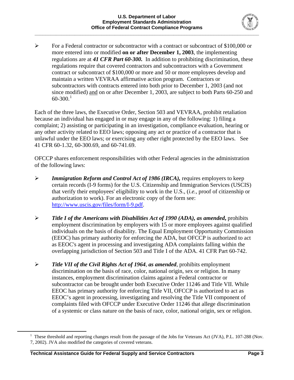

 $\triangleright$  For a Federal contractor or subcontractor with a contract or subcontract of \$100,000 or more entered into or modified **on or after December 1, 2003**, the implementing regulations are at *41 CFR Part 60-300.* In addition to prohibiting discrimination, these regulations require that covered contractors and subcontractors with a Government contract or subcontract of \$100,000 or more and 50 or more employees develop and maintain a written VEVRAA affirmative action program. Contractors or subcontractors with contracts entered into both prior to December 1, 2003 (and not since modified) and on or after December 1, 2003, are subject to both Parts 60-250 and  $60-300.<sup>1</sup>$  $60-300.<sup>1</sup>$  $60-300.<sup>1</sup>$ 

Each of the three laws, the Executive Order, Section 503 and VEVRAA, prohibit retaliation because an individual has engaged in or may engage in any of the following: 1) filing a complaint; 2) assisting or participating in an investigation, compliance evaluation, hearing or any other activity related to EEO laws; opposing any act or practice of a contractor that is unlawful under the EEO laws; or exercising any other right protected by the EEO laws. See 41 CFR 60-1.32, 60-300.69, and 60-741.69.

OFCCP shares enforcement responsibilities with other Federal agencies in the administration of the following laws:

- ¾ *Immigration Reform and Control Act of 1986 (IRCA),* requires employers to keep certain records (I-9 forms) for the U.S. Citizenship and Immigration Services (USCIS) that verify their employees' eligibility to work in the U.S., (*i.e.*, proof of citizenship or authorization to work). For an electronic copy of the form see: [http://www.uscis.gov/files/form/I-9.pdf.](http://www.uscis.gov/files/form/I-9.pdf)
- ¾ *Title I of the Americans with Disabilities Act of 1990 (ADA), as amended***,** prohibits employment discrimination by employers with 15 or more employees against qualified individuals on the basis of disability. The Equal Employment Opportunity Commission (EEOC) has primary authority for enforcing the ADA, but OFCCP is authorized to act as EEOC's agent in processing and investigating ADA complaints falling within the overlapping jurisdiction of Section 503 and Title I of the ADA. 41 CFR Part 60-742.
- ¾ *Title VII of the Civil Rights Act of 1964*, *as amended*, prohibits employment discrimination on the basis of race, color, national origin, sex or religion. In many instances, employment discrimination claims against a Federal contractor or subcontractor can be brought under both Executive Order 11246 and Title VII. While EEOC has primary authority for enforcing Title VII, OFCCP is authorized to act as EEOC's agent in processing, investigating and resolving the Title VII component of complaints filed with OFCCP under Executive Order 11246 that allege discrimination of a systemic or class nature on the basis of race, color, national origin, sex or religion.

<span id="page-5-0"></span> $\frac{1}{1}$ <sup>1</sup> These threshold and reporting changes result from the passage of the Jobs for Veterans Act (JVA), P.L. 107-288 (Nov. 7, 2002). JVA also modified the categories of covered veterans.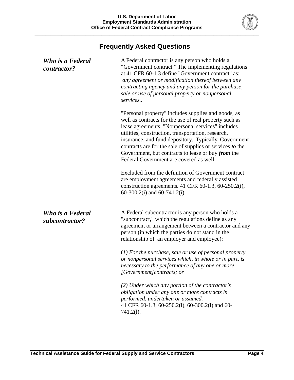

# **Frequently Asked Questions**

| Who is a Federal<br><i>contractor?</i> | A Federal contractor is any person who holds a<br>"Government contract." The implementing regulations<br>at 41 CFR 60-1.3 define "Government contract" as:<br>any agreement or modification thereof between any<br>contracting agency and any person for the purchase,<br>sale or use of personal property or nonpersonal<br>services                                                                                                                  |
|----------------------------------------|--------------------------------------------------------------------------------------------------------------------------------------------------------------------------------------------------------------------------------------------------------------------------------------------------------------------------------------------------------------------------------------------------------------------------------------------------------|
|                                        | "Personal property" includes supplies and goods, as<br>well as contracts for the use of real property such as<br>lease agreements. "Nonpersonal services" includes<br>utilities, construction, transportation, research,<br>insurance, and fund depository. Typically, Government<br>contracts are for the sale of supplies or services to the<br>Government, but contracts to lease or buy <i>from</i> the<br>Federal Government are covered as well. |
|                                        | Excluded from the definition of Government contract<br>are employment agreements and federally assisted<br>construction agreements. 41 CFR 60-1.3, 60-250.2(i),<br>60-300.2(i) and 60-741.2(i).                                                                                                                                                                                                                                                        |
| Who is a Federal<br>subcontractor?     | A Federal subcontractor is any person who holds a<br>"subcontract," which the regulations define as any<br>agreement or arrangement between a contractor and any<br>person (in which the parties do not stand in the<br>relationship of an employer and employee):                                                                                                                                                                                     |
|                                        | $(1)$ For the purchase, sale or use of personal property<br>or nonpersonal services which, in whole or in part, is<br>necessary to the performance of any one or more<br>[Government]contracts; or                                                                                                                                                                                                                                                     |
|                                        | (2) Under which any portion of the contractor's<br>obligation under any one or more contracts is<br>performed, undertaken or assumed.<br>41 CFR 60-1.3, 60-250.2(1), 60-300.2(1) and 60-<br>$741.2(l)$ .                                                                                                                                                                                                                                               |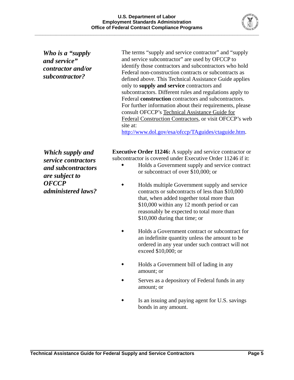

*Who is a "supply and service" contractor and/or subcontractor?* 

The terms "supply and service contractor" and "supply and service subcontractor" are used by OFCCP to identify those contractors and subcontractors who hold Federal non-construction contracts or subcontracts as defined above. This Technical Assistance Guide applies only to **supply and service** contractors and subcontractors. Different rules and regulations apply to Federal **construction** contractors and subcontractors. For further information about their requirements, please consult OFCCP's Technical Assistance Guide for Federal Construction Contractors, or visit OFCCP's web site at: [http://www.dol.gov/esa/ofccp/TAguides/ctaguide.htm.](http://www.dol.gov/esa/ofccp/TAguides/ctaguide.htm)

*Which supply and service contractors and subcontractors are subject to OFCCP administered laws?* 

**Executive Order 11246:** A supply and service contractor or subcontractor is covered under Executive Order 11246 if it:

- Holds a Government supply and service contract or subcontract of over \$10,000; or
- Holds multiple Government supply and service contracts or subcontracts of less than \$10,000 that, when added together total more than \$10,000 within any 12 month period or can reasonably be expected to total more than \$10,000 during that time; or
- Holds a Government contract or subcontract for an indefinite quantity unless the amount to be ordered in any year under such contract will not exceed \$10,000; or
- Holds a Government bill of lading in any amount; or
- Serves as a depository of Federal funds in any amount; or
- Is an issuing and paying agent for U.S. savings bonds in any amount.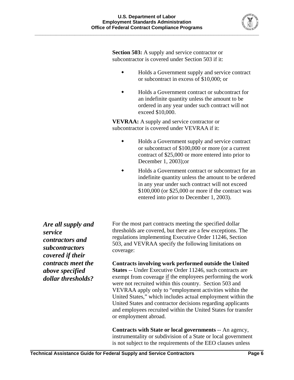

**Section 503:** A supply and service contractor or subcontractor is covered under Section 503 if it:

- Holds a Government supply and service contract or subcontract in excess of \$10,000; or
- Holds a Government contract or subcontract for an indefinite quantity unless the amount to be ordered in any year under such contract will not exceed \$10,000.

**VEVRAA:** A supply and service contractor or subcontractor is covered under VEVRAA if it:

- Holds a Government supply and service contract or subcontract of \$100,000 or more (or a current contract of \$25,000 or more entered into prior to December 1, 2003);or
- Holds a Government contract or subcontract for an indefinite quantity unless the amount to be ordered in any year under such contract will not exceed \$100,000 (or \$25,000 or more if the contract was entered into prior to December 1, 2003).

*Are all supply and service contractors and subcontractors covered if their contracts meet the above specified dollar thresholds?* 

For the most part contracts meeting the specified dollar thresholds are covered, but there are a few exceptions. The regulations implementing Executive Order 11246, Section 503, and VEVRAA specify the following limitations on coverage:

**Contracts involving work performed outside the United States** -- Under Executive Order 11246, such contracts are exempt from coverage if the employees performing the work were not recruited within this country. Section 503 and VEVRAA apply only to "employment activities within the United States," which includes actual employment within the United States and contractor decisions regarding applicants and employees recruited within the United States for transfer or employment abroad.

**Contracts with State or local governments** -- An agency, instrumentality or subdivision of a State or local government is not subject to the requirements of the EEO clauses unless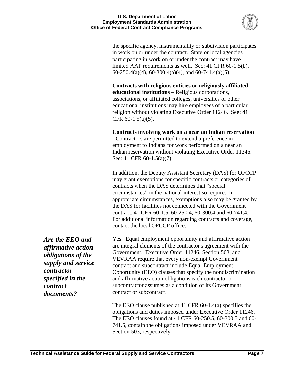

the specific agency, instrumentality or subdivision participates in work on or under the contract. State or local agencies participating in work on or under the contract may have limited AAP requirements as well. See: 41 CFR 60-1.5(b),  $60-250.4(a)(4)$ ,  $60-300.4(a)(4)$ , and  $60-741.4(a)(5)$ .

**Contracts with religious entities or religiously affiliated educational institutions** – Religious corporations, associations, or affiliated colleges, universities or other educational institutions may hire employees of a particular religion without violating Executive Order 11246. See: 41 CFR 60-1.5(a)(5).

**Contracts involving work on a near an Indian reservation**

- Contractors are permitted to extend a preference in employment to Indians for work performed on a near an Indian reservation without violating Executive Order 11246. See: 41 CFR 60-1.5(a)(7).

In addition, the Deputy Assistant Secretary (DAS) for OFCCP may grant exemptions for specific contracts or categories of contracts when the DAS determines that "special circumstances" in the national interest so require. In appropriate circumstances, exemptions also may be granted by the DAS for facilities not connected with the Government contract. 41 CFR 60-1.5, 60-250.4, 60-300.4 and 60-741.4. For additional information regarding contracts and coverage, contact the local OFCCP office.

Yes. Equal employment opportunity and affirmative action are integral elements of the contractor's agreement with the Government. Executive Order 11246, Section 503, and VEVRAA require that every non-exempt Government contract and subcontract include Equal Employment Opportunity (EEO) clauses that specify the nondiscrimination and affirmative action obligations each contractor or subcontractor assumes as a condition of its Government contract or subcontract.

The EEO clause published at 41 CFR 60-1.4(a) specifies the obligations and duties imposed under Executive Order 11246. The EEO clauses found at 41 CFR 60-250.5, 60-300.5 and 60- 741.5, contain the obligations imposed under VEVRAA and Section 503, respectively.

*Are the EEO and affirmative action obligations of the supply and service contractor specified in the contract documents?*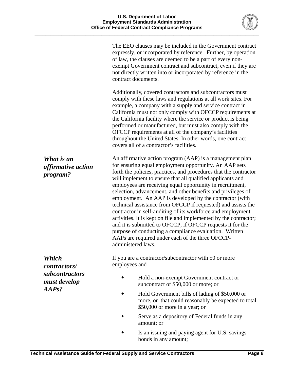

|                                                                  | The EEO clauses may be included in the Government contract<br>expressly, or incorporated by reference. Further, by operation<br>of law, the clauses are deemed to be a part of every non-<br>exempt Government contract and subcontract, even if they are<br>not directly written into or incorporated by reference in the<br>contract documents.                                                                                                                                                                                                                                                                                                                                                                                                                                                                                                    |
|------------------------------------------------------------------|------------------------------------------------------------------------------------------------------------------------------------------------------------------------------------------------------------------------------------------------------------------------------------------------------------------------------------------------------------------------------------------------------------------------------------------------------------------------------------------------------------------------------------------------------------------------------------------------------------------------------------------------------------------------------------------------------------------------------------------------------------------------------------------------------------------------------------------------------|
|                                                                  | Additionally, covered contractors and subcontractors must<br>comply with these laws and regulations at all work sites. For<br>example, a company with a supply and service contract in<br>California must not only comply with OFCCP requirements at<br>the California facility where the service or product is being<br>performed or manufactured, but must also comply with the<br>OFCCP requirements at all of the company's facilities<br>throughout the United States. In other words, one contract<br>covers all of a contractor's facilities.                                                                                                                                                                                                                                                                                                 |
| What is an<br><i>affirmative action</i><br>program?              | An affirmative action program (AAP) is a management plan<br>for ensuring equal employment opportunity. An AAP sets<br>forth the policies, practices, and procedures that the contractor<br>will implement to ensure that all qualified applicants and<br>employees are receiving equal opportunity in recruitment,<br>selection, advancement, and other benefits and privileges of<br>employment. An AAP is developed by the contractor (with<br>technical assistance from OFCCP if requested) and assists the<br>contractor in self-auditing of its workforce and employment<br>activities. It is kept on file and implemented by the contractor;<br>and it is submitted to OFCCP, if OFCCP requests it for the<br>purpose of conducting a compliance evaluation. Written<br>AAPs are required under each of the three OFCCP-<br>administered laws. |
| Which<br>contractors/<br>subcontractors<br>must develop<br>AAPs? | If you are a contractor/subcontractor with 50 or more<br>employees and                                                                                                                                                                                                                                                                                                                                                                                                                                                                                                                                                                                                                                                                                                                                                                               |
|                                                                  | Hold a non-exempt Government contract or<br>subcontract of \$50,000 or more; or                                                                                                                                                                                                                                                                                                                                                                                                                                                                                                                                                                                                                                                                                                                                                                      |
|                                                                  | Hold Government bills of lading of \$50,000 or<br>more, or that could reasonably be expected to total<br>\$50,000 or more in a year; or                                                                                                                                                                                                                                                                                                                                                                                                                                                                                                                                                                                                                                                                                                              |
|                                                                  | Serve as a depository of Federal funds in any<br>amount; or                                                                                                                                                                                                                                                                                                                                                                                                                                                                                                                                                                                                                                                                                                                                                                                          |

 Is an issuing and paying agent for U.S. savings bonds in any amount;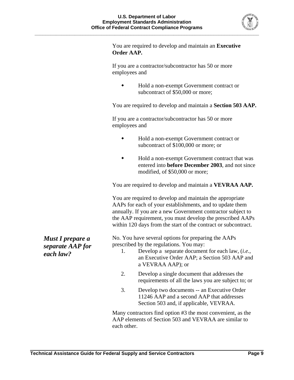

You are required to develop and maintain an **Executive Order AAP.**

If you are a contractor/subcontractor has 50 or more employees and

 Hold a non-exempt Government contract or subcontract of \$50,000 or more;

You are required to develop and maintain a **Section 503 AAP.** 

If you are a contractor/subcontractor has 50 or more employees and

- Hold a non-exempt Government contract or subcontract of \$100,000 or more; or
- Hold a non-exempt Government contract that was entered into **before December 2003**, and not since modified, of \$50,000 or more;

You are required to develop and maintain a **VEVRAA AAP.** 

You are required to develop and maintain the appropriate AAPs for each of your establishments, and to update them annually. If you are a new Government contractor subject to the AAP requirement, you must develop the prescribed AAPs within 120 days from the start of the contract or subcontract.

No. You have several options for preparing the AAPs prescribed by the regulations. You may:

- 1. Develop a separate document for each law, (*i.e.*, an Executive Order AAP; a Section 503 AAP and a VEVRAA AAP); or
- 2. Develop a single document that addresses the requirements of all the laws you are subject to; or
- 3. Develop two documents -- an Executive Order 11246 AAP and a second AAP that addresses Section 503 and, if applicable, VEVRAA.

Many contractors find option #3 the most convenient, as the AAP elements of Section 503 and VEVRAA are similar to each other.

*Must I prepare a separate AAP for each law?*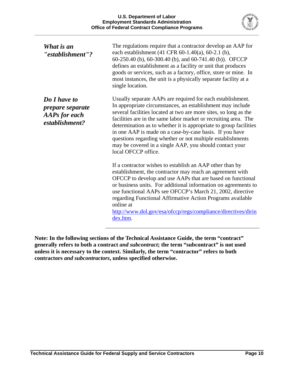

| What is an<br>"establishment"?                                                    | The regulations require that a contractor develop an AAP for<br>each establishment (41 CFR 60-1.40(a), 60-2.1 (b),<br>60-250.40 (b), 60-300.40 (b), and 60-741.40 (b)). OFCCP<br>defines an establishment as a facility or unit that produces<br>goods or services, such as a factory, office, store or mine. In<br>most instances, the unit is a physically separate facility at a<br>single location.                                                                                                                                         |
|-----------------------------------------------------------------------------------|-------------------------------------------------------------------------------------------------------------------------------------------------------------------------------------------------------------------------------------------------------------------------------------------------------------------------------------------------------------------------------------------------------------------------------------------------------------------------------------------------------------------------------------------------|
| Do I have to<br><i>prepare separate</i><br><b>AAPs for each</b><br>establishment? | Usually separate AAPs are required for each establishment.<br>In appropriate circumstances, an establishment may include<br>several facilities located at two are more sites, so long as the<br>facilities are in the same labor market or recruiting area. The<br>determination as to whether it is appropriate to group facilities<br>in one AAP is made on a case-by-case basis. If you have<br>questions regarding whether or not multiple establishments<br>may be covered in a single AAP, you should contact your<br>local OFCCP office. |
|                                                                                   | If a contractor wishes to establish an AAP other than by<br>establishment, the contractor may reach an agreement with<br>OFCCP to develop and use AAPs that are based on functional<br>or business units. For additional information on agreements to<br>use functional AAPs see OFCCP's March 21, 2002, directive<br>regarding Functional Affirmative Action Programs available<br>online at<br>http://www.dol.gov/esa/ofccp/regs/compliance/directives/dirin<br>dex.htm.                                                                      |

**Note: In the following sections of the Technical Assistance Guide, the term "contract" generally refers to both a contract** *and subcontract***; the term "subcontract" is not used unless it is necessary to the context. Similarly, the term "contractor" refers to both contractors** *and subcontractors***, unless specified otherwise.**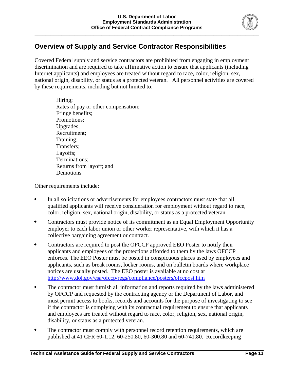

## **Overview of Supply and Service Contractor Responsibilities**

Covered Federal supply and service contractors are prohibited from engaging in employment discrimination and are required to take affirmative action to ensure that applicants (including Internet applicants) and employees are treated without regard to race, color, religion, sex, national origin, disability, or status as a protected veteran. All personnel activities are covered by these requirements, including but not limited to:

Hiring; Rates of pay or other compensation; Fringe benefits; Promotions; Upgrades; Recruitment; Training; Transfers; Layoffs; Terminations; Returns from layoff; and Demotions

Other requirements include:

- In all solicitations or advertisements for employees contractors must state that all qualified applicants will receive consideration for employment without regard to race, color, religion, sex, national origin, disability, or status as a protected veteran.
- Contractors must provide notice of its commitment as an Equal Employment Opportunity employer to each labor union or other worker representative, with which it has a collective bargaining agreement or contract.
- Contractors are required to post the OFCCP approved EEO Poster to notify their applicants and employees of the protections afforded to them by the laws OFCCP enforces. The EEO Poster must be posted in conspicuous places used by employees and applicants, such as break rooms, locker rooms, and on bulletin boards where workplace notices are usually posted. The EEO poster is available at no cost at <http://www.dol.gov/esa/ofccp/regs/compliance/posters/ofccpost.htm>
- The contractor must furnish all information and reports required by the laws administered by OFCCP and requested by the contracting agency or the Department of Labor, and must permit access to books, records and accounts for the purpose of investigating to see if the contractor is complying with its contractual requirement to ensure that applicants and employees are treated without regard to race, color, religion, sex, national origin, disability, or status as a protected veteran.
- The contractor must comply with personnel record retention requirements, which are published at 41 CFR 60-1.12, 60-250.80, 60-300.80 and 60-741.80. Recordkeeping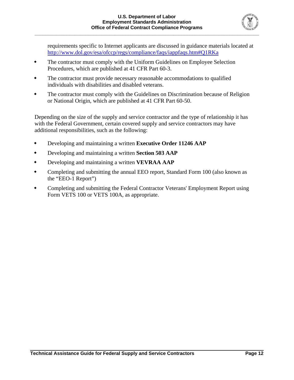

requirements specific to Internet applicants are discussed in guidance materials located at <http://www.dol.gov/esa/ofccp/regs/compliance/faqs/iappfaqs.htm#Q1RKa>

- The contractor must comply with the Uniform Guidelines on Employee Selection Procedures, which are published at 41 CFR Part 60-3.
- The contractor must provide necessary reasonable accommodations to qualified individuals with disabilities and disabled veterans.
- The contractor must comply with the Guidelines on Discrimination because of Religion or National Origin, which are published at 41 CFR Part 60-50.

Depending on the size of the supply and service contractor and the type of relationship it has with the Federal Government, certain covered supply and service contractors may have additional responsibilities, such as the following:

- Developing and maintaining a written **Executive Order 11246 AAP**
- Developing and maintaining a written **Section 503 AAP**
- Developing and maintaining a written **VEVRAA AAP**
- Completing and submitting the annual EEO report, Standard Form 100 (also known as the "EEO-1 Report")
- Completing and submitting the Federal Contractor Veterans' Employment Report using Form VETS 100 or VETS 100A, as appropriate.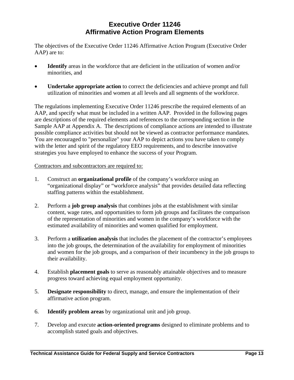### **Executive Order 11246 Affirmative Action Program Elements**

The objectives of the Executive Order 11246 Affirmative Action Program (Executive Order AAP) are to:

- **Identify** areas in the workforce that are deficient in the utilization of women and/or minorities, and
- **Undertake appropriate action** to correct the deficiencies and achieve prompt and full utilization of minorities and women at all levels and all segments of the workforce.

The regulations implementing Executive Order 11246 prescribe the required elements of an AAP, and specify what must be included in a written AAP. Provided in the following pages are descriptions of the required elements and references to the corresponding section in the Sample AAP at Appendix A. The descriptions of compliance actions are intended to illustrate possible compliance activities but should not be viewed as contractor performance mandates. You are encouraged to "personalize" your AAP to depict actions you have taken to comply with the letter and spirit of the regulatory EEO requirements, and to describe innovative strategies you have employed to enhance the success of your Program.

#### Contractors and subcontractors are required to:

- 1. Construct an **organizational profile** of the company's workforce using an "organizational display" or "workforce analysis" that provides detailed data reflecting staffing patterns within the establishment.
- 2. Perform a **job group analysis** that combines jobs at the establishment with similar content, wage rates, and opportunities to form job groups and facilitates the comparison of the representation of minorities and women in the company's workforce with the estimated availability of minorities and women qualified for employment.
- 3. Perform a **utilization analysis** that includes the placement of the contractor's employees into the job groups, the determination of the availability for employment of minorities and women for the job groups, and a comparison of their incumbency in the job groups to their availability.
- 4. Establish **placement goals** to serve as reasonably attainable objectives and to measure progress toward achieving equal employment opportunity.
- 5. **Designate responsibility** to direct, manage, and ensure the implementation of their affirmative action program.
- 6. **Identify problem areas** by organizational unit and job group.
- 7. Develop and execute **action-oriented programs** designed to eliminate problems and to accomplish stated goals and objectives.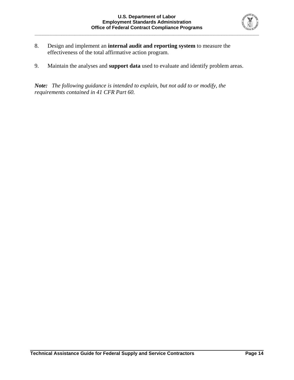

- 8. Design and implement an **internal audit and reporting system** to measure the effectiveness of the total affirmative action program.
- 9. Maintain the analyses and **support data** used to evaluate and identify problem areas.

*Note: The following guidance is intended to explain, but not add to or modify, the requirements contained in 41 CFR Part 60.*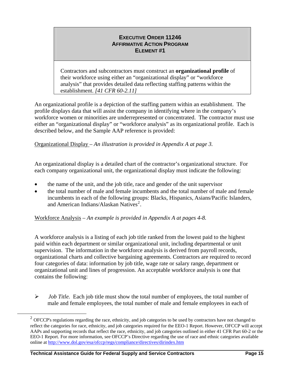Contractors and subcontractors must construct an **organizational profile** of their workforce using either an "organizational display" or "workforce analysis" that provides detailed data reflecting staffing patterns within the establishment. *[41 CFR 60-2.11]*

An organizational profile is a depiction of the staffing pattern within an establishment. The profile displays data that will assist the company in identifying where in the company's workforce women or minorities are underrepresented or concentrated. The contractor must use either an "organizational display" or "workforce analysis" as its organizational profile. Each is described below, and the Sample AAP reference is provided:

Organizational Display *– An illustration is provided in Appendix A at page 3.*

An organizational display is a detailed chart of the contractor's organizational structure.For each company organizational unit, the organizational display must indicate the following:

- the name of the unit, and the job title, race and gender of the unit supervisor
- the total number of male and female incumbents and the total number of male and female incumbents in each of the following groups: Blacks, Hispanics, Asians/Pacific Islanders, and American Indians/Alaskan Natives<sup>[2](#page-17-0)</sup>.

Workforce Analysis *– An example is provided in Appendix A at pages 4-8.*

A workforce analysis is a listing of each job title ranked from the lowest paid to the highest paid within each department or similar organizational unit, including departmental or unit supervision. The information in the workforce analysis is derived from payroll records, organizational charts and collective bargaining agreements. Contractors are required to record four categories of data: information by job title, wage rate or salary range, department or organizational unit and lines of progression. An acceptable workforce analysis is one that contains the following:

¾ *Job Title.* Each job title must show the total number of employees, the total number of male and female employees, the total number of male and female employees in each of

<span id="page-17-0"></span> $2$  OFCCP's regulations regarding the race, ethnicity, and job categories to be used by contractors have not changed to reflect the categories for race, ethnicity, and job categories required for the EEO-1 Report. However, OFCCP will accept AAPs and supporting records that reflect the race, ethnicity, and job categories outlined in either 41 CFR Part 60-2 or the EEO-1 Report. For more information, see OFCCP's Directive regarding the use of race and ethnic categories available online at<http://www.dol.gov/esa/ofccp/regs/compliance/directives/dirindex.htm>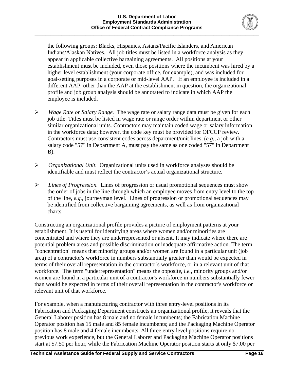

the following groups: Blacks, Hispanics, Asians/Pacific Islanders, and American Indians/Alaskan Natives. All job titles must be listed in a workforce analysis as they appear in applicable collective bargaining agreements. All positions at your establishment must be included, even those positions where the incumbent was hired by a higher level establishment (your corporate office, for example), and was included for goal-setting purposes in a corporate or mid-level AAP. If an employee is included in a different AAP, other than the AAP at the establishment in question, the organizational profile and job group analysis should be annotated to indicate in which AAP the employee is included.

- ¾ *Wage Rate or Salary Range.* The wage rate or salary range data must be given for each job title. Titles must be listed in wage rate or range order within department or other similar organizational units. Contractors may maintain coded wage or salary information in the workforce data; however, the code key must be provided for OFCCP review. Contractors must use consistent codes across department/unit lines, (*e.g.*, a job with a salary code "57" in Department A, must pay the same as one coded "57" in Department B).
- ¾ *Organizational Unit.* Organizational units used in workforce analyses should be identifiable and must reflect the contractor's actual organizational structure.
- ¾ *Lines of Progression.* Lines of progression or usual promotional sequences must show the order of jobs in the line through which an employee moves from entry level to the top of the line, *e.g.,* journeyman level. Lines of progression or promotional sequences may be identified from collective bargaining agreements, as well as from organizational charts.

Constructing an organizational profile provides a picture of employment patterns at your establishment. It is useful for identifying areas where women and/or minorities are concentrated and where they are underrepresented or absent. It may indicate where there are potential problem areas and possible discrimination or inadequate affirmative action. The term "concentration" means that minority groups and/or women are found in a particular unit (job area) of a contractor's workforce in numbers substantially greater than would be expected in terms of their overall representation in the contractor's workforce, or in a relevant unit of that workforce. The term "underrepresentation" means the opposite, *i.e.*, minority groups and/or women are found in a particular unit of a contractor's workforce in numbers substantially fewer than would be expected in terms of their overall representation in the contractor's workforce or relevant unit of that workforce.

For example, when a manufacturing contractor with three entry-level positions in its Fabrication and Packaging Department constructs an organizational profile, it reveals that the General Laborer position has 8 male and no female incumbents; the Fabrication Machine Operator position has 15 male and 85 female incumbents; and the Packaging Machine Operator position has 8 male and 4 female incumbents. All three entry level positions require no previous work experience, but the General Laborer and Packaging Machine Operator positions start at \$7.50 per hour, while the Fabrication Machine Operator position starts at only \$7.00 per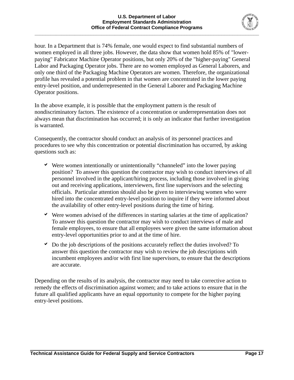

hour. In a Department that is 74% female, one would expect to find substantial numbers of women employed in all three jobs. However, the data show that women hold 85% of "lowerpaying" Fabricator Machine Operator positions, but only 20% of the "higher-paying" General Labor and Packaging Operator jobs. There are no women employed as General Laborers, and only one third of the Packaging Machine Operators are women. Therefore, the organizational profile has revealed a potential problem in that women are concentrated in the lower paying entry-level position, and underrepresented in the General Laborer and Packaging Machine Operator positions.

 In the above example, it is possible that the employment pattern is the result of nondiscriminatory factors. The existence of a concentration or underrepresentation does not always mean that discrimination has occurred; it is only an indicator that further investigation is warranted.

 Consequently, the contractor should conduct an analysis of its personnel practices and procedures to see why this concentration or potential discrimination has occurred, by asking questions such as:

- $\vee$  Were women intentionally or unintentionally "channeled" into the lower paying position? To answer this question the contractor may wish to conduct interviews of all personnel involved in the applicant/hiring process, including those involved in giving out and receiving applications, interviewers, first line supervisors and the selecting officials. Particular attention should also be given to interviewing women who were hired into the concentrated entry-level position to inquire if they were informed about the availability of other entry-level positions during the time of hiring.
- $\triangledown$  Were women advised of the differences in starting salaries at the time of application? To answer this question the contractor may wish to conduct interviews of male and female employees, to ensure that all employees were given the same information about entry-level opportunities prior to and at the time of hire.
- $\triangleright$  Do the job descriptions of the positions accurately reflect the duties involved? To answer this question the contractor may wish to review the job descriptions with incumbent employees and/or with first line supervisors, to ensure that the descriptions are accurate.

Depending on the results of its analysis, the contractor may need to take corrective action to remedy the effects of discrimination against women; and to take actions to ensure that in the future all qualified applicants have an equal opportunity to compete for the higher paying entry-level positions.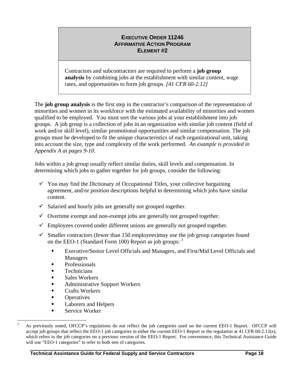Contractors and subcontractors are required to perform a **job group analysis** by combining jobs at the establishment with similar content, wage rates, and opportunities to form job groups. *[41 CFR 60-2.12]* 

The **job group analysis** is the first step in the contractor's comparison of the representation of minorities and women in its workforce with the estimated availability of minorities and women qualified to be employed. You must sort the various jobs at your establishment into job groups.A job group is a collection of jobs in an organization with similar job content (field of work and/or skill level), similar promotional opportunities and similar compensation. The job groups must be developed to fit the unique characteristics of each organizational unit, taking into account the size, type and complexity of the work performed. *An example is provided in Appendix A at pages 9-10.*

Jobs within a job group usually reflect similar duties, skill levels and compensation. In determining which jobs to gather together for job groups, consider the following:

- $\checkmark$  You may find the Dictionary of Occupational Titles, your collective bargaining agreement, and/or position descriptions helpful in determining which jobs have similar content.
- $\checkmark$  Salaried and hourly jobs are generally not grouped together.
- $\checkmark$  Overtime exempt and non-exempt jobs are generally not grouped together.
- $\checkmark$  Employees covered under different unions are generally not grouped together.
- $\checkmark$  Smaller contractors (fewer than 150 employees)may use the job group categories found on the EEO-1 (Standard Form 100) Report as job groups: <sup>[3](#page-20-0)</sup>
	- Executive/Senior Level Officials and Managers, and First/Mid Level Officials and Managers
	- Professionals
	- **Technicians**
	- Sales Workers
	- Administrative Support Workers
	- Crafts Workers
	- **Operatives**
	- Laborers and Helpers
	- Service Worker

<span id="page-20-0"></span> $\frac{1}{3}$  As previously noted, OFCCP's regulations do not reflect the job categories used on the current EEO-1 Report. OFCCP will accept job groups that reflect the EEO-1 job categories in either the current EEO-1 Report or the regulation at 41 CFR 60-2.12(e), which refers to the job categories on a previous version of the EEO-1 Report. For convenience, this Technical Assistance Guide will use "EEO-1 categories" to refer to both sets of categories.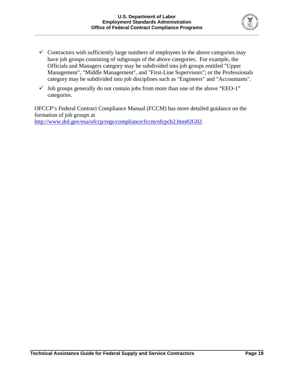

- $\checkmark$  Contractors with sufficiently large numbers of employees in the above categories may have job groups consisting of subgroups of the above categories. For example, the Officials and Managers category may be subdivided into job groups entitled "Upper Management", "Middle Management", and "First-Line Supervisors"; or the Professionals category may be subdivided into job disciplines such as "Engineers" and "Accountants".
- $\checkmark$  Job groups generally do not contain jobs from more than one of the above "EEO-1" categories.

OFCCP's Federal Contract Compliance Manual (FCCM) has more detailed guidance on the formation of job groups at <http://www.dol.gov/esa/ofccp/regs/compliance/fccm/ofcpch2.htm#2G02>.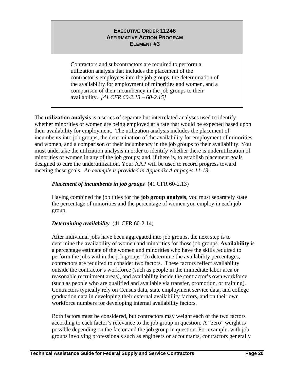Contractors and subcontractors are required to perform a utilization analysis that includes the placement of the contractor's employees into the job groups, the determination of the availability for employment of minorities and women, and a comparison of their incumbency in the job groups to their availability. *[41 CFR 60-2.13 – 60-2.15]*

The **utilization analysis** is a series of separate but interrelated analyses used to identify whether minorities or women are being employed at a rate that would be expected based upon their availability for employment. The utilization analysis includes the placement of incumbents into job groups, the determination of the availability for employment of minorities and women, and a comparison of their incumbency in the job groups to their availability. You must undertake the utilization analysis in order to identify whether there is underutilization of minorities or women in any of the job groups; and, if there is, to establish placement goals designed to cure the underutilization. Your AAP will be used to record progress toward meeting these goals. *An example is provided in Appendix A at pages 11-13.*

#### *Placement of incumbents in job groups* (41 CFR 60-2.13)

Having combined the job titles for the **job group analysis**, you must separately state the percentage of minorities and the percentage of women you employ in each job group.

#### *Determining availability* (41 CFR 60-2.14)

After individual jobs have been aggregated into job groups, the next step is to determine the availability of women and minorities for those job groups. **Availability** is a percentage estimate of the women and minorities who have the skills required to perform the jobs within the job groups. To determine the availability percentages, contractors are required to consider two factors. These factors reflect availability outside the contractor's workforce (such as people in the immediate labor area or reasonable recruitment areas), and availability inside the contractor's own workforce (such as people who are qualified and available via transfer, promotion, or training). Contractors typically rely on Census data, state employment service data, and college graduation data in developing their external availability factors, and on their own workforce numbers for developing internal availability factors.

Both factors must be considered, but contractors may weight each of the two factors according to each factor's relevance to the job group in question. A "zero" weight is possible depending on the factor and the job group in question. For example, with job groups involving professionals such as engineers or accountants, contractors generally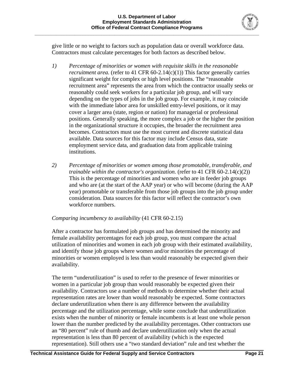

give little or no weight to factors such as population data or overall workforce data. Contractors must calculate percentages for both factors as described below.

- *1) Percentage of minorities or women with requisite skills in the reasonable recruitment area.* (refer to 41 CFR  $60-2.14(c)(1)$ ) This factor generally carries significant weight for complex or high level positions. The "reasonable recruitment area" represents the area from which the contractor usually seeks or reasonably could seek workers for a particular job group, and will vary depending on the types of jobs in the job group. For example, it may coincide with the immediate labor area for unskilled entry-level positions, or it may cover a larger area (state, region or nation) for managerial or professional positions. Generally speaking, the more complex a job or the higher the position in the organizational structure it occupies, the broader the recruitment area becomes. Contractors must use the most current and discrete statistical data available. Data sources for this factor may include Census data, state employment service data, and graduation data from applicable training institutions.
- *2) Percentage of minorities or women among those promotable, transferable, and trainable within the contractor's organization.* (refer to 41 CFR 60-2.14(c)(2)) This is the percentage of minorities and women who are in feeder job groups and who are (at the start of the AAP year) or who will become (during the AAP year) promotable or transferable from those job groups into the job group under consideration. Data sources for this factor will reflect the contractor's own workforce numbers.

#### *Comparing incumbency to* a*vailability* (41 CFR 60-2.15)

After a contractor has formulated job groups and has determined the minority and female availability percentages for each job group, you must compare the actual utilization of minorities and women in each job group with their estimated availability, and identify those job groups where women and/or minorities the percentage of minorities or women employed is less than would reasonably be expected given their availability.

The term "underutilization" is used to refer to the presence of fewer minorities or women in a particular job group than would reasonably be expected given their availability. Contractors use a number of methods to determine whether their actual representation rates are lower than would reasonably be expected. Some contractors declare underutilization when there is any difference between the availability percentage and the utilization percentage, while some conclude that underutilization exists when the number of minority or female incumbents is at least one whole person lower than the number predicted by the availability percentages. Other contractors use an "80 percent" rule of thumb and declare underutilization only when the actual representation is less than 80 percent of availability (which is the expected representation). Still others use a "two standard deviation" rule and test whether the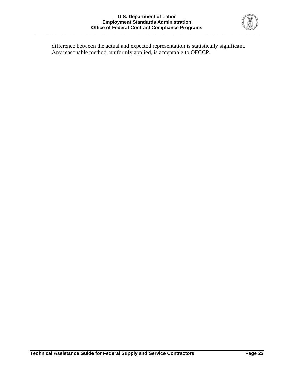

difference between the actual and expected representation is statistically significant. Any reasonable method, uniformly applied, is acceptable to OFCCP.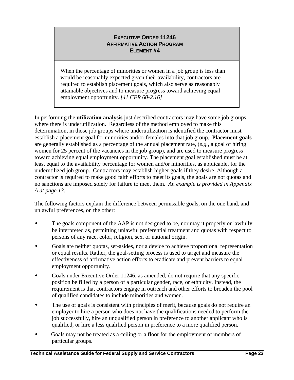When the percentage of minorities or women in a job group is less than would be reasonably expected given their availability, contractors are required to establish placement goals, which also serve as reasonably attainable objectives and to measure progress toward achieving equal employment opportunity. *[41 CFR 60-2.16]*

In performing the **utilization analysis** just described contractors may have some job groups where there is underutilization. Regardless of the method employed to make this determination, in those job groups where underutilization is identified the contractor must establish a placement goal for minorities and/or females into that job group. **Placement goals** are generally established as a percentage of the annual placement rate, (*e.g.*, a goal of hiring women for 25 percent of the vacancies in the job group), and are used to measure progress toward achieving equal employment opportunity. The placement goal established must be at least equal to the availability percentage for women and/or minorities, as applicable, for the underutilized job group. Contractors may establish higher goals if they desire. Although a contractor is required to make good faith efforts to meet its goals, the goals are not quotas and no sanctions are imposed solely for failure to meet them. *An example is provided in Appendix A at page 13.*

The following factors explain the difference between permissible goals, on the one hand, and unlawful preferences, on the other:

- The goals component of the AAP is not designed to be, nor may it properly or lawfully be interpreted as, permitting unlawful preferential treatment and quotas with respect to persons of any race, color, religion, sex, or national origin.
- Goals are neither quotas, set-asides, nor a device to achieve proportional representation or equal results. Rather, the goal-setting process is used to target and measure the effectiveness of affirmative action efforts to eradicate and prevent barriers to equal employment opportunity.
- Goals under Executive Order 11246, as amended, do not require that any specific position be filled by a person of a particular gender, race, or ethnicity. Instead, the requirement is that contractors engage in outreach and other efforts to broaden the pool of qualified candidates to include minorities and women.
- The use of goals is consistent with principles of merit, because goals do not require an employer to hire a person who does not have the qualifications needed to perform the job successfully, hire an unqualified person in preference to another applicant who is qualified, or hire a less qualified person in preference to a more qualified person.
- Goals may not be treated as a ceiling or a floor for the employment of members of particular groups.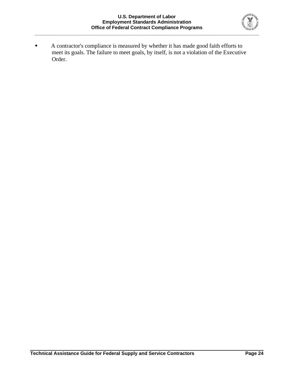

 A contractor's compliance is measured by whether it has made good faith efforts to meet its goals. The failure to meet goals, by itself, is not a violation of the Executive Order.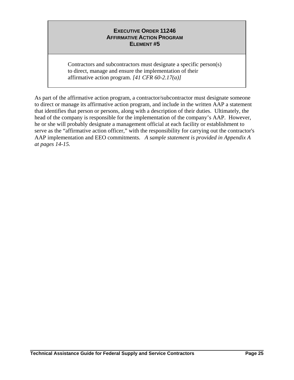Contractors and subcontractors must designate a specific person(s) to direct, manage and ensure the implementation of their affirmative action program. *[41 CFR 60-2.17(a)]* 

As part of the affirmative action program, a contractor/subcontractor must designate someone to direct or manage its affirmative action program, and include in the written AAP a statement that identifies that person or persons, along with a description of their duties. Ultimately, the head of the company is responsible for the implementation of the company's AAP. However, he or she will probably designate a management official at each facility or establishment to serve as the "affirmative action officer," with the responsibility for carrying out the contractor's AAP implementation and EEO commitments. *A sample statement is provided in Appendix A at pages 14-15.*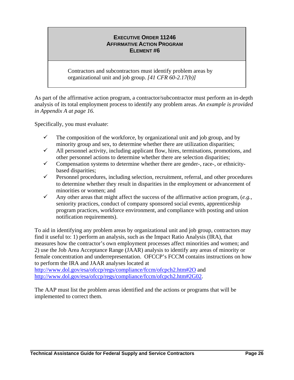Contractors and subcontractors must identify problem areas by organizational unit and job group. *[41 CFR 60-2.17(b)]*

As part of the affirmative action program, a contractor/subcontractor must perform an in-depth analysis of its total employment process to identify any problem areas. *An example is provided in Appendix A at page 16.* 

Specifically, you must evaluate:

- $\checkmark$  The composition of the workforce, by organizational unit and job group, and by minority group and sex, to determine whether there are utilization disparities;
- $\checkmark$  All personnel activity, including applicant flow, hires, terminations, promotions, and other personnel actions to determine whether there are selection disparities;
- $\checkmark$  Compensation systems to determine whether there are gender-, race-, or ethnicitybased disparities;
- $\checkmark$  Personnel procedures, including selection, recruitment, referral, and other procedures to determine whether they result in disparities in the employment or advancement of minorities or women; and
- $\checkmark$  Any other areas that might affect the success of the affirmative action program, (*e.g.*, seniority practices, conduct of company sponsored social events, apprenticeship program practices, workforce environment, and compliance with posting and union notification requirements).

To aid in identifying any problem areas by organizational unit and job group, contractors may find it useful to: 1) perform an analysis, such as the Impact Ratio Analysis (IRA), that measures how the contractor's own employment processes affect minorities and women; and 2) use the Job Area Acceptance Range (JAAR) analysis to identify any areas of minority or female concentration and underrepresentation. OFCCP's FCCM contains instructions on how to perform the IRA and JAAR analyses located at

<http://www.dol.gov/esa/ofccp/regs/compliance/fccm/ofcpch2.htm#2O> and <http://www.dol.gov/esa/ofccp/regs/compliance/fccm/ofcpch2.htm#2G02>.

The AAP must list the problem areas identified and the actions or programs that will be implemented to correct them.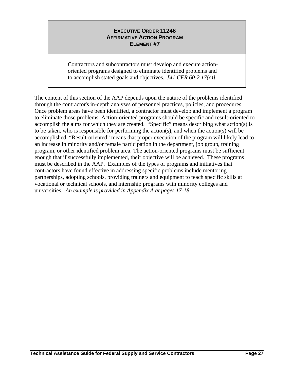Contractors and subcontractors must develop and execute actionoriented programs designed to eliminate identified problems and to accomplish stated goals and objectives. *[41 CFR 60-2.17(c)]* 

The content of this section of the AAP depends upon the nature of the problems identified through the contractor's in-depth analyses of personnel practices, policies, and procedures. Once problem areas have been identified, a contractor must develop and implement a program to eliminate those problems. Action-oriented programs should be specific and result-oriented to accomplish the aims for which they are created. "Specific" means describing what action(s) is to be taken, who is responsible for performing the action(s), and when the action(s) will be accomplished. "Result-oriented" means that proper execution of the program will likely lead to an increase in minority and/or female participation in the department, job group, training program, or other identified problem area. The action-oriented programs must be sufficient enough that if successfully implemented, their objective will be achieved. These programs must be described in the AAP. Examples of the types of programs and initiatives that contractors have found effective in addressing specific problems include mentoring partnerships, adopting schools, providing trainers and equipment to teach specific skills at vocational or technical schools, and internship programs with minority colleges and universities. *An example is provided in Appendix A at pages 17-18.*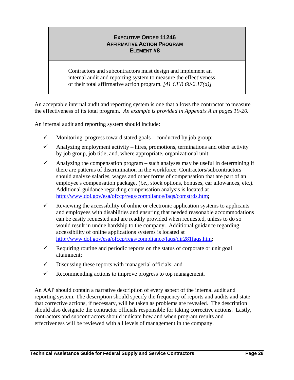Contractors and subcontractors must design and implement an internal audit and reporting system to measure the effectiveness of their total affirmative action program. *[41 CFR 60-2.17(d)]* 

An acceptable internal audit and reporting system is one that allows the contractor to measure the effectiveness of its total program. *An example is provided in Appendix A at pages 19-20.* 

An internal audit and reporting system should include:

- $\checkmark$  Monitoring progress toward stated goals conducted by job group;
- $\checkmark$  Analyzing employment activity hires, promotions, terminations and other activity by job group, job title, and, where appropriate, organizational unit;
- $\checkmark$  Analyzing the compensation program such analyses may be useful in determining if there are patterns of discrimination in the workforce. Contractors/subcontractors should analyze salaries, wages and other forms of compensation that are part of an employee's compensation package, (*i.e.*, stock options, bonuses, car allowances, etc.). Additional guidance regarding compensation analysis is located at <http://www.dol.gov/esa/ofccp/regs/compliance/faqs/comstrds.htm>;
- $\checkmark$  Reviewing the accessibility of online or electronic application systems to applicants and employees with disabilities and ensuring that needed reasonable accommodations can be easily requested and are readily provided when requested, unless to do so would result in undue hardship to the company. Additional guidance regarding accessibility of online applications systems is located at <http://www.dol.gov/esa/ofccp/regs/compliance/faqs/dir281faqs.htm>;
- $\checkmark$  Requiring routine and periodic reports on the status of corporate or unit goal attainment;
- $\checkmark$  Discussing these reports with managerial officials; and
- $\checkmark$  Recommending actions to improve progress to top management.

An AAP should contain a narrative description of every aspect of the internal audit and reporting system. The description should specify the frequency of reports and audits and state that corrective actions, if necessary, will be taken as problems are revealed. The description should also designate the contractor officials responsible for taking corrective actions. Lastly, contractors and subcontractors should indicate how and when program results and effectiveness will be reviewed with all levels of management in the company.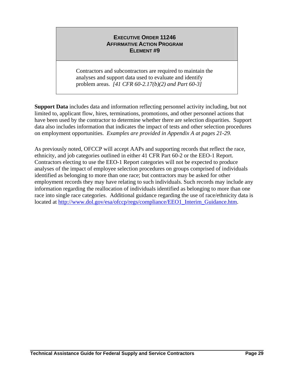Contractors and subcontractors are required to maintain the analyses and support data used to evaluate and identify problem areas. *[41 CFR 60-2.17(b)(2) and Part 60-3]* 

**Support Data** includes data and information reflecting personnel activity including, but not limited to, applicant flow, hires, terminations, promotions, and other personnel actions that have been used by the contractor to determine whether there are selection disparities. Support data also includes information that indicates the impact of tests and other selection procedures on employment opportunities. *Examples are provided in Appendix A at pages 21-29.* 

As previously noted, OFCCP will accept AAPs and supporting records that reflect the race, ethnicity, and job categories outlined in either 41 CFR Part 60-2 or the EEO-1 Report. Contractors electing to use the EEO-1 Report categories will not be expected to produce analyses of the impact of employee selection procedures on groups comprised of individuals identified as belonging to more than one race; but contractors may be asked for other employment records they may have relating to such individuals. Such records may include any information regarding the reallocation of individuals identified as belonging to more than one race into single race categories. Additional guidance regarding the use of race/ethnicity data is located at [http://www.dol.gov/esa/ofccp/regs/compliance/EEO1\\_Interim\\_Guidance.htm.](http://www.dol.gov/esa/ofccp/regs/compliance/EEO1_Interim_Guidance.htm)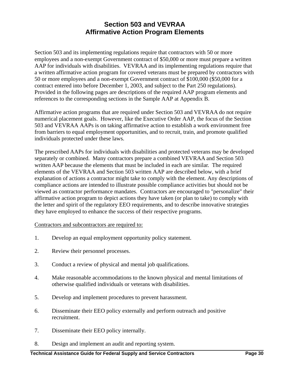## **Section 503 and VEVRAA Affirmative Action Program Elements**

Section 503 and its implementing regulations require that contractors with 50 or more employees and a non-exempt Government contract of \$50,000 or more must prepare a written AAP for individuals with disabilities. VEVRAA and its implementing regulations require that a written affirmative action program for covered veterans must be prepared by contractors with 50 or more employees and a non-exempt Government contract of \$100,000 (\$50,000 for a contract entered into before December 1, 2003, and subject to the Part 250 regulations). Provided in the following pages are descriptions of the required AAP program elements and references to the corresponding sections in the Sample AAP at Appendix B.

Affirmative action programs that are required under Section 503 and VEVRAA do not require numerical placement goals. However, like the Executive Order AAP, the focus of the Section 503 and VEVRAA AAPs is on taking affirmative action to establish a work environment free from barriers to equal employment opportunities, and to recruit, train, and promote qualified individuals protected under these laws.

The prescribed AAPs for individuals with disabilities and protected veterans may be developed separately or combined. Many contractors prepare a combined VEVRAA and Section 503 written AAP because the elements that must be included in each are similar. The required elements of the VEVRAA and Section 503 written AAP are described below, with a brief explanation of actions a contractor might take to comply with the element. Any descriptions of compliance actions are intended to illustrate possible compliance activities but should not be viewed as contractor performance mandates. Contractors are encouraged to "personalize" their affirmative action program to depict actions they have taken (or plan to take) to comply with the letter and spirit of the regulatory EEO requirements, and to describe innovative strategies they have employed to enhance the success of their respective programs.

Contractors and subcontractors are required to:

- 1. Develop an equal employment opportunity policy statement.
- 2. Review their personnel processes.
- 3. Conduct a review of physical and mental job qualifications.
- 4. Make reasonable accommodations to the known physical and mental limitations of otherwise qualified individuals or veterans with disabilities.
- 5. Develop and implement procedures to prevent harassment.
- 6. Disseminate their EEO policy externally and perform outreach and positive recruitment.
- 7. Disseminate their EEO policy internally.
- 8. Design and implement an audit and reporting system.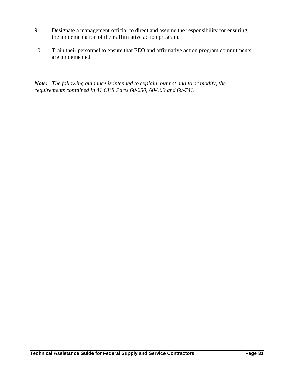- 9. Designate a management official to direct and assume the responsibility for ensuring the implementation of their affirmative action program.
- 10. Train their personnel to ensure that EEO and affirmative action program commitments are implemented.

*Note: The following guidance is intended to explain, but not add to or modify, the requirements contained in 41 CFR Parts 60-250, 60-300 and 60-741.*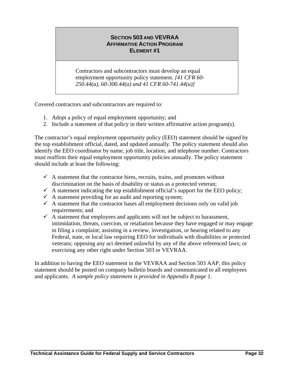#### **SECTION 503 AND VEVRAA AFFIRMATIVE ACTION PROGRAM ELEMENT #1**

Contractors and subcontractors must develop an equal employment opportunity policy statement. *[41 CFR 60- 250.44(a), 60-300.44(a) and 41 CFR 60-741.44(a)]*

Covered contractors and subcontractors are required to:

- 1. Adopt a policy of equal employment opportunity; and
- 2. Include a statement of that policy in their written affirmative action program(s).

The contractor's equal employment opportunity policy (EEO) statement should be signed by the top establishment official, dated, and updated annually. The policy statement should also identify the EEO coordinator by name, job title, location, and telephone number. Contractors must reaffirm their equal employment opportunity policies annually. The policy statement should include at least the following:

- $\checkmark$  A statement that the contractor hires, recruits, trains, and promotes without discrimination on the basis of disability or status as a protected veteran;
- $\checkmark$  A statement indicating the top establishment official's support for the EEO policy;
- $\checkmark$  A statement providing for an audit and reporting system;
- $\checkmark$  A statement that the contractor bases all employment decisions only on valid job requirements; and
- $\checkmark$  A statement that employees and applicants will not be subject to harassment, intimidation, threats, coercion, or retaliation because they have engaged or may engage in filing a complaint; assisting in a review, investigation, or hearing related to any Federal, state, or local law requiring EEO for individuals with disabilities or protected veterans; opposing any act deemed unlawful by any of the above referenced laws; or exercising any other right under Section 503 or VEVRAA.

In addition to having the EEO statement in the VEVRAA and Section 503 AAP, this policy statement should be posted on company bulletin boards and communicated to all employees and applicants*. A sample policy statement is provided in Appendix B page 1.*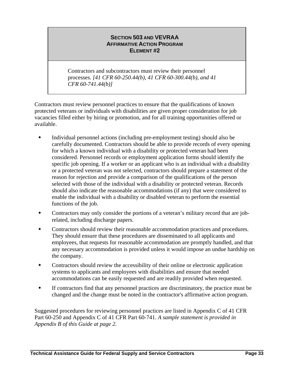#### **SECTION 503 AND VEVRAA AFFIRMATIVE ACTION PROGRAM ELEMENT #2**

Contractors and subcontractors must review their personnel processes. *[41 CFR 60-250.44(b), 41 CFR 60-300.44(b), and 41 CFR 60-741.44(b)]*

Contractors must review personnel practices to ensure that the qualifications of known protected veterans or individuals with disabilities are given proper consideration for job vacancies filled either by hiring or promotion, and for all training opportunities offered or available.

- Individual personnel actions (including pre-employment testing) should also be carefully documented. Contractors should be able to provide records of every opening for which a known individual with a disability or protected veteran had been considered. Personnel records or employment application forms should identify the specific job opening. If a worker or an applicant who is an individual with a disability or a protected veteran was not selected, contractors should prepare a statement of the reason for rejection and provide a comparison of the qualifications of the person selected with those of the individual with a disability or protected veteran. Records should also indicate the reasonable accommodations (if any) that were considered to enable the individual with a disability or disabled veteran to perform the essential functions of the job.
- Contractors may only consider the portions of a veteran's military record that are jobrelated, including discharge papers.
- Contractors should review their reasonable accommodation practices and procedures. They should ensure that these procedures are disseminated to all applicants and employees, that requests for reasonable accommodation are promptly handled, and that any necessary accommodation is provided unless it would impose an undue hardship on the company.
- Contractors should review the accessibility of their online or electronic application systems to applicants and employees with disabilities and ensure that needed accommodations can be easily requested and are readily provided when requested.
- If contractors find that any personnel practices are discriminatory, the practice must be changed and the change must be noted in the contractor's affirmative action program.

Suggested procedures for reviewing personnel practices are listed in Appendix C of 41 CFR Part 60-250 and Appendix C of 41 CFR Part 60-741. *A sample statement is provided in Appendix B of this Guide at page 2.*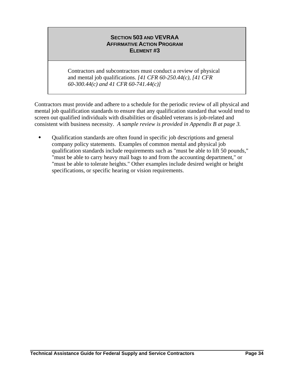Contractors and subcontractors must conduct a review of physical and mental job qualifications. *[41 CFR 60-250.44(c), [41 CFR 60-300.44(c) and 41 CFR 60-741.44(c)]*

Contractors must provide and adhere to a schedule for the periodic review of all physical and mental job qualification standards to ensure that any qualification standard that would tend to screen out qualified individuals with disabilities or disabled veterans is job-related and consistent with business necessity. *A sample review is provided in Appendix B at page 3.* 

 Qualification standards are often found in specific job descriptions and general company policy statements. Examples of common mental and physical job qualification standards include requirements such as "must be able to lift 50 pounds," "must be able to carry heavy mail bags to and from the accounting department," or "must be able to tolerate heights." Other examples include desired weight or height specifications, or specific hearing or vision requirements.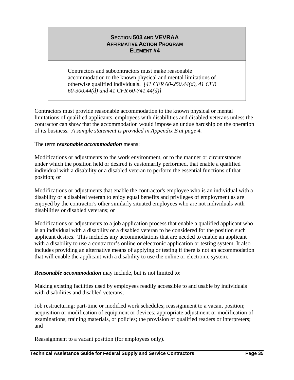Contractors and subcontractors must make reasonable accommodation to the known physical and mental limitations of otherwise qualified individuals. *[41 CFR 60-250.44(d), 41 CFR 60-300.44(d) and 41 CFR 60-741.44(d)]*

Contractors must provide reasonable accommodation to the known physical or mental limitations of qualified applicants, employees with disabilities and disabled veterans unless the contractor can show that the accommodation would impose an undue hardship on the operation of its business. *A sample statement is provided in Appendix B at page 4.* 

### The term *reasonable accommodation* means:

Modifications or adjustments to the work environment, or to the manner or circumstances under which the position held or desired is customarily performed, that enable a qualified individual with a disability or a disabled veteran to perform the essential functions of that position; or

Modifications or adjustments that enable the contractor's employee who is an individual with a disability or a disabled veteran to enjoy equal benefits and privileges of employment as are enjoyed by the contractor's other similarly situated employees who are not individuals with disabilities or disabled veterans; or

Modifications or adjustments to a job application process that enable a qualified applicant who is an individual with a disability or a disabled veteran to be considered for the position such applicant desires. This includes any accommodations that are needed to enable an applicant with a disability to use a contractor's online or electronic application or testing system. It also includes providing an alternative means of applying or testing if there is not an accommodation that will enable the applicant with a disability to use the online or electronic system.

### *Reasonable accommodation* may include, but is not limited to:

Making existing facilities used by employees readily accessible to and usable by individuals with disabilities and disabled veterans;

Job restructuring; part-time or modified work schedules; reassignment to a vacant position; acquisition or modification of equipment or devices; appropriate adjustment or modification of examinations, training materials, or policies; the provision of qualified readers or interpreters; and

Reassignment to a vacant position (for employees only).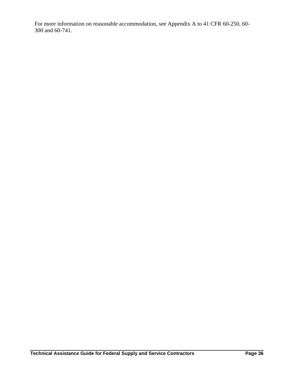For more information on reasonable accommodation, see Appendix A to 41 CFR 60-250, 60- 300 and 60-741.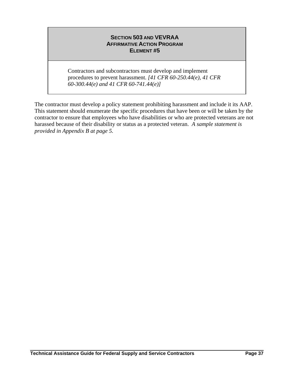Contractors and subcontractors must develop and implement procedures to prevent harassment. *[41 CFR 60-250.44(e), 41 CFR 60-300.44(e) and 41 CFR 60-741.44(e)]*

The contractor must develop a policy statement prohibiting harassment and include it its AAP. This statement should enumerate the specific procedures that have been or will be taken by the contractor to ensure that employees who have disabilities or who are protected veterans are not harassed because of their disability or status as a protected veteran. *A sample statement is provided in Appendix B at page 5.*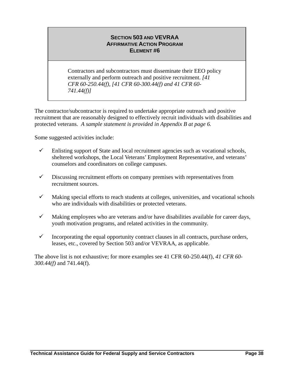Contractors and subcontractors must disseminate their EEO policy externally and perform outreach and positive recruitment. *[41 CFR 60-250.44(f), [41 CFR 60-300.44(f) and 41 CFR 60- 741.44(f)]*

The contractor/subcontractor is required to undertake appropriate outreach and positive recruitment that are reasonably designed to effectively recruit individuals with disabilities and protected veterans. *A sample statement is provided in Appendix B at page 6.*

Some suggested activities include:

- $\checkmark$  Enlisting support of State and local recruitment agencies such as vocational schools, sheltered workshops, the Local Veterans' Employment Representative, and veterans' counselors and coordinators on college campuses.
- $\checkmark$  Discussing recruitment efforts on company premises with representatives from recruitment sources.
- $\checkmark$  Making special efforts to reach students at colleges, universities, and vocational schools who are individuals with disabilities or protected veterans.
- $\checkmark$  Making employees who are veterans and/or have disabilities available for career days, youth motivation programs, and related activities in the community.
- $\checkmark$  Incorporating the equal opportunity contract clauses in all contracts, purchase orders, leases, etc., covered by Section 503 and/or VEVRAA, as applicable.

The above list is not exhaustive; for more examples see 41 CFR 60-250.44(f), *41 CFR 60- 300.44(f)* and 741.44(f).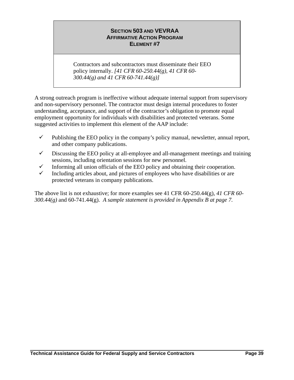Contractors and subcontractors must disseminate their EEO policy internally. *[41 CFR 60-250.44(g), 41 CFR 60- 300.44(g) and 41 CFR 60-741.44(g)]*

A strong outreach program is ineffective without adequate internal support from supervisory and non-supervisory personnel. The contractor must design internal procedures to foster understanding, acceptance, and support of the contractor's obligation to promote equal employment opportunity for individuals with disabilities and protected veterans. Some suggested activities to implement this element of the AAP include:

- $\checkmark$  Publishing the EEO policy in the company's policy manual, newsletter, annual report, and other company publications.
- $\checkmark$  Discussing the EEO policy at all-employee and all-management meetings and training sessions, including orientation sessions for new personnel.
- $\checkmark$  Informing all union officials of the EEO policy and obtaining their cooperation.
- $\checkmark$  Including articles about, and pictures of employees who have disabilities or are protected veterans in company publications.

The above list is not exhaustive; for more examples see 41 CFR 60-250.44(g), *41 CFR 60- 300.44(g)* and 60-741.44(g). *A sample statement is provided in Appendix B at page 7.*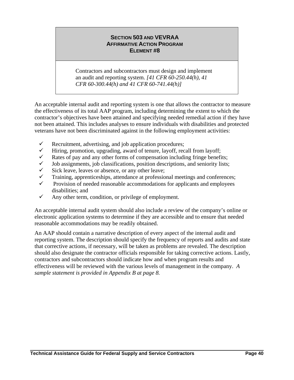Contractors and subcontractors must design and implement an audit and reporting system. *[41 CFR 60-250.44(h), 41 CFR 60-300.44(h) and 41 CFR 60-741.44(h)]*

An acceptable internal audit and reporting system is one that allows the contractor to measure the effectiveness of its total AAP program, including determining the extent to which the contractor's objectives have been attained and specifying needed remedial action if they have not been attained. This includes analyses to ensure individuals with disabilities and protected veterans have not been discriminated against in the following employment activities:

- $\checkmark$  Recruitment, advertising, and job application procedures;
- $\checkmark$  Hiring, promotion, upgrading, award of tenure, layoff, recall from layoff;
- Rates of pay and any other forms of compensation including fringe benefits;
- $\checkmark$  Job assignments, job classifications, position descriptions, and seniority lists;
- $\checkmark$  Sick leave, leaves or absence, or any other leave;
- $\checkmark$  Training, apprenticeships, attendance at professional meetings and conferences;
- $\checkmark$  Provision of needed reasonable accommodations for applicants and employees disabilities; and
- $\checkmark$  Any other term, condition, or privilege of employment.

An acceptable internal audit system should also include a review of the company's online or electronic application systems to determine if they are accessible and to ensure that needed reasonable accommodations may be readily obtained.

An AAP should contain a narrative description of every aspect of the internal audit and reporting system. The description should specify the frequency of reports and audits and state that corrective actions, if necessary, will be taken as problems are revealed. The description should also designate the contractor officials responsible for taking corrective actions. Lastly, contractors and subcontractors should indicate how and when program results and effectiveness will be reviewed with the various levels of management in the company. *A sample statement is provided in Appendix B at page 8.*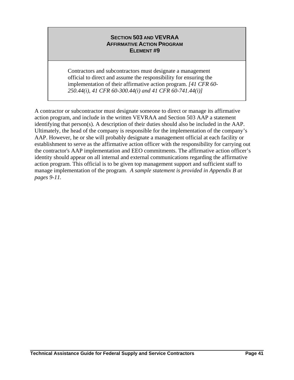Contractors and subcontractors must designate a management official to direct and assume the responsibility for ensuring the implementation of their affirmative action program. *[41 CFR 60- 250.44(i), 41 CFR 60-300.44(i) and 41 CFR 60-741.44(i)]*

A contractor or subcontractor must designate someone to direct or manage its affirmative action program, and include in the written VEVRAA and Section 503 AAP a statement identifying that person(s). A description of their duties should also be included in the AAP. Ultimately, the head of the company is responsible for the implementation of the company's AAP. However, he or she will probably designate a management official at each facility or establishment to serve as the affirmative action officer with the responsibility for carrying out the contractor's AAP implementation and EEO commitments. The affirmative action officer's identity should appear on all internal and external communications regarding the affirmative action program. This official is to be given top management support and sufficient staff to manage implementation of the program*. A sample statement is provided in Appendix B at pages 9-11.*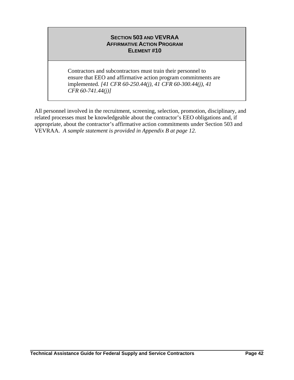Contractors and subcontractors must train their personnel to ensure that EEO and affirmative action program commitments are implemented. *[41 CFR 60-250.44(j), 41 CFR 60-300.44(j), 41 CFR 60-741.44(j)]*

All personnel involved in the recruitment, screening, selection, promotion, disciplinary, and related processes must be knowledgeable about the contractor's EEO obligations and, if appropriate, about the contractor's affirmative action commitments under Section 503 and VEVRAA. *A sample statement is provided in Appendix B at page 12.*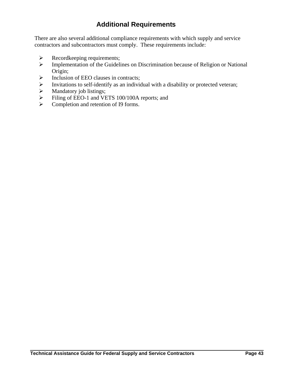# **Additional Requirements**

There are also several additional compliance requirements with which supply and service contractors and subcontractors must comply. These requirements include:

- $\triangleright$  Recordkeeping requirements;
- ¾ Implementation of the Guidelines on Discrimination because of Religion or National Origin;
- $\triangleright$  Inclusion of EEO clauses in contracts;
- ¾ Invitations to self-identify as an individual with a disability or protected veteran;
- $\triangleright$  Mandatory job listings;
- ¾ Filing of EEO-1 and VETS 100/100A reports; and
- $\triangleright$  Completion and retention of I9 forms.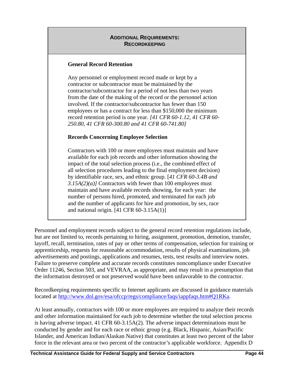### **ADDITIONAL REQUIREMENTS: RECORDKEEPING**

### **General Record Retention**

Any personnel or employment record made or kept by a contractor or subcontractor must be maintained by the contractor/subcontractor for a period of not less than two years from the date of the making of the record or the personnel action involved. If the contractor/subcontractor has fewer than 150 employees or has a contract for less than \$150,000 the minimum record retention period is one year. *[41 CFR 60-1.12, 41 CFR 60- 250.80, 41 CFR 60-300.80 and 41 CFR 60-741.80]* 

### **Records Concerning Employee Selection**

Contractors with 100 or more employees must maintain and have available for each job records and other information showing the impact of the total selection process (i.e., the combined effect of all selection procedures leading to the final employment decision) by identifiable race, sex, and ethnic group. [*41 CFR 60-3.4B and 3.15A(2)(a)]* Contractors with fewer than 100 employees must maintain and have available records showing, for each year: the number of persons hired, promoted, and terminated for each job and the number of applicants for hire and promotion, by sex, race and national origin.  $[41 \text{ CFR } 60-3.15 \text{A}(1)]$ 

Personnel and employment records subject to the general record retention regulations include, but are not limited to, records pertaining to hiring, assignment, promotion, demotion, transfer, layoff, recall, termination, rates of pay or other terms of compensation, selection for training or apprenticeship, requests for reasonable accommodation, results of physical examinations, job advertisements and postings, applications and resumes, tests, test results and interview notes. Failure to preserve complete and accurate records constitutes noncompliance under Executive Order 11246, Section 503, and VEVRAA, as appropriate, and may result in a presumption that the information destroyed or not preserved would have been unfavorable to the contractor.

Recordkeeping requirements specific to Internet applicants are discussed in guidance materials located at [http://www.dol.gov/esa/ofccp/regs/compliance/faqs/iappfaqs.htm#Q1RKa.](http://www.dol.gov/esa/ofccp/regs/compliance/faqs/iappfaqs.htm#Q1RKa)

At least annually, contractors with 100 or more employees are required to analyze their records and other information maintained for each job to determine whether the total selection process is having adverse impact. 41 CFR 60-3.15A(2). The adverse impact determinations must be conducted by gender and for each race or ethnic group (e.g. Black, Hispanic, Asian/Pacific Islander, and American Indian/Alaskan Native) that constitutes at least two percent of the labor force in the relevant area or two percent of the contractor's applicable workforce. Appendix D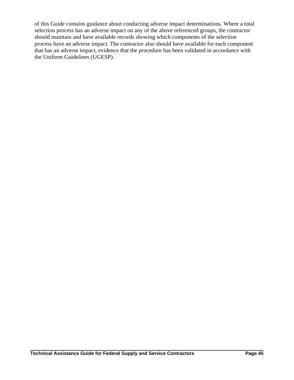of this Guide contains guidance about conducting adverse impact determinations. Where a total selection process has an adverse impact on any of the above referenced groups, the contractor should maintain and have available records showing which components of the selection process have an adverse impact. The contractor also should have available for each component that has an adverse impact, evidence that the procedure has been validated in accordance with the Uniform Guidelines (UGESP).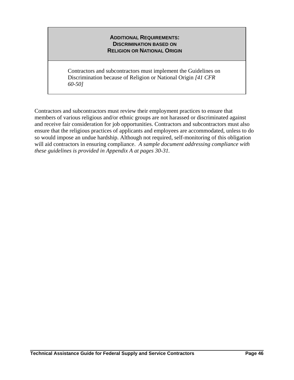### **ADDITIONAL REQUIREMENTS: DISCRIMINATION BASED ON RELIGION OR NATIONAL ORIGIN**

Contractors and subcontractors must implement the Guidelines on Discrimination because of Religion or National Origin *[41 CFR 60-50]*

Contractors and subcontractors must review their employment practices to ensure that members of various religious and/or ethnic groups are not harassed or discriminated against and receive fair consideration for job opportunities. Contractors and subcontractors must also ensure that the religious practices of applicants and employees are accommodated, unless to do so would impose an undue hardship. Although not required, self-monitoring of this obligation will aid contractors in ensuring compliance. *A sample document addressing compliance with these guidelines is provided in Appendix A at pages 30-31.*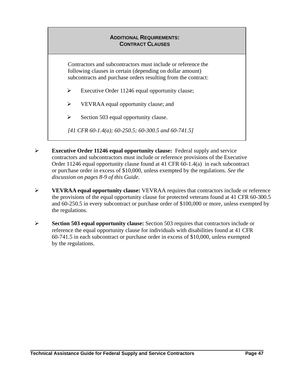### **ADDITIONAL REQUIREMENTS: CONTRACT CLAUSES**

Contractors and subcontractors must include or reference the following clauses in certain (depending on dollar amount) subcontracts and purchase orders resulting from the contract:

- $\triangleright$  Executive Order 11246 equal opportunity clause;
- ¾ VEVRAA equal opportunity clause; and
- $\triangleright$  Section 503 equal opportunity clause.
- *[41 CFR 60-1.4(a); 60-250.5; 60-300.5 and 60-741.5]*
- ¾ **Executive Order 11246 equal opportunity clause:** Federal supply and service contractors and subcontractors must include or reference provisions of the Executive Order 11246 equal opportunity clause found at 41 CFR 60-1.4(a) in each subcontract or purchase order in excess of \$10,000, unless exempted by the regulations. *See the discussion on pages 8-9 of this Guide*.
- ¾ **VEVRAA equal opportunity clause:** VEVRAA requires that contractors include or reference the provisions of the equal opportunity clause for protected veterans found at 41 CFR 60-300.5 and 60-250.5 in every subcontract or purchase order of \$100,000 or more, unless exempted by the regulations.
- ¾ **Section 503 equal opportunity clause:** Section 503 requires that contractors include or reference the equal opportunity clause for individuals with disabilities found at 41 CFR 60-741.5 in each subcontract or purchase order in excess of \$10,000, unless exempted by the regulations.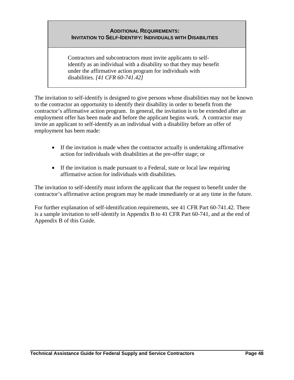### **ADDITIONAL REQUIREMENTS: INVITATION TO SELF-IDENTIFY: INDIVIDUALS WITH DISABILITIES**

Contractors and subcontractors must invite applicants to selfidentify as an individual with a disability so that they may benefit under the affirmative action program for individuals with disabilities. *[41 CFR 60-741.42]* 

The invitation to self-identify is designed to give persons whose disabilities may not be known to the contractor an opportunity to identify their disability in order to benefit from the contractor's affirmative action program. In general, the invitation is to be extended after an employment offer has been made and before the applicant begins work. A contractor may invite an applicant to self-identify as an individual with a disability before an offer of employment has been made:

- If the invitation is made when the contractor actually is undertaking affirmative action for individuals with disabilities at the pre-offer stage; or
- If the invitation is made pursuant to a Federal, state or local law requiring affirmative action for individuals with disabilities.

The invitation to self-identify must inform the applicant that the request to benefit under the contractor's affirmative action program may be made immediately or at any time in the future.

For further explanation of self-identification requirements, see 41 CFR Part 60-741.42. There is a sample invitation to self-identify in Appendix B to 41 CFR Part 60-741, and at the end of Appendix B of this Guide.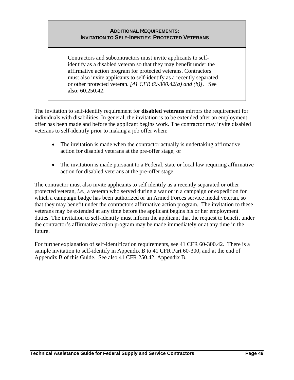### **ADDITIONAL REQUIREMENTS: INVITATION TO SELF-IDENTIFY: PROTECTED VETERANS**

Contractors and subcontractors must invite applicants to selfidentify as a disabled veteran so that they may benefit under the affirmative action program for protected veterans. Contractors must also invite applicants to self-identify as a recently separated or other protected veteran. *[41 CFR 60-300.42(a) and (b)]*. See also: 60.250.42.

The invitation to self-identify requirement for **disabled veterans** mirrors the requirement for individuals with disabilities. In general, the invitation is to be extended after an employment offer has been made and before the applicant begins work. The contractor may invite disabled veterans to self-identify prior to making a job offer when:

- The invitation is made when the contractor actually is undertaking affirmative action for disabled veterans at the pre-offer stage; or
- The invitation is made pursuant to a Federal, state or local law requiring affirmative action for disabled veterans at the pre-offer stage.

The contractor must also invite applicants to self identify as a recently separated or other protected veteran, *i.e.,* a veteran who served during a war or in a campaign or expedition for which a campaign badge has been authorized or an Armed Forces service medal veteran, so that they may benefit under the contractors affirmative action program.The invitation to these veterans may be extended at any time before the applicant begins his or her employment duties. The invitation to self-identify must inform the applicant that the request to benefit under the contractor's affirmative action program may be made immediately or at any time in the future.

For further explanation of self-identification requirements, see 41 CFR 60-300.42. There is a sample invitation to self-identify in Appendix B to 41 CFR Part 60-300, and at the end of Appendix B of this Guide. See also 41 CFR 250.42, Appendix B.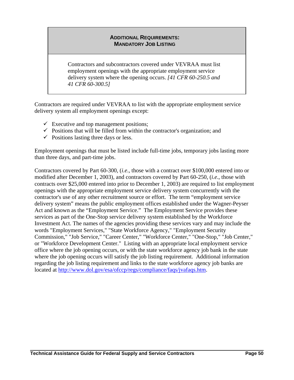### **ADDITIONAL REQUIREMENTS: MANDATORY JOB LISTING**

Contractors and subcontractors covered under VEVRAA must list employment openings with the appropriate employment service delivery system where the opening occurs. *[41 CFR 60-250.5 and 41 CFR 60-300.5]* 

Contractors are required under VEVRAA to list with the appropriate employment service delivery system all employment openings except:

- $\checkmark$  Executive and top management positions;
- $\checkmark$  Positions that will be filled from within the contractor's organization; and
- $\checkmark$  Positions lasting three days or less.

Employment openings that must be listed include full-time jobs, temporary jobs lasting more than three days, and part-time jobs.

Contractors covered by Part 60-300, (*i.e*., those with a contract over \$100,000 entered into or modified after December 1, 2003), and contractors covered by Part 60-250, (*i.e*., those with contracts over \$25,000 entered into prior to December 1, 2003) are required to list employment openings with the appropriate employment service delivery system concurrently with the contractor's use of any other recruitment source or effort. The term "employment service delivery system" means the public employment offices established under the Wagner-Peyser Act and known as the "Employment Service." The Employment Service provides these services as part of the One-Stop service delivery system established by the Workforce Investment Act. The names of the agencies providing these services vary and may include the words "Employment Services," "State Workforce Agency," "Employment Security Commission," "Job Service," "Career Center," "Workforce Center," "One-Stop," "Job Center," or "Workforce Development Center." Listing with an appropriate local employment service office where the job opening occurs, or with the state workforce agency job bank in the state where the job opening occurs will satisfy the job listing requirement. Additional information regarding the job listing requirement and links to the state workforce agency job banks are located at [http://www.dol.gov/esa/ofccp/regs/compliance/faqs/jvafaqs.htm.](http://www.dol.gov/esa/ofccp/regs/compliance/faqs/jvafaqs.htm)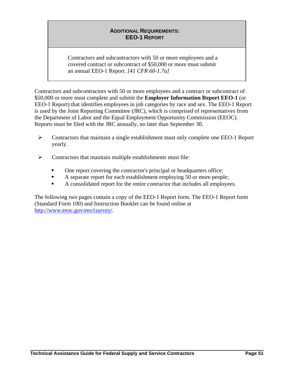### **ADDITIONAL REQUIREMENTS: EEO-1 REPORT**

Contractors and subcontractors with 50 or more employees and a covered contract or subcontract of \$50,000 or more must submit an annual EEO-1 Report. *[41 CFR 60-1.7a]*

Contractors and subcontractors with 50 or more employees and a contract or subcontract of \$50,000 or more must complete and submit the **Employer Information Report EEO-1** (or EEO-1 Report) that identifies employees in job categories by race and sex. The EEO-1 Report is used by the Joint Reporting Committee (JRC), which is comprised of representatives from the Department of Labor and the Equal Employment Opportunity Commission (EEOC). Reports must be filed with the JRC annually, no later than September 30.

- $\triangleright$  Contractors that maintain a single establishment must only complete one EEO-1 Report yearly.
- $\triangleright$  Contractors that maintain multiple establishments must file:
	- One report covering the contractor's principal or headquarters office;
	- A separate report for each establishment employing 50 or more people;
	- A consolidated report for the entire contractor that includes all employees.

The following two pages contain a copy of the EEO-1 Report form. The EEO-1 Report form (Standard Form 100) and Instruction Booklet can be found online at [http://www.eeoc.gov/eeo1survey/.](http://www.eeoc.gov/eeo1survey/)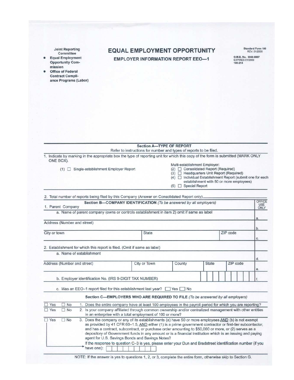**Joint Reporting** Committee

 $\bullet$ **Equal Employment Opportunity Com**mission

Office of Federal  $\bullet$ **Contract Compli**ance Programs (Labor)

### **EQUAL EMPLOYMENT OPPORTUNITY EMPLOYER INFORMATION REPORT EEO-1**

Standard Form 100<br>REV. 01/2006

O.M.B. No. 3048-0007<br>EXPIRES 01/2009<br>100-214

| Refer to instructions for number and types of reports to be filed.<br>1. Indicate by marking in the appropriate box the type of reporting unit for which this copy of the form is submitted (MARK ONLY<br>ONE BOX).<br>Multi-establishment Employer:<br>(2) □ Consolidated Report (Required)<br>$(1)$ Single-establishment Employer Report<br>(3) <b>Headquarters Unit Report (Required)</b><br>(4) □ Individual Establishment Report (submit one for each<br>establishment with 50 or more employees)<br>$(5)$ $\Box$ Special Report<br>2. Total number of reports being filed by this Company (Answer on Consolidated Report only).<br>Section B-COMPANY IDENTIFICATION (To be answered by all employers)<br>USE<br>ONLY<br>1. Parent Company<br>a. Name of parent company (owns or controls establishment in item 2) omit if same as label<br>a.<br>Address (Number and street)<br>b.<br>ZIP code<br>City or town<br><b>State</b><br>C.<br>2. Establishment for which this report is filed. (Omit if same as label)<br>a. Name of establishment<br>d.<br>City or Town<br>ZIP code<br>Address (Number and street)<br>County<br><b>State</b><br>е.<br>b. Employer identification No. (IRS 9-DIGIT TAX NUMBER)<br>c. Was an EEO-1 report filed for this establishment last year? $\Box$ Yes $\Box$ No<br>Section C-EMPLOYERS WHO ARE REQUIRED TO FILE (To be answered by all employers)<br>$\Box$ No<br>Yes<br>1. Does the entire company have at least 100 employees in the payroll period for which you are reporting?<br>Yes<br>$\Box$ No<br>2. Is your company affiliated through common ownership and/or centralized management with other entities<br>in an enterprise with a total employment of 100 or more?<br>$\Box$ Yes<br>3. Does the company or any of its establishments (a) have 50 or more employees AND (b) is not exempt<br>$\Box$ No<br>as provided by 41 CFR 60-1.5, AND either (1) is a prime government contractor or first-tier subcontactor,<br>and has a contract, subcontract, or purchase order amounting to \$50,000 or more, or (2) serves as a<br>depository of Government funds in any amount or is a financial institution which is an issuing and paying<br>agent for U.S. Savings Bonds and Savings Notes?<br>If the response to question C-3 is yes, please enter your Dun and Bradstreet identification number (if you<br>have one): |  | <b>Section A-TYPE OF REPORT</b> |  |  |  |        |
|--------------------------------------------------------------------------------------------------------------------------------------------------------------------------------------------------------------------------------------------------------------------------------------------------------------------------------------------------------------------------------------------------------------------------------------------------------------------------------------------------------------------------------------------------------------------------------------------------------------------------------------------------------------------------------------------------------------------------------------------------------------------------------------------------------------------------------------------------------------------------------------------------------------------------------------------------------------------------------------------------------------------------------------------------------------------------------------------------------------------------------------------------------------------------------------------------------------------------------------------------------------------------------------------------------------------------------------------------------------------------------------------------------------------------------------------------------------------------------------------------------------------------------------------------------------------------------------------------------------------------------------------------------------------------------------------------------------------------------------------------------------------------------------------------------------------------------------------------------------------------------------------------------------------------------------------------------------------------------------------------------------------------------------------------------------------------------------------------------------------------------------------------------------------------------------------------------------------------------------------------------------------------------------------------------------------------------------------------------------------------|--|---------------------------------|--|--|--|--------|
|                                                                                                                                                                                                                                                                                                                                                                                                                                                                                                                                                                                                                                                                                                                                                                                                                                                                                                                                                                                                                                                                                                                                                                                                                                                                                                                                                                                                                                                                                                                                                                                                                                                                                                                                                                                                                                                                                                                                                                                                                                                                                                                                                                                                                                                                                                                                                                          |  |                                 |  |  |  |        |
|                                                                                                                                                                                                                                                                                                                                                                                                                                                                                                                                                                                                                                                                                                                                                                                                                                                                                                                                                                                                                                                                                                                                                                                                                                                                                                                                                                                                                                                                                                                                                                                                                                                                                                                                                                                                                                                                                                                                                                                                                                                                                                                                                                                                                                                                                                                                                                          |  |                                 |  |  |  |        |
|                                                                                                                                                                                                                                                                                                                                                                                                                                                                                                                                                                                                                                                                                                                                                                                                                                                                                                                                                                                                                                                                                                                                                                                                                                                                                                                                                                                                                                                                                                                                                                                                                                                                                                                                                                                                                                                                                                                                                                                                                                                                                                                                                                                                                                                                                                                                                                          |  |                                 |  |  |  |        |
|                                                                                                                                                                                                                                                                                                                                                                                                                                                                                                                                                                                                                                                                                                                                                                                                                                                                                                                                                                                                                                                                                                                                                                                                                                                                                                                                                                                                                                                                                                                                                                                                                                                                                                                                                                                                                                                                                                                                                                                                                                                                                                                                                                                                                                                                                                                                                                          |  |                                 |  |  |  |        |
|                                                                                                                                                                                                                                                                                                                                                                                                                                                                                                                                                                                                                                                                                                                                                                                                                                                                                                                                                                                                                                                                                                                                                                                                                                                                                                                                                                                                                                                                                                                                                                                                                                                                                                                                                                                                                                                                                                                                                                                                                                                                                                                                                                                                                                                                                                                                                                          |  |                                 |  |  |  |        |
|                                                                                                                                                                                                                                                                                                                                                                                                                                                                                                                                                                                                                                                                                                                                                                                                                                                                                                                                                                                                                                                                                                                                                                                                                                                                                                                                                                                                                                                                                                                                                                                                                                                                                                                                                                                                                                                                                                                                                                                                                                                                                                                                                                                                                                                                                                                                                                          |  |                                 |  |  |  |        |
|                                                                                                                                                                                                                                                                                                                                                                                                                                                                                                                                                                                                                                                                                                                                                                                                                                                                                                                                                                                                                                                                                                                                                                                                                                                                                                                                                                                                                                                                                                                                                                                                                                                                                                                                                                                                                                                                                                                                                                                                                                                                                                                                                                                                                                                                                                                                                                          |  |                                 |  |  |  |        |
|                                                                                                                                                                                                                                                                                                                                                                                                                                                                                                                                                                                                                                                                                                                                                                                                                                                                                                                                                                                                                                                                                                                                                                                                                                                                                                                                                                                                                                                                                                                                                                                                                                                                                                                                                                                                                                                                                                                                                                                                                                                                                                                                                                                                                                                                                                                                                                          |  |                                 |  |  |  |        |
|                                                                                                                                                                                                                                                                                                                                                                                                                                                                                                                                                                                                                                                                                                                                                                                                                                                                                                                                                                                                                                                                                                                                                                                                                                                                                                                                                                                                                                                                                                                                                                                                                                                                                                                                                                                                                                                                                                                                                                                                                                                                                                                                                                                                                                                                                                                                                                          |  |                                 |  |  |  | OFFICE |
|                                                                                                                                                                                                                                                                                                                                                                                                                                                                                                                                                                                                                                                                                                                                                                                                                                                                                                                                                                                                                                                                                                                                                                                                                                                                                                                                                                                                                                                                                                                                                                                                                                                                                                                                                                                                                                                                                                                                                                                                                                                                                                                                                                                                                                                                                                                                                                          |  |                                 |  |  |  |        |
|                                                                                                                                                                                                                                                                                                                                                                                                                                                                                                                                                                                                                                                                                                                                                                                                                                                                                                                                                                                                                                                                                                                                                                                                                                                                                                                                                                                                                                                                                                                                                                                                                                                                                                                                                                                                                                                                                                                                                                                                                                                                                                                                                                                                                                                                                                                                                                          |  |                                 |  |  |  |        |
|                                                                                                                                                                                                                                                                                                                                                                                                                                                                                                                                                                                                                                                                                                                                                                                                                                                                                                                                                                                                                                                                                                                                                                                                                                                                                                                                                                                                                                                                                                                                                                                                                                                                                                                                                                                                                                                                                                                                                                                                                                                                                                                                                                                                                                                                                                                                                                          |  |                                 |  |  |  |        |
|                                                                                                                                                                                                                                                                                                                                                                                                                                                                                                                                                                                                                                                                                                                                                                                                                                                                                                                                                                                                                                                                                                                                                                                                                                                                                                                                                                                                                                                                                                                                                                                                                                                                                                                                                                                                                                                                                                                                                                                                                                                                                                                                                                                                                                                                                                                                                                          |  |                                 |  |  |  |        |
|                                                                                                                                                                                                                                                                                                                                                                                                                                                                                                                                                                                                                                                                                                                                                                                                                                                                                                                                                                                                                                                                                                                                                                                                                                                                                                                                                                                                                                                                                                                                                                                                                                                                                                                                                                                                                                                                                                                                                                                                                                                                                                                                                                                                                                                                                                                                                                          |  |                                 |  |  |  |        |
|                                                                                                                                                                                                                                                                                                                                                                                                                                                                                                                                                                                                                                                                                                                                                                                                                                                                                                                                                                                                                                                                                                                                                                                                                                                                                                                                                                                                                                                                                                                                                                                                                                                                                                                                                                                                                                                                                                                                                                                                                                                                                                                                                                                                                                                                                                                                                                          |  |                                 |  |  |  |        |
|                                                                                                                                                                                                                                                                                                                                                                                                                                                                                                                                                                                                                                                                                                                                                                                                                                                                                                                                                                                                                                                                                                                                                                                                                                                                                                                                                                                                                                                                                                                                                                                                                                                                                                                                                                                                                                                                                                                                                                                                                                                                                                                                                                                                                                                                                                                                                                          |  |                                 |  |  |  |        |
|                                                                                                                                                                                                                                                                                                                                                                                                                                                                                                                                                                                                                                                                                                                                                                                                                                                                                                                                                                                                                                                                                                                                                                                                                                                                                                                                                                                                                                                                                                                                                                                                                                                                                                                                                                                                                                                                                                                                                                                                                                                                                                                                                                                                                                                                                                                                                                          |  |                                 |  |  |  |        |
|                                                                                                                                                                                                                                                                                                                                                                                                                                                                                                                                                                                                                                                                                                                                                                                                                                                                                                                                                                                                                                                                                                                                                                                                                                                                                                                                                                                                                                                                                                                                                                                                                                                                                                                                                                                                                                                                                                                                                                                                                                                                                                                                                                                                                                                                                                                                                                          |  |                                 |  |  |  |        |
|                                                                                                                                                                                                                                                                                                                                                                                                                                                                                                                                                                                                                                                                                                                                                                                                                                                                                                                                                                                                                                                                                                                                                                                                                                                                                                                                                                                                                                                                                                                                                                                                                                                                                                                                                                                                                                                                                                                                                                                                                                                                                                                                                                                                                                                                                                                                                                          |  |                                 |  |  |  |        |
|                                                                                                                                                                                                                                                                                                                                                                                                                                                                                                                                                                                                                                                                                                                                                                                                                                                                                                                                                                                                                                                                                                                                                                                                                                                                                                                                                                                                                                                                                                                                                                                                                                                                                                                                                                                                                                                                                                                                                                                                                                                                                                                                                                                                                                                                                                                                                                          |  |                                 |  |  |  |        |
|                                                                                                                                                                                                                                                                                                                                                                                                                                                                                                                                                                                                                                                                                                                                                                                                                                                                                                                                                                                                                                                                                                                                                                                                                                                                                                                                                                                                                                                                                                                                                                                                                                                                                                                                                                                                                                                                                                                                                                                                                                                                                                                                                                                                                                                                                                                                                                          |  |                                 |  |  |  |        |
|                                                                                                                                                                                                                                                                                                                                                                                                                                                                                                                                                                                                                                                                                                                                                                                                                                                                                                                                                                                                                                                                                                                                                                                                                                                                                                                                                                                                                                                                                                                                                                                                                                                                                                                                                                                                                                                                                                                                                                                                                                                                                                                                                                                                                                                                                                                                                                          |  |                                 |  |  |  |        |
|                                                                                                                                                                                                                                                                                                                                                                                                                                                                                                                                                                                                                                                                                                                                                                                                                                                                                                                                                                                                                                                                                                                                                                                                                                                                                                                                                                                                                                                                                                                                                                                                                                                                                                                                                                                                                                                                                                                                                                                                                                                                                                                                                                                                                                                                                                                                                                          |  |                                 |  |  |  |        |
|                                                                                                                                                                                                                                                                                                                                                                                                                                                                                                                                                                                                                                                                                                                                                                                                                                                                                                                                                                                                                                                                                                                                                                                                                                                                                                                                                                                                                                                                                                                                                                                                                                                                                                                                                                                                                                                                                                                                                                                                                                                                                                                                                                                                                                                                                                                                                                          |  |                                 |  |  |  |        |
|                                                                                                                                                                                                                                                                                                                                                                                                                                                                                                                                                                                                                                                                                                                                                                                                                                                                                                                                                                                                                                                                                                                                                                                                                                                                                                                                                                                                                                                                                                                                                                                                                                                                                                                                                                                                                                                                                                                                                                                                                                                                                                                                                                                                                                                                                                                                                                          |  |                                 |  |  |  |        |
|                                                                                                                                                                                                                                                                                                                                                                                                                                                                                                                                                                                                                                                                                                                                                                                                                                                                                                                                                                                                                                                                                                                                                                                                                                                                                                                                                                                                                                                                                                                                                                                                                                                                                                                                                                                                                                                                                                                                                                                                                                                                                                                                                                                                                                                                                                                                                                          |  |                                 |  |  |  |        |
|                                                                                                                                                                                                                                                                                                                                                                                                                                                                                                                                                                                                                                                                                                                                                                                                                                                                                                                                                                                                                                                                                                                                                                                                                                                                                                                                                                                                                                                                                                                                                                                                                                                                                                                                                                                                                                                                                                                                                                                                                                                                                                                                                                                                                                                                                                                                                                          |  |                                 |  |  |  |        |
|                                                                                                                                                                                                                                                                                                                                                                                                                                                                                                                                                                                                                                                                                                                                                                                                                                                                                                                                                                                                                                                                                                                                                                                                                                                                                                                                                                                                                                                                                                                                                                                                                                                                                                                                                                                                                                                                                                                                                                                                                                                                                                                                                                                                                                                                                                                                                                          |  |                                 |  |  |  |        |
|                                                                                                                                                                                                                                                                                                                                                                                                                                                                                                                                                                                                                                                                                                                                                                                                                                                                                                                                                                                                                                                                                                                                                                                                                                                                                                                                                                                                                                                                                                                                                                                                                                                                                                                                                                                                                                                                                                                                                                                                                                                                                                                                                                                                                                                                                                                                                                          |  |                                 |  |  |  |        |
|                                                                                                                                                                                                                                                                                                                                                                                                                                                                                                                                                                                                                                                                                                                                                                                                                                                                                                                                                                                                                                                                                                                                                                                                                                                                                                                                                                                                                                                                                                                                                                                                                                                                                                                                                                                                                                                                                                                                                                                                                                                                                                                                                                                                                                                                                                                                                                          |  |                                 |  |  |  |        |
|                                                                                                                                                                                                                                                                                                                                                                                                                                                                                                                                                                                                                                                                                                                                                                                                                                                                                                                                                                                                                                                                                                                                                                                                                                                                                                                                                                                                                                                                                                                                                                                                                                                                                                                                                                                                                                                                                                                                                                                                                                                                                                                                                                                                                                                                                                                                                                          |  |                                 |  |  |  |        |
|                                                                                                                                                                                                                                                                                                                                                                                                                                                                                                                                                                                                                                                                                                                                                                                                                                                                                                                                                                                                                                                                                                                                                                                                                                                                                                                                                                                                                                                                                                                                                                                                                                                                                                                                                                                                                                                                                                                                                                                                                                                                                                                                                                                                                                                                                                                                                                          |  |                                 |  |  |  |        |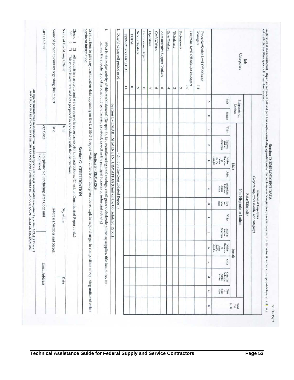| City and State                         | Name of person to contact regarding this report | Name of Certifying Official | Check<br>one<br>$\frac{1}{2}$<br>ㅁㅁ<br>This report is accurate and was prepared in accordance with the instructions.<br>All reports are accurate and were prepared in accordance with the instructions. (Check on Consolidated Report only.) |                           | pertinent information.<br>Use this item to give any identification data appearing on the last EEO-1 report which differs from that given above, explain major changes in composition of reporting units and other |                     | ۳<br>Include the specific type of product or type of service provided, as well as the principal business or industrial activity,<br>What is the major activity of this establishment? (Be specific, i.e., manufacturing steel castings, retail grocer, wholesale plumbin |                                                                         | ۳<br>Date(s) of payroll period used: | PREVIOUS YEAR TOTAL<br>Ξ | <b>TANTAI</b><br>õ | Service Workers<br>G | Laborers and Helpers<br>$\infty$ | Operatives<br>$\sim$ | Craft Workers<br>ë | Administrative Support Workers<br>m | Sales Workers<br>$\tilde{\varphi}$ | Technicians<br>tά | Professionals<br>Z | First/Mid-Level Officials and Managers<br>1.2 | Executive/Senior Level Officials and<br>Managers<br>E |                         |                                                                                                                                                  |                                      | Categories             | <b>Job</b>     |                                         |
|----------------------------------------|-------------------------------------------------|-----------------------------|----------------------------------------------------------------------------------------------------------------------------------------------------------------------------------------------------------------------------------------------|---------------------------|-------------------------------------------------------------------------------------------------------------------------------------------------------------------------------------------------------------------|---------------------|--------------------------------------------------------------------------------------------------------------------------------------------------------------------------------------------------------------------------------------------------------------------------|-------------------------------------------------------------------------|--------------------------------------|--------------------------|--------------------|----------------------|----------------------------------|----------------------|--------------------|-------------------------------------|------------------------------------|-------------------|--------------------|-----------------------------------------------|-------------------------------------------------------|-------------------------|--------------------------------------------------------------------------------------------------------------------------------------------------|--------------------------------------|------------------------|----------------|-----------------------------------------|
|                                        |                                                 |                             |                                                                                                                                                                                                                                              |                           |                                                                                                                                                                                                                   |                     |                                                                                                                                                                                                                                                                          |                                                                         |                                      |                          |                    |                      |                                  |                      |                    |                                     |                                    |                   |                    |                                               |                                                       | $\!$                    | Male                                                                                                                                             |                                      |                        |                |                                         |
|                                        |                                                 |                             |                                                                                                                                                                                                                                              |                           |                                                                                                                                                                                                                   |                     |                                                                                                                                                                                                                                                                          |                                                                         |                                      |                          |                    |                      |                                  |                      |                    |                                     |                                    |                   |                    |                                               |                                                       | $\omega$                | Female                                                                                                                                           | <b>Latino</b>                        | Hispanic or            |                |                                         |
| Zip Code                               | Title                                           | Title                       |                                                                                                                                                                                                                                              |                           |                                                                                                                                                                                                                   |                     |                                                                                                                                                                                                                                                                          |                                                                         |                                      |                          |                    |                      |                                  |                      |                    |                                     |                                    |                   |                    |                                               |                                                       | $\mathcal{C}^{\prime}$  | <b>White</b>                                                                                                                                     |                                      |                        |                |                                         |
|                                        |                                                 |                             |                                                                                                                                                                                                                                              |                           |                                                                                                                                                                                                                   |                     |                                                                                                                                                                                                                                                                          |                                                                         |                                      |                          |                    |                      |                                  |                      |                    |                                     |                                    |                   |                    |                                               |                                                       | $\overline{\mathtt{c}}$ | American<br>Black or<br>African                                                                                                                  |                                      |                        |                |                                         |
| Extension)                             |                                                 |                             |                                                                                                                                                                                                                                              |                           |                                                                                                                                                                                                                   | Section F - REMARKS |                                                                                                                                                                                                                                                                          |                                                                         |                                      |                          |                    |                      |                                  |                      |                    |                                     |                                    |                   |                    |                                               |                                                       | Ħ                       | or<br>Pacific<br>Islander<br>Native<br>Iawaiian                                                                                                  | Male                                 |                        |                |                                         |
|                                        |                                                 |                             |                                                                                                                                                                                                                                              |                           |                                                                                                                                                                                                                   |                     |                                                                                                                                                                                                                                                                          |                                                                         |                                      |                          |                    |                      |                                  |                      |                    |                                     |                                    |                   |                    |                                               |                                                       | ÷,                      | Asian                                                                                                                                            |                                      |                        |                |                                         |
| Telephone No. (including Area Code and |                                                 |                             |                                                                                                                                                                                                                                              | Section G - CERTIFICATION |                                                                                                                                                                                                                   |                     |                                                                                                                                                                                                                                                                          | Section E - ESTABLISHMENT INFORMATION (Omit on the Consolidated Report. | (Omit on the Consolidated Report.)   |                          |                    |                      |                                  |                      |                    |                                     |                                    |                   |                    |                                               |                                                       | C.                      | $\begin{array}{l} \hspace{0.3cm}\textbf{Anmetean} \\ \textbf{Iudian or} \\ \textbf{Alaska} \\ \textbf{Native} \end{array}$                       |                                      |                        |                | (Report employees in only one category) |
|                                        |                                                 |                             |                                                                                                                                                                                                                                              |                           |                                                                                                                                                                                                                   |                     |                                                                                                                                                                                                                                                                          |                                                                         |                                      |                          |                    |                      |                                  |                      |                    |                                     |                                    |                   |                    |                                               |                                                       | x                       | more<br>races<br>Two<br>                                                                                                                         |                                      |                        | Race/Ethnicity | Number of Employees                     |
|                                        | Address (Number and Street)                     | Signature                   |                                                                                                                                                                                                                                              |                           |                                                                                                                                                                                                                   |                     |                                                                                                                                                                                                                                                                          |                                                                         |                                      |                          |                    |                      |                                  |                      |                    |                                     |                                    |                   |                    |                                               |                                                       | F                       | <b>White</b>                                                                                                                                     |                                      | Not-Hispanic or Latino |                |                                         |
|                                        |                                                 |                             |                                                                                                                                                                                                                                              |                           |                                                                                                                                                                                                                   |                     |                                                                                                                                                                                                                                                                          |                                                                         |                                      |                          |                    |                      |                                  |                      |                    |                                     |                                    |                   |                    |                                               |                                                       |                         | Апитиал<br><b>Black or</b><br>African                                                                                                            |                                      |                        |                |                                         |
|                                        |                                                 |                             |                                                                                                                                                                                                                                              |                           |                                                                                                                                                                                                                   |                     |                                                                                                                                                                                                                                                                          |                                                                         |                                      |                          |                    |                      |                                  |                      |                    |                                     |                                    |                   |                    |                                               |                                                       | ×                       | Native<br>Hawaiian<br>$\begin{array}{l} \mbox{or} \\ \mbox{Page} \\ \mbox{Page} \\ \mbox{Idander} \end{array}$                                   | Female                               |                        |                |                                         |
|                                        |                                                 |                             |                                                                                                                                                                                                                                              |                           |                                                                                                                                                                                                                   |                     |                                                                                                                                                                                                                                                                          |                                                                         |                                      |                          |                    |                      |                                  |                      |                    |                                     |                                    |                   |                    |                                               |                                                       | ۳                       | Asian                                                                                                                                            |                                      |                        |                |                                         |
| <b>Email Address</b>                   |                                                 | Date                        |                                                                                                                                                                                                                                              |                           |                                                                                                                                                                                                                   |                     | g supplies, title insurance, etc.                                                                                                                                                                                                                                        |                                                                         |                                      |                          |                    |                      |                                  |                      |                    |                                     |                                    |                   |                    |                                               |                                                       | Z                       | American<br>Indian or<br>Alaska<br>Narive                                                                                                        |                                      |                        |                |                                         |
|                                        |                                                 |                             |                                                                                                                                                                                                                                              |                           |                                                                                                                                                                                                                   |                     |                                                                                                                                                                                                                                                                          |                                                                         |                                      |                          |                    |                      |                                  |                      |                    |                                     |                                    |                   |                    |                                               |                                                       | z                       | $\begin{array}{l} \displaystyle \mathop{\mathbb{F}^{\mathrm{sep}}}_{\mathrm{str}} \\ \displaystyle u \equiv \frac{1}{\mathrm{meas}} \end{array}$ |                                      |                        |                |                                         |
|                                        |                                                 |                             |                                                                                                                                                                                                                                              |                           |                                                                                                                                                                                                                   |                     |                                                                                                                                                                                                                                                                          |                                                                         |                                      |                          |                    |                      |                                  |                      |                    |                                     |                                    |                   |                    |                                               |                                                       | ٥                       |                                                                                                                                                  | $\frac{C_{\text{rel}}}{\lambda - N}$ | Iriel                  |                |                                         |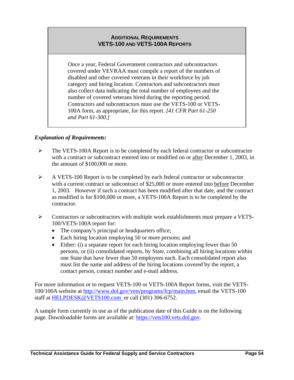### **ADDITIONAL REQUIREMENTS VETS-100 AND VETS-100A REPORTS**

Once a year, Federal Government contractors and subcontractors covered under VEVRAA must compile a report of the numbers of disabled and other covered veterans in their workforce by job category and hiring location. Contractors and subcontractors must also collect data indicating the total number of employees and the number of covered veterans hired during the reporting period. Contractors and subcontractors must use the VETS-100 or VETS-100A form, as appropriate, for this report. *[41 CFR Part 61-250 and Part 61-300.]*

### *Explanation of Requirements:*

- ¾ The VETS-100A Report is to be completed by each federal contractor or subcontractor with a contract or subcontract entered into or modified on or after December 1, 2003, in the amount of \$100,000 or more.
- ¾ A VETS-100 Report is to be completed by each federal contractor or subcontractor with a current contract or subcontract of \$25,000 or more entered into before December 1, 2003. However if such a contract has been modified after that date, and the contract as modified is for \$100,000 or more, a VETS-100A Report is to be completed by the contractor.
- $\triangleright$  Contractors or subcontractors with multiple work establishments must prepare a VETS-100/VETS-100A report for:
	- The company's principal or headquarters office;
	- Each hiring location employing 50 or more persons; and
	- Either: (i) a separate report for each hiring location employing fewer than 50 persons, or (ii) consolidated reports, by State, combining all hiring locations within one State that have fewer than 50 employees each. Each consolidated report also must list the name and address of the hiring locations covered by the report, a contact person, contact number and e-mail address.

For more information or to request VETS-100 or VETS-100A Report forms, visit the VETS-100/100A website at [http://www.dol.gov/vets/programs/fcp/main.htm,](http://www.dol.gov/vets/programs/fcp/main.htm) email the VETS-100 staff at [HELPDESK@VETS100.com](mailto:HELPDESK@VETS100.com) or call (301) 306-6752.

A sample form currently in use as of the publication date of this Guide is on the following page. Downloadable forms are available at: [https://vets100.vets.dol.gov.](https://vets100.vets.dol.gov/)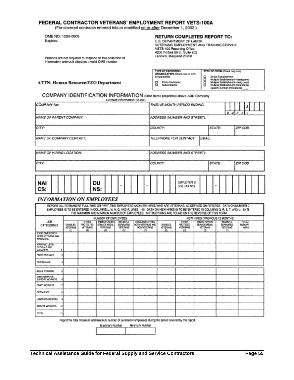#### FEDERAL CONTRACTOR VETERANS' EMPLOYMENT REPORT VETS-100A

(For covered contracts entered into or modified on or after December 1, 2003.)

OMB NO: 1293-0005 Expires:

#### RETURN COMPLETED REPORT TO:

U.S. DEPARTMENT OF LABOR VETERANS' EMPLOYMENT AND TRAINING SERVICE VETBRANS BRITISHT Lanham, Maryland 20706

Persons are not required to respond to this collection of information unless it displays a valid OMB number

| TYPE OF REPORTING<br>ORGANIZATION (Check one or both. | TYPE OF FORM (Check only cost)                                                                                                                  |
|-------------------------------------------------------|-------------------------------------------------------------------------------------------------------------------------------------------------|
| as applicable).                                       | Single Estable/ment                                                                                                                             |
| Prema Castegotor<br>Subcontractor                     | Multiple Establishment-Headquarts<br>Multiple Establishment-Hanno Local<br>Multiple Establishment-State Conec-<br>(specify number of locations) |

#### **ATTN: Human Resource/EEO Department**

#### COMPANY IDENTIFICATION INFORMATION (Omit items preprinted above-ADD Company Contact Information Below)

| COMPANY No:               | TWELVE MONTH PERIOD ENDING<br>$M$ $M$ $D$ $D$ $Y$ |
|---------------------------|---------------------------------------------------|
| INAME OF PARENT COMPANY:  | ADDRESS INUMBER AND STREET):                      |
| CITY:                     | ZIP COD<br>STATE:<br>COUNTY:                      |
| INAME OF COMPANY CONTACT: | EMAIL:<br>TELEPHONE FOR CONTACT:                  |
| NAME OF HIRING LOCATION:  | ADDRESS (NUMBER AND STREET):                      |
| CITY:                     | STATE:<br>COUNTY:<br>ZIP COD                      |
| NAI<br>DU<br>CS:<br>NS:   | EMPLOYER IO<br>(IRS TAX No.)                      |

#### **INFORMATION ON EMPLOYEES**

| REPORT ALL PERMANENT FLEL-TIME OR PART-TIME EMPLOYEES AND NEW HIRES WHO ARE VETERANS. AS DEFINED ON FEVERSE. DATA ON NUMBER C<br>EMPLOYEES IS TO BE ENTERED IN COLUMNS L, M, N, Q, AND P, LINES 1-10. DATA ON NEW HIRES IS TO BE ENTERED IN COLUMNS Q, R, S, T, AND U. ENTE<br>THE MAXIMUM AND MINIMUM NUMBER OF EMPLOYEES. INSTRUCTIONS ARE FOUND ON THE REVERSE OF THIS FORM. |                                         |                                                       |                                                                |                                                                      |                                                                             |                                                 |                                           |                                                                 |                                                                        |                                                 |  |  |  |  |  |
|---------------------------------------------------------------------------------------------------------------------------------------------------------------------------------------------------------------------------------------------------------------------------------------------------------------------------------------------------------------------------------|-----------------------------------------|-------------------------------------------------------|----------------------------------------------------------------|----------------------------------------------------------------------|-----------------------------------------------------------------------------|-------------------------------------------------|-------------------------------------------|-----------------------------------------------------------------|------------------------------------------------------------------------|-------------------------------------------------|--|--|--|--|--|
|                                                                                                                                                                                                                                                                                                                                                                                 |                                         |                                                       | NUMBER OF EMPLOYEES                                            |                                                                      |                                                                             | NEW HIRES (PREVIOUS 12 MONTHS)                  |                                           |                                                                 |                                                                        |                                                 |  |  |  |  |  |
| JDB.<br>CATEGORIES                                                                                                                                                                                                                                                                                                                                                              | <b>ORABLED</b><br><b>VETERANS</b><br>42 | <b>DTHEST</b><br><b>PROTECTED</b><br>VETERANCI<br>(M) | ANNEC FORCES<br>SERVICE MEDAL<br><b>VETERANS</b><br><b>CNT</b> | <b>RECENTLY</b><br><b>SEPARATED</b><br><b>VETEFANS</b><br><b>ACT</b> | TOTAL ENFLOYEES.<br>BOTH VETERAMS AND<br><b>MONAMET CRANG</b><br><b>LET</b> | <b>GISABLED</b><br><b>KETERAIG</b><br><b>RD</b> | राजका<br>PROTECED<br><b>NETERANG</b><br>n | ANNIFO FORCES<br>SERVAGE MEDAL<br><b>VETERANG</b><br><b>ISD</b> | <b>BECEMELY</b><br><b>BEPARATED</b><br><b>VETERANS</b><br>$\mathbf{m}$ | <b>TOTALT</b><br><b>BOTH VE</b><br><b>NON-L</b> |  |  |  |  |  |
| EGELTIVE SEVON<br>LEWIS, OFFICIALS AND<br>MANAGERS                                                                                                                                                                                                                                                                                                                              |                                         |                                                       |                                                                |                                                                      |                                                                             |                                                 |                                           |                                                                 |                                                                        |                                                 |  |  |  |  |  |
| FREE MOURVEL<br>OFFICIALS AND<br><b>MANAGERS</b>                                                                                                                                                                                                                                                                                                                                |                                         |                                                       |                                                                |                                                                      |                                                                             |                                                 |                                           |                                                                 |                                                                        |                                                 |  |  |  |  |  |
| PROFESSIONALS                                                                                                                                                                                                                                                                                                                                                                   |                                         |                                                       |                                                                |                                                                      |                                                                             |                                                 |                                           |                                                                 |                                                                        |                                                 |  |  |  |  |  |
| <b>TECHNOMIC</b>                                                                                                                                                                                                                                                                                                                                                                |                                         |                                                       |                                                                |                                                                      |                                                                             |                                                 |                                           |                                                                 |                                                                        |                                                 |  |  |  |  |  |
| SALES INCRADING                                                                                                                                                                                                                                                                                                                                                                 |                                         |                                                       |                                                                |                                                                      |                                                                             |                                                 |                                           |                                                                 |                                                                        |                                                 |  |  |  |  |  |
| <b>ADMINISTRATIVE</b><br>SUPPORT WORKERS                                                                                                                                                                                                                                                                                                                                        |                                         |                                                       |                                                                |                                                                      |                                                                             |                                                 |                                           |                                                                 |                                                                        |                                                 |  |  |  |  |  |
| CRAFT WORKFRE                                                                                                                                                                                                                                                                                                                                                                   |                                         |                                                       |                                                                |                                                                      |                                                                             |                                                 |                                           |                                                                 |                                                                        |                                                 |  |  |  |  |  |
| OPERATIVES.                                                                                                                                                                                                                                                                                                                                                                     |                                         |                                                       |                                                                |                                                                      |                                                                             |                                                 |                                           |                                                                 |                                                                        |                                                 |  |  |  |  |  |
| LABORERS/HELPERS                                                                                                                                                                                                                                                                                                                                                                |                                         |                                                       |                                                                |                                                                      |                                                                             |                                                 |                                           |                                                                 |                                                                        |                                                 |  |  |  |  |  |
| SERVICE WORKERS                                                                                                                                                                                                                                                                                                                                                                 |                                         |                                                       |                                                                |                                                                      |                                                                             |                                                 |                                           |                                                                 |                                                                        |                                                 |  |  |  |  |  |
| <b>TIGTAL</b>                                                                                                                                                                                                                                                                                                                                                                   |                                         |                                                       |                                                                |                                                                      |                                                                             |                                                 |                                           |                                                                 |                                                                        |                                                 |  |  |  |  |  |

Report the folal maximum and minimum number of permanent employees during the period covered by this report.

Maximum Number Ninimum Number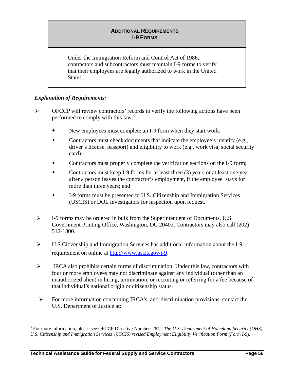### **ADDITIONAL REQUIREMENTS I-9 FORMS**

<span id="page-58-0"></span>Under the Immigration Reform and Control Act of 1986, contractors and subcontractors must maintain I-9 forms to verify that their employees are legally authorized to work in the United States.

### *Explanation of Requirements:*

- ¾ OFCCP will review contractors' records to verify the following actions have been performed to comply with this  $law:$ <sup>[4](#page-58-0)</sup>
	- New employees must complete an I-9 form when they start work;
	- Contractors must check documents that indicate the employee's identity (e.g., driver's license, passport) and eligibility to work (e.g., work visa, social security card);
	- Contractors must properly complete the verification sections on the I-9 form;
	- Contractors must keep I-9 forms for at least three (3) years or at least one year after a person leaves the contractor's employment, if the employee stays for more than three years; and
	- I-9 forms must be presented to U.S. Citizenship and Immigration Services (USCIS) or DOL investigators for inspection upon request.
- ¾ I-9 forms may be ordered in bulk from the Superintendent of Documents, U.S. Government Printing Office, Washington, DC 20402. Contractors may also call (202) 512-1800.
- $\triangleright$  U.S.Citizenship and Immigration Services has additional information about the I-9 requirement on online at [http://www.uscis.gov/i-9.](http://www.uscis.gov/i-9)
- ¾ IRCA also prohibits certain forms of discrimination. Under this law, contractors with four or more employees may not discriminate against any individual (other than an unauthorized alien) in hiring, termination, or recruiting or referring for a fee because of that individual's national origin or citizenship status.
- $\triangleright$  For more information concerning IRCA's anti-discrimination provisions, contact the U.S. Department of Justice at:

 $\overline{4}$  For more information, please see OFCCP Directive Number: 284 - *The U.S. Department of Homeland Security (DHS), U.S. Citizenship and Immigration Services' (USCIS) revised Employment Eligibility Verification Form (Form I-9).*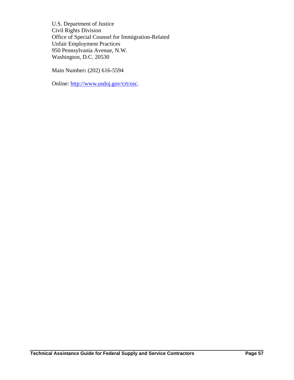U.S. Department of Justice Civil Rights Division Office of Special Counsel for Immigration-Related Unfair Employment Practices 950 Pennsylvania Avenue, N.W. Washington, D.C. 20530

Main Number**:** (202) 616-5594

Online:<http://www.usdoj.gov/crt/osc>.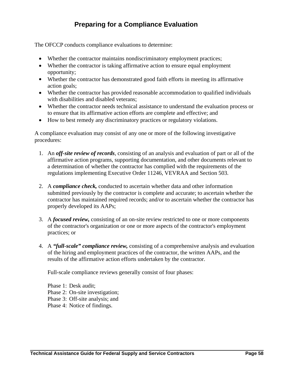# **Preparing for a Compliance Evaluation**

The OFCCP conducts compliance evaluations to determine:

- Whether the contractor maintains nondiscriminatory employment practices;
- Whether the contractor is taking affirmative action to ensure equal employment opportunity;
- Whether the contractor has demonstrated good faith efforts in meeting its affirmative action goals;
- Whether the contractor has provided reasonable accommodation to qualified individuals with disabilities and disabled veterans;
- Whether the contractor needs technical assistance to understand the evaluation process or to ensure that its affirmative action efforts are complete and effective; and
- How to best remedy any discriminatory practices or regulatory violations.

A compliance evaluation may consist of any one or more of the following investigative procedures:

- 1. An *off-site review of records*, consisting of an analysis and evaluation of part or all of the affirmative action programs, supporting documentation, and other documents relevant to a determination of whether the contractor has complied with the requirements of the regulations implementing Executive Order 11246, VEVRAA and Section 503.
- 2. A *compliance check,* conducted to ascertain whether data and other information submitted previously by the contractor is complete and accurate; to ascertain whether the contractor has maintained required records; and/or to ascertain whether the contractor has properly developed its AAPs;
- 3. A *focused review,* consisting of an on-site review restricted to one or more components of the contractor's organization or one or more aspects of the contractor's employment practices; or
- 4. A *"full-scale" compliance review,* consisting of a comprehensive analysis and evaluation of the hiring and employment practices of the contractor, the written AAPs, and the results of the affirmative action efforts undertaken by the contractor.

Full-scale compliance reviews generally consist of four phases:

Phase 1: Desk audit;

- Phase 2: On-site investigation;
- Phase 3: Off-site analysis; and
- Phase 4: Notice of findings.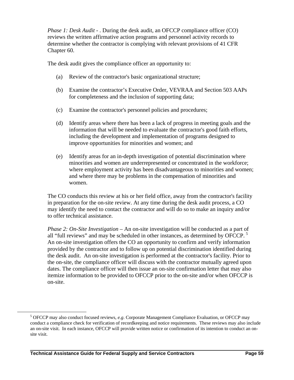<span id="page-61-0"></span>*Phase 1: Desk Audit* - . During the desk audit, an OFCCP compliance officer (CO) reviews the written affirmative action programs and personnel activity records to determine whether the contractor is complying with relevant provisions of 41 CFR Chapter 60.

The desk audit gives the compliance officer an opportunity to:

- (a) Review of the contractor's basic organizational structure;
- (b) Examine the contractor's Executive Order, VEVRAA and Section 503 AAPs for completeness and the inclusion of supporting data;
- (c) Examine the contractor's personnel policies and procedures;
- (d) Identify areas where there has been a lack of progress in meeting goals and the information that will be needed to evaluate the contractor's good faith efforts, including the development and implementation of programs designed to improve opportunities for minorities and women; and
- (e) Identify areas for an in-depth investigation of potential discrimination where minorities and women are underrepresented or concentrated in the workforce; where employment activity has been disadvantageous to minorities and women; and where there may be problems in the compensation of minorities and women.

The CO conducts this review at his or her field office, away from the contractor's facility in preparation for the on-site review. At any time during the desk audit process, a CO may identify the need to contact the contractor and will do so to make an inquiry and/or to offer technical assistance.

*Phase 2: On-Site Investigation* – An on-site investigation will be conducted as a part of all "full reviews" and may be scheduled in other instances, as determined by OFCCP.<sup>[5](#page-61-0)</sup> An on-site investigation offers the CO an opportunity to confirm and verify information provided by the contractor and to follow up on potential discrimination identified during the desk audit. An on-site investigation is performed at the contractor's facility. Prior to the on-site, the compliance officer will discuss with the contractor mutually agreed upon dates. The compliance officer will then issue an on-site confirmation letter that may also itemize information to be provided to OFCCP prior to the on-site and/or when OFCCP is on-site.

 $\frac{1}{5}$  OFCCP may also conduct focused reviews*, e.g*. Corporate Management Compliance Evaluation, or OFCCP may conduct a compliance check for verification of recordkeeping and notice requirements. These reviews may also include an on-site visit. In each instance, OFCCP will provide written notice or confirmation of its intention to conduct an onsite visit.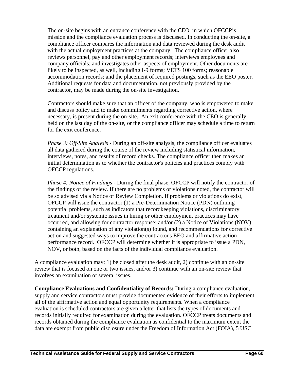The on-site begins with an entrance conference with the CEO, in which OFCCP's mission and the compliance evaluation process is discussed. In conducting the on-site, a compliance officer compares the information and data reviewed during the desk audit with the actual employment practices at the company. The compliance officer also reviews personnel, pay and other employment records; interviews employees and company officials; and investigates other aspects of employment. Other documents are likely to be inspected, as well, including I-9 forms; VETS 100 forms; reasonable accommodation records; and the placement of required postings, such as the EEO poster. Additional requests for data and documentation, not previously provided by the contractor, may be made during the on-site investigation.

Contractors should make sure that an officer of the company, who is empowered to make and discuss policy and to make commitments regarding corrective action, where necessary, is present during the on-site. An exit conference with the CEO is generally held on the last day of the on-site, or the compliance officer may schedule a time to return for the exit conference.

*Phase 3: Off-Site Analysis* - During an off-site analysis, the compliance officer evaluates all data gathered during the course of the review including statistical information, interviews, notes, and results of record checks. The compliance officer then makes an initial determination as to whether the contractor's policies and practices comply with OFCCP regulations.

*Phase 4: Notice of Findings* - During the final phase, OFCCP will notify the contractor of the findings of the review. If there are no problems or violations noted, the contractor will be so advised via a Notice of Review Completion. If problems or violations do exist, OFCCP will issue the contractor (1) a Pre-Determination Notice (PDN) outlining potential problems, such as indicators that recordkeeping violations, discriminatory treatment and/or systemic issues in hiring or other employment practices may have occurred, and allowing for contractor response; and/or (2) a Notice of Violations (NOV) containing an explanation of any violation(s) found, and recommendations for corrective action and suggested ways to improve the contractor's EEO and affirmative action performance record. OFCCP will determine whether it is appropriate to issue a PDN, NOV, or both, based on the facts of the individual compliance evaluation.

A compliance evaluation may: 1) be closed after the desk audit, 2) continue with an on-site review that is focused on one or two issues, and/or 3) continue with an on-site review that involves an examination of several issues.

**Compliance Evaluations and Confidentiality of Records:** During a compliance evaluation, supply and service contractors must provide documented evidence of their efforts to implement all of the affirmative action and equal opportunity requirements. When a compliance evaluation is scheduled contractors are given a letter that lists the types of documents and records initially required for examination during the evaluation. OFCCP treats documents and records obtained during the compliance evaluation as confidential to the maximum extent the data are exempt from public disclosure under the Freedom of Information Act (FOIA), 5 USC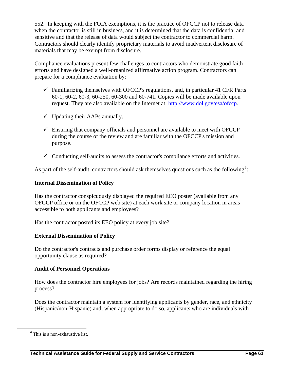<span id="page-63-0"></span>552. In keeping with the FOIA exemptions, it is the practice of OFCCP not to release data when the contractor is still in business, and it is determined that the data is confidential and sensitive and that the release of data would subject the contractor to commercial harm. Contractors should clearly identify proprietary materials to avoid inadvertent disclosure of materials that may be exempt from disclosure.

Compliance evaluations present few challenges to contractors who demonstrate good faith efforts and have designed a well-organized affirmative action program. Contractors can prepare for a compliance evaluation by:

- $\checkmark$  Familiarizing themselves with OFCCP's regulations, and, in particular 41 CFR Parts 60-1, 60-2, 60-3, 60-250, 60-300 and 60-741. Copies will be made available upon request. They are also available on the Internet at: <http://www.dol.gov/esa/ofccp>.
- $\checkmark$  Updating their AAPs annually.
- $\checkmark$  Ensuring that company officials and personnel are available to meet with OFCCP during the course of the review and are familiar with the OFCCP's mission and purpose.
- $\checkmark$  Conducting self-audits to assess the contractor's compliance efforts and activities.

As part of the self-audit, contractors should ask themselves questions such as the following<sup>[6](#page-63-0)</sup>:

### **Internal Dissemination of Policy**

Has the contractor conspicuously displayed the required EEO poster (available from any OFCCP office or on the OFCCP web site) at each work site or company location in areas accessible to both applicants and employees?

Has the contractor posted its EEO policy at every job site?

### **External Dissemination of Policy**

Do the contractor's contracts and purchase order forms display or reference the equal opportunity clause as required?

### **Audit of Personnel Operations**

How does the contractor hire employees for jobs? Are records maintained regarding the hiring process?

Does the contractor maintain a system for identifying applicants by gender, race, and ethnicity (Hispanic/non-Hispanic) and, when appropriate to do so, applicants who are individuals with

 <sup>6</sup>  $6$  This is a non-exhaustive list.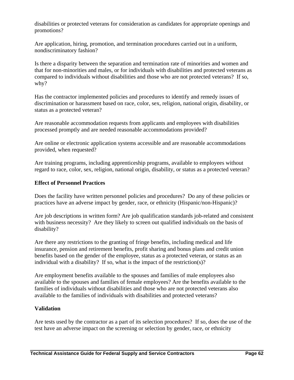disabilities or protected veterans for consideration as candidates for appropriate openings and promotions?

Are application, hiring, promotion, and termination procedures carried out in a uniform, nondiscriminatory fashion?

Is there a disparity between the separation and termination rate of minorities and women and that for non-minorities and males, or for individuals with disabilities and protected veterans as compared to individuals without disabilities and those who are not protected veterans? If so, why?

Has the contractor implemented policies and procedures to identify and remedy issues of discrimination or harassment based on race, color, sex, religion, national origin, disability, or status as a protected veteran?

Are reasonable accommodation requests from applicants and employees with disabilities processed promptly and are needed reasonable accommodations provided?

Are online or electronic application systems accessible and are reasonable accommodations provided, when requested?

Are training programs, including apprenticeship programs, available to employees without regard to race, color, sex, religion, national origin, disability, or status as a protected veteran?

### **Effect of Personnel Practices**

Does the facility have written personnel policies and procedures? Do any of these policies or practices have an adverse impact by gender, race, or ethnicity (Hispanic/non-Hispanic)?

Are job descriptions in written form? Are job qualification standards job-related and consistent with business necessity? Are they likely to screen out qualified individuals on the basis of disability?

Are there any restrictions to the granting of fringe benefits, including medical and life insurance, pension and retirement benefits, profit sharing and bonus plans and credit union benefits based on the gender of the employee, status as a protected veteran, or status as an individual with a disability? If so, what is the impact of the restriction(s)?

Are employment benefits available to the spouses and families of male employees also available to the spouses and families of female employees? Are the benefits available to the families of individuals without disabilities and those who are not protected veterans also available to the families of individuals with disabilities and protected veterans?

### **Validation**

Are tests used by the contractor as a part of its selection procedures? If so, does the use of the test have an adverse impact on the screening or selection by gender, race, or ethnicity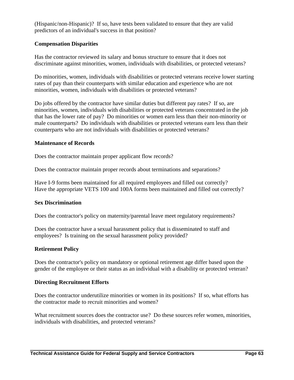(Hispanic/non-Hispanic)? If so, have tests been validated to ensure that they are valid predictors of an individual's success in that position?

### **Compensation Disparities**

Has the contractor reviewed its salary and bonus structure to ensure that it does not discriminate against minorities, women, individuals with disabilities, or protected veterans?

Do minorities, women, individuals with disabilities or protected veterans receive lower starting rates of pay than their counterparts with similar education and experience who are not minorities, women, individuals with disabilities or protected veterans?

Do jobs offered by the contractor have similar duties but different pay rates? If so, are minorities, women, individuals with disabilities or protected veterans concentrated in the job that has the lower rate of pay? Do minorities or women earn less than their non-minority or male counterparts? Do individuals with disabilities or protected veterans earn less than their counterparts who are not individuals with disabilities or protected veterans?

### **Maintenance of Records**

Does the contractor maintain proper applicant flow records?

Does the contractor maintain proper records about terminations and separations?

Have I-9 forms been maintained for all required employees and filled out correctly? Have the appropriate VETS 100 and 100A forms been maintained and filled out correctly?

### **Sex Discrimination**

Does the contractor's policy on maternity/parental leave meet regulatory requirements?

Does the contractor have a sexual harassment policy that is disseminated to staff and employees? Is training on the sexual harassment policy provided?

### **Retirement Policy**

Does the contractor's policy on mandatory or optional retirement age differ based upon the gender of the employee or their status as an individual with a disability or protected veteran?

### **Directing Recruitment Efforts**

Does the contractor underutilize minorities or women in its positions? If so, what efforts has the contractor made to recruit minorities and women?

What recruitment sources does the contractor use? Do these sources refer women, minorities, individuals with disabilities, and protected veterans?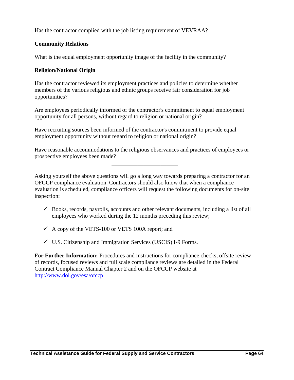Has the contractor complied with the job listing requirement of VEVRAA?

### **Community Relations**

What is the equal employment opportunity image of the facility in the community?

### **Religion/National Origin**

Has the contractor reviewed its employment practices and policies to determine whether members of the various religious and ethnic groups receive fair consideration for job opportunities?

Are employees periodically informed of the contractor's commitment to equal employment opportunity for all persons, without regard to religion or national origin?

Have recruiting sources been informed of the contractor's commitment to provide equal employment opportunity without regard to religion or national origin?

Have reasonable accommodations to the religious observances and practices of employees or prospective employees been made?

\_\_\_\_\_\_\_\_\_\_\_\_\_\_\_\_\_\_\_\_\_\_\_

Asking yourself the above questions will go a long way towards preparing a contractor for an OFCCP compliance evaluation. Contractors should also know that when a compliance evaluation is scheduled, compliance officers will request the following documents for on-site inspection:

- $\checkmark$  Books, records, payrolls, accounts and other relevant documents, including a list of all employees who worked during the 12 months preceding this review;
- $\checkmark$  A copy of the VETS-100 or VETS 100A report; and
- $\checkmark$  U.S. Citizenship and Immigration Services (USCIS) I-9 Forms.

**For Further Information:** Procedures and instructions for compliance checks, offsite review of records, focused reviews and full scale compliance reviews are detailed in the Federal Contract Compliance Manual Chapter 2 and on the OFCCP website at <http://www.dol.gov/esa/ofccp>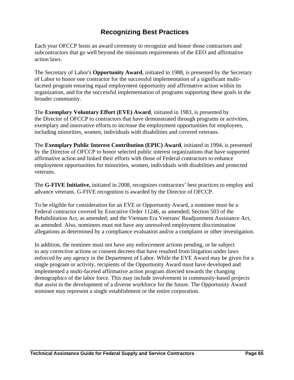# **Recognizing Best Practices**

Each year OFCCP hosts an award ceremony to recognize and honor those contractors and subcontractors that go well beyond the minimum requirements of the EEO and affirmative action laws.

The Secretary of Labor's **Opportunity Award**, initiated in 1988, is presented by the Secretary of Labor to honor one contractor for the successful implementation of a significant multifaceted program ensuring equal employment opportunity and affirmative action within its organization, and for the successful implementation of programs supporting these goals in the broader community.

The **Exemplary Voluntary Effort (EVE) Award**, initiated in 1983, is presented by the Director of OFCCP to contractors that have demonstrated through programs or activities, exemplary and innovative efforts to increase the employment opportunities for employees, including minorities, women, individuals with disabilities and covered veterans.

The **Exemplary Public Interest Contribution (EPIC) Award**, initiated in 1994, is presented by the Director of OFCCP to honor selected public interest organizations that have supported affirmative action and linked their efforts with those of Federal contractors to enhance employment opportunities for minorities, women, individuals with disabilities and protected veterans.

The **G-FIVE Initiative,** initiated in 2008, recognizes contractors' best practices to employ and advance veterans. G-FIVE recognition is awarded by the Director of OFCCP.

To be eligible for consideration for an EVE or Opportunity Award, a nominee must be a Federal contractor covered by Executive Order 11246, as amended; Section 503 of the Rehabilitation Act, as amended; and the Vietnam Era Veterans' Readjustment Assistance Act, as amended. Also, nominees must not have any unresolved employment discrimination allegations as determined by a compliance evaluation and/or a complaint or other investigation.

In addition, the nominee must not have any enforcement actions pending, or be subject to any corrective actions or consent decrees that have resulted from litigation under laws enforced by any agency in the Department of Labor. While the EVE Award may be given for a single program or activity, recipients of the Opportunity Award must have developed and implemented a multi-faceted affirmative action program directed towards the changing demographics of the labor force. This may include involvement in community-based projects that assist in the development of a diverse workforce for the future. The Opportunity Award nominee may represent a single establishment or the entire corporation.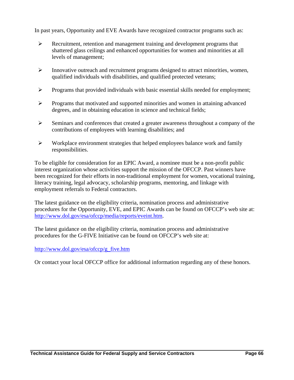In past years, Opportunity and EVE Awards have recognized contractor programs such as:

- $\triangleright$  Recruitment, retention and management training and development programs that shattered glass ceilings and enhanced opportunities for women and minorities at all levels of management;
- ¾ Innovative outreach and recruitment programs designed to attract minorities, women, qualified individuals with disabilities, and qualified protected veterans;
- ¾ Programs that provided individuals with basic essential skills needed for employment;
- $\triangleright$  Programs that motivated and supported minorities and women in attaining advanced degrees, and in obtaining education in science and technical fields;
- $\triangleright$  Seminars and conferences that created a greater awareness throughout a company of the contributions of employees with learning disabilities; and
- $\triangleright$  Workplace environment strategies that helped employees balance work and family responsibilities.

To be eligible for consideration for an EPIC Award, a nominee must be a non-profit public interest organization whose activities support the mission of the OFCCP. Past winners have been recognized for their efforts in non-traditional employment for women, vocational training, literacy training, legal advocacy, scholarship programs, mentoring, and linkage with employment referrals to Federal contractors.

The latest guidance on the eligibility criteria, nomination process and administrative procedures for the Opportunity, EVE, and EPIC Awards can be found on OFCCP's web site at: <http://www.dol.gov/esa/ofccp/media/reports/eveint.htm>.

The latest guidance on the eligibility criteria, nomination process and administrative procedures for the G-FIVE Initiative can be found on OFCCP's web site at:

### [http://www.dol.gov/esa/ofccp/g\\_five.htm](http://www.dol.gov/esa/ofccp/g_five.htm)

Or contact your local OFCCP office for additional information regarding any of these honors.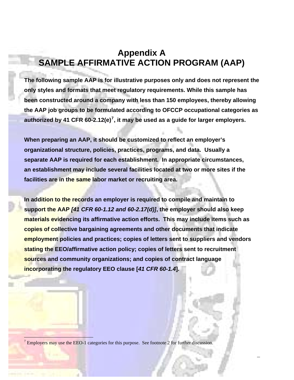# <span id="page-69-0"></span>**Appendix A SAMPLE AFFIRMATIVE ACTION PROGRAM (AAP)**

**The following sample AAP is for illustrative purposes only and does not represent the only styles and formats that meet regulatory requirements. While this sample has been constructed around a company with less than 150 employees, thereby allowing the AAP job groups to be formulated according to OFCCP occupational categories as authorized by 41 CFR 60-2.12(e)[7](#page-69-0) , it may be used as a guide for larger employers.** 

**When preparing an AAP, it should be customized to reflect an employer's organizational structure, policies, practices, programs, and data. Usually a separate AAP is required for each establishment. In appropriate circumstances, an establishment may include several facilities located at two or more sites if the facilities are in the same labor market or recruiting area.** 

**In addition to the records an employer is required to compile and maintain to support the AAP** *[41 CFR 60-1.12 and 60-2.17(d)]***, the employer should also keep materials evidencing its affirmative action efforts. This may include items such as copies of collective bargaining agreements and other documents that indicate employment policies and practices; copies of letters sent to suppliers and vendors stating the EEO/affirmative action policy; copies of letters sent to recruitment sources and community organizations; and copies of contract language incorporating the regulatory EEO clause [***41 CFR 60-1.4***].** 

 $<sup>7</sup>$  Employers may use the EEO-1 categories for this purpose. See footnote 2 for further discussion.</sup>

 $\overline{1}$ 

**Technical Assistance Guide for Federal Supply and Service Contractors Page A - 1**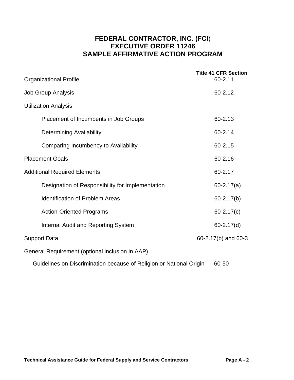## **FEDERAL CONTRACTOR, INC. (FCI**) **EXECUTIVE ORDER 11246 SAMPLE AFFIRMATIVE ACTION PROGRAM**

| <b>Organizational Profile</b>                                       | <b>Title 41 CFR Section</b><br>60-2.11 |
|---------------------------------------------------------------------|----------------------------------------|
| <b>Job Group Analysis</b>                                           | 60-2.12                                |
| <b>Utilization Analysis</b>                                         |                                        |
| Placement of Incumbents in Job Groups                               | 60-2.13                                |
| <b>Determining Availability</b>                                     | 60-2.14                                |
| Comparing Incumbency to Availability                                | 60-2.15                                |
| <b>Placement Goals</b>                                              | 60-2.16                                |
| <b>Additional Required Elements</b>                                 | 60-2.17                                |
| Designation of Responsibility for Implementation                    | $60 - 2.17(a)$                         |
| <b>Identification of Problem Areas</b>                              | $60 - 2.17(b)$                         |
| <b>Action-Oriented Programs</b>                                     | $60 - 2.17(c)$                         |
| <b>Internal Audit and Reporting System</b>                          | $60 - 2.17(d)$                         |
| <b>Support Data</b>                                                 | 60-2.17(b) and 60-3                    |
| General Requirement (optional inclusion in AAP)                     |                                        |
| Guidelines on Discrimination because of Religion or National Origin | 60-50                                  |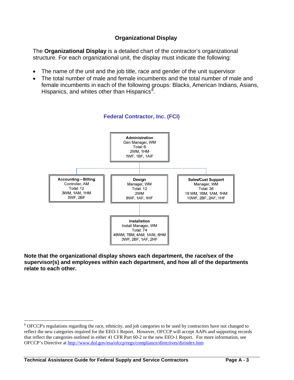### **Organizational Display**

<span id="page-71-0"></span>The **Organizational Display** is a detailed chart of the contractor's organizational structure. For each organizational unit, the display must indicate the following:

- The name of the unit and the job title, race and gender of the unit supervisor
- The total number of male and female incumbents and the total number of male and female incumbents in each of the following groups: Blacks, American Indians, Asians, Hispanics, and whites other than Hispanics<sup>[8](#page-71-0)</sup>.



### **Federal Contractor, Inc. (FCI)**

**Note that the organizational display shows each department, the race/sex of the supervisor(s) and employees within each department, and how all of the departments relate to each other.**

 $\overline{a}$ 

 $8$  OFCCP's regulations regarding the race, ethnicity, and job categories to be used by contractors have not changed to reflect the new categories required for the EEO-1 Report. However, OFCCP will accept AAPs and supporting records that reflect the categories outlined in either 41 CFR Part 60-2 or the new EEO-1 Report. For more information, see OFCCP's Directive at<http://www.dol.gov/esa/ofccp/regs/compliance/directives/dirindex.htm>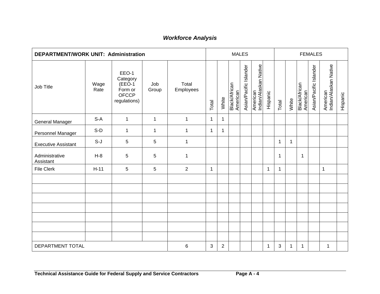| <b>DEPARTMENT/WORK UNIT: Administration</b> |              |                                                                           |              |                    |             |                | <b>MALES</b>              |                        |                                   |              |       |       |                                  | <b>FEMALES</b>         |                                   |          |
|---------------------------------------------|--------------|---------------------------------------------------------------------------|--------------|--------------------|-------------|----------------|---------------------------|------------------------|-----------------------------------|--------------|-------|-------|----------------------------------|------------------------|-----------------------------------|----------|
| Job Title                                   | Wage<br>Rate | EEO-1<br>Category<br>$(EEO-1)$<br>Form or<br><b>OFCCP</b><br>regulations) | Job<br>Group | Total<br>Employees | Total       | White          | Black/African<br>American | Asian/Pacific Islander | American<br>Indian/Alaskan Native | Hispanic     | Total | White | <b>Black/African</b><br>American | Asian/Pacific Islander | American<br>Indian/Alaskan Native | Hispanic |
| <b>General Manager</b>                      | $S-A$        | $\mathbf 1$                                                               | $\mathbf 1$  | $\mathbf{1}$       | $\mathbf 1$ | $\mathbf{1}$   |                           |                        |                                   |              |       |       |                                  |                        |                                   |          |
| Personnel Manager                           | $S-D$        | $\mathbf 1$                                                               | $\mathbf{1}$ | $\mathbf{1}$       | $\mathbf 1$ | $\mathbf{1}$   |                           |                        |                                   |              |       |       |                                  |                        |                                   |          |
| <b>Executive Assistant</b>                  | $S-J$        | 5                                                                         | 5            | 1                  |             |                |                           |                        |                                   |              | 1     | 1     |                                  |                        |                                   |          |
| Administrative<br>Assistant                 | $H-8$        | $\overline{5}$                                                            | 5            | $\mathbf 1$        |             |                |                           |                        |                                   |              | 1     |       | $\mathbf{1}$                     |                        |                                   |          |
| <b>File Clerk</b>                           | $H-11$       | 5                                                                         | 5            | $\overline{2}$     | $\mathbf 1$ |                |                           |                        |                                   | $\mathbf{1}$ | 1     |       |                                  |                        | 1                                 |          |
|                                             |              |                                                                           |              |                    |             |                |                           |                        |                                   |              |       |       |                                  |                        |                                   |          |
|                                             |              |                                                                           |              |                    |             |                |                           |                        |                                   |              |       |       |                                  |                        |                                   |          |
|                                             |              |                                                                           |              |                    |             |                |                           |                        |                                   |              |       |       |                                  |                        |                                   |          |
|                                             |              |                                                                           |              |                    |             |                |                           |                        |                                   |              |       |       |                                  |                        |                                   |          |
|                                             |              |                                                                           |              |                    |             |                |                           |                        |                                   |              |       |       |                                  |                        |                                   |          |
|                                             |              |                                                                           |              |                    |             |                |                           |                        |                                   |              |       |       |                                  |                        |                                   |          |
|                                             |              |                                                                           |              |                    |             |                |                           |                        |                                   |              |       |       |                                  |                        |                                   |          |
| DEPARTMENT TOTAL                            |              |                                                                           |              | 6                  | 3           | $\overline{2}$ |                           |                        |                                   | $\mathbf{1}$ | 3     | 1     | $\mathbf{1}$                     |                        | 1                                 |          |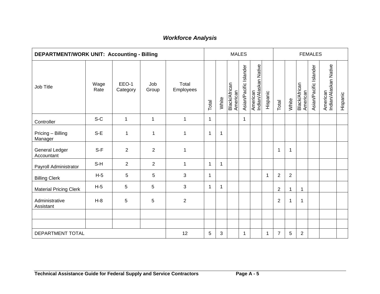| DEPARTMENT/WORK UNIT: Accounting - Billing |              |                   |                |                    |              |             |                           | <b>MALES</b>           |                                   |          |                |                |                           | <b>FEMALES</b>         |                                   |          |
|--------------------------------------------|--------------|-------------------|----------------|--------------------|--------------|-------------|---------------------------|------------------------|-----------------------------------|----------|----------------|----------------|---------------------------|------------------------|-----------------------------------|----------|
| Job Title                                  | Wage<br>Rate | EEO-1<br>Category | Job<br>Group   | Total<br>Employees | Total        | White       | Black/African<br>American | Asian/Pacific Islander | American<br>Indian/Alaskan Native | Hispanic | Total          | White          | Black/African<br>American | Asian/Pacific Islander | American<br>Indian/Alaskan Native | Hispanic |
| Controller                                 | $S-C$        | $\mathbf{1}$      | $\mathbf{1}$   | $\mathbf 1$        | $\mathbf{1}$ |             |                           | $\mathbf{1}$           |                                   |          |                |                |                           |                        |                                   |          |
| Pricing - Billing<br>Manager               | S-E          | $\mathbf{1}$      | 1              | $\mathbf 1$        | 1            | 1           |                           |                        |                                   |          |                |                |                           |                        |                                   |          |
| <b>General Ledger</b><br>Accountant        | $S-F$        | $\overline{2}$    | 2              | $\mathbf{1}$       |              |             |                           |                        |                                   |          | $\mathbf 1$    | $\mathbf{1}$   |                           |                        |                                   |          |
| Payroll Administrator                      | S-H          | $\overline{2}$    | $\overline{2}$ | $\mathbf 1$        | $\mathbf 1$  | $\mathbf 1$ |                           |                        |                                   |          |                |                |                           |                        |                                   |          |
| <b>Billing Clerk</b>                       | $H-5$        | 5                 | 5              | 3                  | 1            |             |                           |                        |                                   | 1        | $\overline{2}$ | $\overline{2}$ |                           |                        |                                   |          |
| <b>Material Pricing Clerk</b>              | $H-5$        | 5                 | 5              | 3                  | $\mathbf{1}$ | 1           |                           |                        |                                   |          | $\overline{2}$ | $\mathbf{1}$   |                           |                        |                                   |          |
| Administrative<br>Assistant                | $H-8$        | 5                 | 5              | $\overline{2}$     |              |             |                           |                        |                                   |          | $\overline{2}$ | $\mathbf{1}$   | 1                         |                        |                                   |          |
|                                            |              |                   |                |                    |              |             |                           |                        |                                   |          |                |                |                           |                        |                                   |          |
|                                            |              |                   |                |                    |              |             |                           |                        |                                   |          |                |                |                           |                        |                                   |          |
| DEPARTMENT TOTAL                           |              |                   |                | 12                 | 5            | 3           |                           | 1                      |                                   | 1        | $\overline{7}$ | 5              | $\overline{2}$            |                        |                                   |          |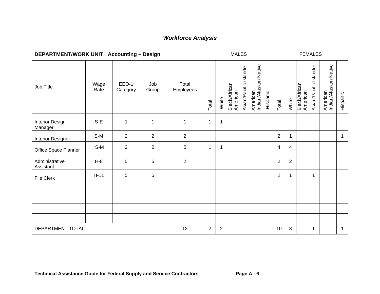| <b>DEPARTMENT/WORK UNIT: Accounting - Design</b> |              | <b>MALES</b>      |                |                    |                |                |                                  | <b>FEMALES</b>         |                                   |          |                |                |                           |                        |                                   |          |
|--------------------------------------------------|--------------|-------------------|----------------|--------------------|----------------|----------------|----------------------------------|------------------------|-----------------------------------|----------|----------------|----------------|---------------------------|------------------------|-----------------------------------|----------|
| Job Title                                        | Wage<br>Rate | EEO-1<br>Category | Job<br>Group   | Total<br>Employees | Total          | White          | <b>Black/African</b><br>American | Asian/Pacific Islander | American<br>Indian/Alaskan Native | Hispanic | Total          | White          | Black/African<br>American | Asian/Pacific Islander | American<br>Indian/Alaskan Native | Hispanic |
| <b>Interior Design</b><br>Manager                | $S-E$        | $\mathbf 1$       | 1              | $\mathbf 1$        | $\mathbf{1}$   | 1              |                                  |                        |                                   |          |                |                |                           |                        |                                   |          |
| <b>Interior Designer</b>                         | $S-M$        | $\overline{2}$    | $\overline{2}$ | $\overline{2}$     |                |                |                                  |                        |                                   |          | $\overline{2}$ | $\mathbf 1$    |                           |                        |                                   | 1        |
| Office Space Planner                             | $S-M$        | 2                 | $\overline{2}$ | 5                  | $\mathbf{1}$   | 1              |                                  |                        |                                   |          | $\overline{4}$ | 4              |                           |                        |                                   |          |
| Administrative<br>Assistant                      | $H-8$        | 5                 | 5              | $\boldsymbol{2}$   |                |                |                                  |                        |                                   |          | $\mathbf 2$    | $\overline{2}$ |                           |                        |                                   |          |
| <b>File Clerk</b>                                | $H-11$       | 5                 | 5              |                    |                |                |                                  |                        |                                   |          | $\overline{2}$ | 1              |                           | 1                      |                                   |          |
|                                                  |              |                   |                |                    |                |                |                                  |                        |                                   |          |                |                |                           |                        |                                   |          |
|                                                  |              |                   |                |                    |                |                |                                  |                        |                                   |          |                |                |                           |                        |                                   |          |
|                                                  |              |                   |                |                    |                |                |                                  |                        |                                   |          |                |                |                           |                        |                                   |          |
|                                                  |              |                   |                |                    |                |                |                                  |                        |                                   |          |                |                |                           |                        |                                   |          |
| DEPARTMENT TOTAL                                 |              |                   |                | 12                 | $\overline{2}$ | $\overline{2}$ |                                  |                        |                                   |          | 10             | 8              |                           | $\mathbf 1$            |                                   | 1        |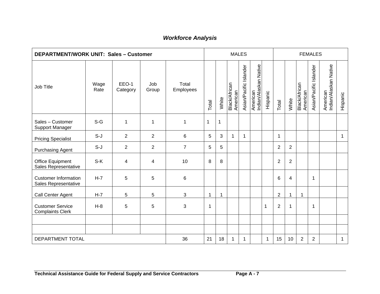| <b>DEPARTMENT/WORK UNIT: Sales - Customer</b>       |              |                   |                |                    |             |             |                           | <b>MALES</b>           |                                   |          |                |                |                                  | <b>FEMALES</b>         |                                   |              |
|-----------------------------------------------------|--------------|-------------------|----------------|--------------------|-------------|-------------|---------------------------|------------------------|-----------------------------------|----------|----------------|----------------|----------------------------------|------------------------|-----------------------------------|--------------|
| Job Title                                           | Wage<br>Rate | EEO-1<br>Category | Job<br>Group   | Total<br>Employees | Total       | White       | Black/African<br>American | Asian/Pacific Islander | American<br>Indian/Alaskan Native | Hispanic | Total          | White          | <b>Black/African</b><br>American | Asian/Pacific Islander | American<br>Indian/Alaskan Native | Hispanic     |
| Sales - Customer<br>Support Manager                 | $S-G$        | $\mathbf{1}$      | 1              | $\mathbf{1}$       | $\mathbf 1$ | $\mathbf 1$ |                           |                        |                                   |          |                |                |                                  |                        |                                   |              |
| <b>Pricing Specialist</b>                           | $S-J$        | $\overline{2}$    | $\overline{2}$ | $6\phantom{1}$     | 5           | 3           | $\mathbf 1$               | $\mathbf{1}$           |                                   |          | $\mathbf 1$    |                |                                  |                        |                                   | $\mathbf{1}$ |
| <b>Purchasing Agent</b>                             | $S-J$        | 2                 | $\overline{2}$ | $\overline{7}$     | 5           | 5           |                           |                        |                                   |          | $\overline{2}$ | $\overline{2}$ |                                  |                        |                                   |              |
| Office Equipment<br>Sales Representative            | $S-K$        | 4                 | 4              | 10                 | 8           | 8           |                           |                        |                                   |          | $\overline{2}$ | $\overline{2}$ |                                  |                        |                                   |              |
| <b>Customer Information</b><br>Sales Representative | $H-7$        | 5                 | 5              | $\,6\,$            |             |             |                           |                        |                                   |          | 6              | 4              |                                  | 1                      |                                   |              |
| Call Center Agent                                   | $H-7$        | 5                 | 5              | 3                  | $\mathbf 1$ | 1           |                           |                        |                                   |          | $\overline{2}$ | 1              | 1                                |                        |                                   |              |
| <b>Customer Service</b><br><b>Complaints Clerk</b>  | $H-8$        | 5                 | 5              | 3                  | 1           |             |                           |                        |                                   | 1        | $\overline{2}$ | 1              |                                  | 1                      |                                   |              |
|                                                     |              |                   |                |                    |             |             |                           |                        |                                   |          |                |                |                                  |                        |                                   |              |
|                                                     |              |                   |                |                    |             |             |                           |                        |                                   |          |                |                |                                  |                        |                                   |              |
| DEPARTMENT TOTAL                                    |              |                   |                | 36                 | 21          | 18          | 1                         | 1                      |                                   | 1        | 15             | 10             | $\overline{2}$                   | $\overline{2}$         |                                   | 1            |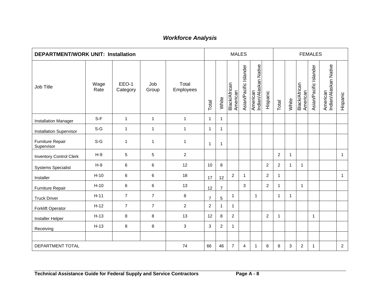| <b>DEPARTMENT/WORK UNIT: Installation</b> |              |                   |                |                    |                |                | <b>MALES</b>              |                        |                                   |                |                |              |                                  | <b>FEMALES</b>         |                                   |                |
|-------------------------------------------|--------------|-------------------|----------------|--------------------|----------------|----------------|---------------------------|------------------------|-----------------------------------|----------------|----------------|--------------|----------------------------------|------------------------|-----------------------------------|----------------|
| Job Title                                 | Wage<br>Rate | EEO-1<br>Category | Job<br>Group   | Total<br>Employees | Total          | White          | Black/African<br>American | Asian/Pacific Islander | Indian/Alaskan Native<br>American | Hispanic       | Total          | White        | <b>Black/African</b><br>American | Asian/Pacific Islander | American<br>Indian/Alaskan Native | Hispanic       |
| <b>Installation Manager</b>               | $S-F$        | $\mathbf{1}$      | $\mathbf{1}$   | $\mathbf{1}$       | $\mathbf{1}$   | $\mathbf{1}$   |                           |                        |                                   |                |                |              |                                  |                        |                                   |                |
| <b>Installation Supervisor</b>            | $S-G$        | 1                 | $\mathbf{1}$   | $\mathbf{1}$       | $\mathbf{1}$   | $\mathbf 1$    |                           |                        |                                   |                |                |              |                                  |                        |                                   |                |
| Furniture Repair<br>Supervisor            | $S-G$        | $\mathbf{1}$      | $\mathbf{1}$   | $\mathbf{1}$       | $\mathbf{1}$   | $\mathbf 1$    |                           |                        |                                   |                |                |              |                                  |                        |                                   |                |
| <b>Inventory Control Clerk</b>            | $H-9$        | 5                 | 5              | $\overline{2}$     |                |                |                           |                        |                                   |                | 2              | $\mathbf{1}$ |                                  |                        |                                   | $\mathbf{1}$   |
| <b>Systems Specialist</b>                 | $H-9$        | 6                 | 6              | 12                 | 10             | 8              |                           |                        |                                   | $\overline{2}$ | $\overline{2}$ | $\mathbf{1}$ | $\mathbf{1}$                     |                        |                                   |                |
| Installer                                 | $H-10$       | 6                 | 6              | 18                 | 17             | 12             | $\overline{c}$            | 1                      |                                   | $\overline{c}$ | $\mathbf 1$    |              |                                  |                        |                                   | $\mathbf{1}$   |
| Furniture Repair                          | $H-10$       | 6                 | 6              | 13                 | 12             | $\overline{7}$ |                           | 3                      |                                   | 2              | $\mathbf 1$    |              | $\mathbf{1}$                     |                        |                                   |                |
| <b>Truck Driver</b>                       | $H-11$       | $\overline{7}$    | $\overline{7}$ | $\, 8$             | $\overline{7}$ | 5              | $\mathbf{1}$              |                        | $\mathbf{1}$                      |                | $\mathbf{1}$   | $\mathbf{1}$ |                                  |                        |                                   |                |
| <b>Forklift Operator</b>                  | $H-12$       | $\overline{7}$    | $\overline{7}$ | $\overline{2}$     | $\overline{2}$ | 1              | 1                         |                        |                                   |                |                |              |                                  |                        |                                   |                |
| Installer Helper                          | $H-13$       | 8                 | 8              | 13                 | 12             | 8              | $\overline{2}$            |                        |                                   | 2              | $\mathbf{1}$   |              |                                  | $\mathbf{1}$           |                                   |                |
| Receiving                                 | $H-13$       | 8                 | 8              | $\mathbf{3}$       | 3              | $\overline{2}$ | $\overline{1}$            |                        |                                   |                |                |              |                                  |                        |                                   |                |
|                                           |              |                   |                |                    |                |                |                           |                        |                                   |                |                |              |                                  |                        |                                   |                |
| DEPARTMENT TOTAL                          |              |                   |                | 74                 | 66             | 46             | $\overline{7}$            | 4                      | 1                                 | 8              | 8              | 3            | $\overline{c}$                   | 1                      |                                   | $\overline{2}$ |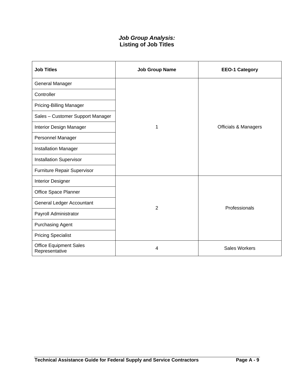### *Job Group Analysis:* **Listing of Job Titles**

| <b>Job Titles</b>                               | <b>Job Group Name</b> | <b>EEO-1 Category</b>           |
|-------------------------------------------------|-----------------------|---------------------------------|
| General Manager                                 |                       |                                 |
| Controller                                      |                       |                                 |
| Pricing-Billing Manager                         |                       |                                 |
| Sales - Customer Support Manager                |                       |                                 |
| Interior Design Manager                         | 1                     | <b>Officials &amp; Managers</b> |
| Personnel Manager                               |                       |                                 |
| <b>Installation Manager</b>                     |                       |                                 |
| <b>Installation Supervisor</b>                  |                       |                                 |
| Furniture Repair Supervisor                     |                       |                                 |
| <b>Interior Designer</b>                        |                       |                                 |
| Office Space Planner                            |                       |                                 |
| General Ledger Accountant                       | 2                     | Professionals                   |
| Payroll Administrator                           |                       |                                 |
| <b>Purchasing Agent</b>                         |                       |                                 |
| <b>Pricing Specialist</b>                       |                       |                                 |
| <b>Office Equipment Sales</b><br>Representative | 4                     | <b>Sales Workers</b>            |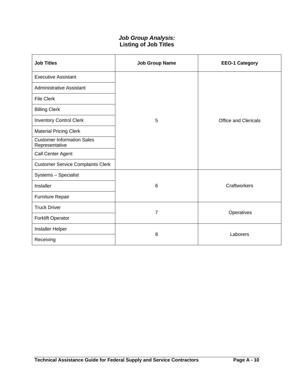### *Job Group Analysis:* **Listing of Job Titles**

| <b>Job Titles</b>                                   | <b>Job Group Name</b> | <b>EEO-1 Category</b>       |
|-----------------------------------------------------|-----------------------|-----------------------------|
| <b>Executive Assistant</b>                          |                       |                             |
| <b>Administrative Assistant</b>                     |                       |                             |
| <b>File Clerk</b>                                   |                       |                             |
| <b>Billing Clerk</b>                                |                       |                             |
| <b>Inventory Control Clerk</b>                      | 5                     | <b>Office and Clericals</b> |
| <b>Material Pricing Clerk</b>                       |                       |                             |
| <b>Customer Information Sales</b><br>Representative |                       |                             |
| Call Center Agent                                   |                       |                             |
| <b>Customer Service Complaints Clerk</b>            |                       |                             |
| Systems - Specialist                                |                       |                             |
| Installer                                           | 6                     | Craftworkers                |
| Furniture Repair                                    |                       |                             |
| <b>Truck Driver</b>                                 | $\overline{7}$        | Operatives                  |
| <b>Forklift Operator</b>                            |                       |                             |
| Installer Helper                                    | 8                     | Laborers                    |
| Receiving                                           |                       |                             |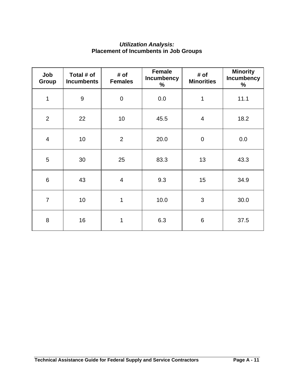### *Utilization Analysis:*  **Placement of Incumbents in Job Groups**

| Job<br><b>Group</b> | Total # of<br><b>Incumbents</b> | # of<br><b>Females</b> | <b>Female</b><br><b>Incumbency</b><br>$\%$ | # of<br><b>Minorities</b> | <b>Minority</b><br>Incumbency<br>$\%$ |
|---------------------|---------------------------------|------------------------|--------------------------------------------|---------------------------|---------------------------------------|
| 1                   | $\boldsymbol{9}$                | $\mathbf 0$            | 0.0                                        | 1                         | 11.1                                  |
| $\overline{2}$      | 22                              | 10                     | 45.5                                       | $\overline{4}$            | 18.2                                  |
| $\overline{4}$      | 10                              | $\overline{2}$         | 20.0                                       | $\mathbf 0$               | 0.0                                   |
| 5                   | 30                              | 25                     | 83.3                                       | 13                        | 43.3                                  |
| $6\phantom{1}6$     | 43                              | $\overline{4}$         | 9.3                                        | 15                        | 34.9                                  |
| $\overline{7}$      | 10                              | 1                      | 10.0                                       | 3                         | 30.0                                  |
| 8                   | 16                              | 1                      | 6.3                                        | 6                         | 37.5                                  |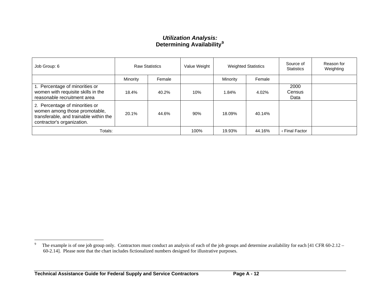### *Utilization Analysis:*  **Determining Availability[9](#page-80-0)**

| Job Group: 6                                                                                                                            |          | <b>Raw Statistics</b> | Value Weight |          | <b>Weighted Statistics</b> | Source of<br><b>Statistics</b> | Reason for<br>Weighting |
|-----------------------------------------------------------------------------------------------------------------------------------------|----------|-----------------------|--------------|----------|----------------------------|--------------------------------|-------------------------|
|                                                                                                                                         | Minority | Female                |              | Minority | Female                     |                                |                         |
| 1. Percentage of minorities or<br>women with requisite skills in the<br>reasonable recruitment area                                     | 18.4%    | 40.2%                 | 10%          | 1.84%    | 4.02%                      | 2000<br>Census<br>Data         |                         |
| 2. Percentage of minorities or<br>women among those promotable,<br>transferable, and trainable within the<br>contractor's organization. | 20.1%    | 44.6%                 | 90%          | 18.09%   | 40.14%                     |                                |                         |
| Totals:                                                                                                                                 |          |                       | 100%         | 19.93%   | 44.16%                     | ⊆Final Factor                  |                         |

<span id="page-80-0"></span><sup>&</sup>lt;sup>9</sup> The example is of one job group only. Contractors must conduct an analysis of each of the job groups and determine availability for each [41 CFR 60-2.12 – 60-2.14]. Please note that the chart includes fictionalized numbers designed for illustrative purposes.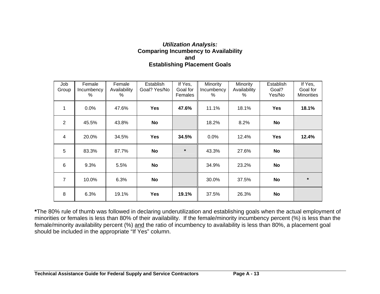#### *Utilization Analysis:*  **Comparing Incumbency to Availability and Establishing Placement Goals**

| Job<br>Group   | Female<br>Incumbency<br>$\%$ | Female<br>Availability<br>℅ | Establish<br>Goal? Yes/No | If Yes,<br>Goal for<br>Females | <b>Minority</b><br>Incumbency<br>% | Minority<br>Availability<br>℅ | Establish<br>Goal?<br>Yes/No | If Yes,<br>Goal for<br><b>Minorities</b> |
|----------------|------------------------------|-----------------------------|---------------------------|--------------------------------|------------------------------------|-------------------------------|------------------------------|------------------------------------------|
| $\mathbf 1$    | 0.0%                         | 47.6%                       | <b>Yes</b>                | 47.6%                          | 11.1%                              | 18.1%                         | <b>Yes</b>                   | 18.1%                                    |
| 2              | 45.5%                        | 43.8%                       | No                        |                                | 18.2%                              | 8.2%                          | <b>No</b>                    |                                          |
| 4              | 20.0%                        | 34.5%                       | <b>Yes</b>                | 34.5%                          | 0.0%                               | 12.4%                         | <b>Yes</b>                   | 12.4%                                    |
| 5              | 83.3%                        | 87.7%                       | <b>No</b>                 | $\star$                        | 43.3%                              | 27.6%                         | No                           |                                          |
| 6              | 9.3%                         | 5.5%                        | No                        |                                | 34.9%                              | 23.2%                         | <b>No</b>                    |                                          |
| $\overline{7}$ | 10.0%                        | 6.3%                        | <b>No</b>                 |                                | 30.0%                              | 37.5%                         | <b>No</b>                    | $\star$                                  |
| 8              | 6.3%                         | 19.1%                       | <b>Yes</b>                | 19.1%                          | 37.5%                              | 26.3%                         | No                           |                                          |

**\***The 80% rule of thumb was followed in declaring underutilization and establishing goals when the actual employment of minorities or females is less than 80% of their availability. If the female/minority incumbency percent (%) is less than the female/minority availability percent (%) and the ratio of incumbency to availability is less than 80%, a placement goal should be included in the appropriate "If Yes" column.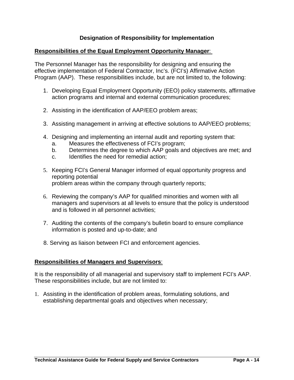### **Designation of Responsibility for Implementation**

#### **Responsibilities of the Equal Employment Opportunity Manager**:

The Personnel Manager has the responsibility for designing and ensuring the effective implementation of Federal Contractor, Inc's. (FCI's) Affirmative Action Program (AAP). These responsibilities include, but are not limited to, the following:

- 1. Developing Equal Employment Opportunity (EEO) policy statements, affirmative action programs and internal and external communication procedures;
- 2. Assisting in the identification of AAP/EEO problem areas;
- 3. Assisting management in arriving at effective solutions to AAP/EEO problems;
- 4. Designing and implementing an internal audit and reporting system that:
	- a. Measures the effectiveness of FCI's program;
	- b. Determines the degree to which AAP goals and objectives are met; and
	- c. Identifies the need for remedial action;
- 5. Keeping FCI's General Manager informed of equal opportunity progress and reporting potential problem areas within the company through quarterly reports;
- 6. Reviewing the company's AAP for qualified minorities and women with all managers and supervisors at all levels to ensure that the policy is understood and is followed in all personnel activities;
- 7. Auditing the contents of the company's bulletin board to ensure compliance information is posted and up-to-date; and
- 8. Serving as liaison between FCI and enforcement agencies.

#### **Responsibilities of Managers and Supervisors**:

It is the responsibility of all managerial and supervisory staff to implement FCI's AAP. These responsibilities include, but are not limited to:

1. Assisting in the identification of problem areas, formulating solutions, and establishing departmental goals and objectives when necessary;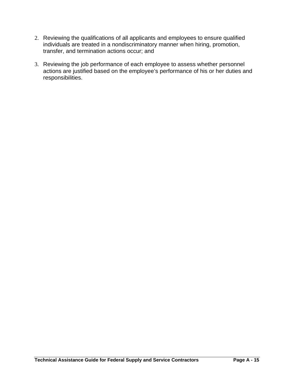- 2. Reviewing the qualifications of all applicants and employees to ensure qualified individuals are treated in a nondiscriminatory manner when hiring, promotion, transfer, and termination actions occur; and
- 3. Reviewing the job performance of each employee to assess whether personnel actions are justified based on the employee's performance of his or her duties and responsibilities.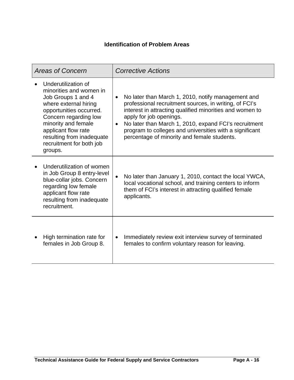## **Identification of Problem Areas**

| <b>Areas of Concern</b>                                                                                                                                                                                                                                             | <b>Corrective Actions</b>                                                                                                                                                                                                                                                                                                                                                                        |
|---------------------------------------------------------------------------------------------------------------------------------------------------------------------------------------------------------------------------------------------------------------------|--------------------------------------------------------------------------------------------------------------------------------------------------------------------------------------------------------------------------------------------------------------------------------------------------------------------------------------------------------------------------------------------------|
| Underutilization of<br>minorities and women in<br>Job Groups 1 and 4<br>where external hiring<br>opportunities occurred.<br>Concern regarding low<br>minority and female<br>applicant flow rate<br>resulting from inadequate<br>recruitment for both job<br>groups. | No later than March 1, 2010, notify management and<br>$\bullet$<br>professional recruitment sources, in writing, of FCI's<br>interest in attracting qualified minorities and women to<br>apply for job openings.<br>No later than March 1, 2010, expand FCI's recruitment<br>$\bullet$<br>program to colleges and universities with a significant<br>percentage of minority and female students. |
| Underutilization of women<br>in Job Group 8 entry-level<br>blue-collar jobs. Concern<br>regarding low female<br>applicant flow rate<br>resulting from inadequate<br>recruitment.                                                                                    | No later than January 1, 2010, contact the local YWCA,<br>local vocational school, and training centers to inform<br>them of FCI's interest in attracting qualified female<br>applicants.                                                                                                                                                                                                        |
| High termination rate for<br>females in Job Group 8.                                                                                                                                                                                                                | Immediately review exit interview survey of terminated<br>females to confirm voluntary reason for leaving.                                                                                                                                                                                                                                                                                       |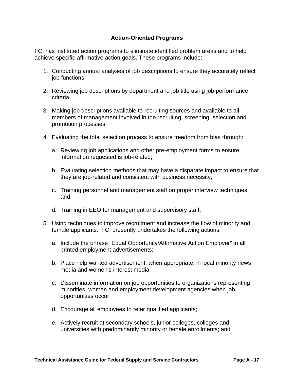### **Action-Oriented Programs**

FCI has instituted action programs to eliminate identified problem areas and to help achieve specific affirmative action goals. These programs include:

- 1. Conducting annual analyses of job descriptions to ensure they accurately reflect job functions;
- 2. Reviewing job descriptions by department and job title using job performance criteria;
- 3. Making job descriptions available to recruiting sources and available to all members of management involved in the recruiting, screening, selection and promotion processes;
- 4. Evaluating the total selection process to ensure freedom from bias through:
	- a. Reviewing job applications and other pre-employment forms to ensure information requested is job-related;
	- b. Evaluating selection methods that may have a disparate impact to ensure that they are job-related and consistent with business necessity;
	- c. Training personnel and management staff on proper interview techniques; and
	- d. Training in EEO for management and supervisory staff;
- 5. Using techniques to improve recruitment and increase the flow of minority and female applicants. FCI presently undertakes the following actions:
	- a. Include the phrase "Equal Opportunity/Affirmative Action Employer" in all printed employment advertisements;
	- b. Place help wanted advertisement, when appropriate, in local minority news media and women's interest media;
	- c. Disseminate information on job opportunities to organizations representing minorities, women and employment development agencies when job opportunities occur;
	- d. Encourage all employees to refer qualified applicants;
	- e. Actively recruit at secondary schools, junior colleges, colleges and universities with predominantly minority or female enrollments; and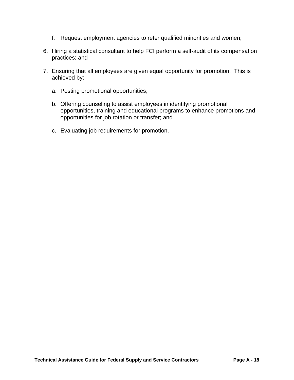- f. Request employment agencies to refer qualified minorities and women;
- 6. Hiring a statistical consultant to help FCI perform a self-audit of its compensation practices; and
- 7. Ensuring that all employees are given equal opportunity for promotion. This is achieved by:
	- a. Posting promotional opportunities;
	- b. Offering counseling to assist employees in identifying promotional opportunities, training and educational programs to enhance promotions and opportunities for job rotation or transfer; and
	- c. Evaluating job requirements for promotion.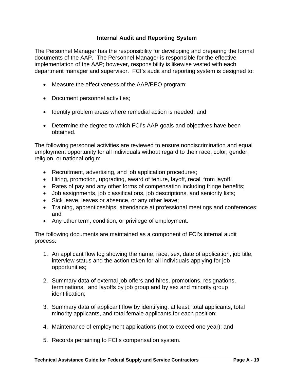### **Internal Audit and Reporting System**

The Personnel Manager has the responsibility for developing and preparing the formal documents of the AAP. The Personnel Manager is responsible for the effective implementation of the AAP; however, responsibility is likewise vested with each department manager and supervisor. FCI's audit and reporting system is designed to:

- Measure the effectiveness of the AAP/EEO program;
- Document personnel activities;
- Identify problem areas where remedial action is needed; and
- Determine the degree to which FCI's AAP goals and objectives have been obtained.

The following personnel activities are reviewed to ensure nondiscrimination and equal employment opportunity for all individuals without regard to their race, color, gender, religion, or national origin:

- Recruitment, advertising, and job application procedures;
- Hiring, promotion, upgrading, award of tenure, layoff, recall from layoff;
- Rates of pay and any other forms of compensation including fringe benefits;
- Job assignments, job classifications, job descriptions, and seniority lists;
- Sick leave, leaves or absence, or any other leave;
- Training, apprenticeships, attendance at professional meetings and conferences; and
- Any other term, condition, or privilege of employment.

The following documents are maintained as a component of FCI's internal audit process:

- 1. An applicant flow log showing the name, race, sex, date of application, job title, interview status and the action taken for all individuals applying for job opportunities;
- 2. Summary data of external job offers and hires, promotions, resignations, terminations, and layoffs by job group and by sex and minority group identification;
- 3. Summary data of applicant flow by identifying, at least, total applicants, total minority applicants, and total female applicants for each position;
- 4. Maintenance of employment applications (not to exceed one year); and
- 5. Records pertaining to FCI's compensation system.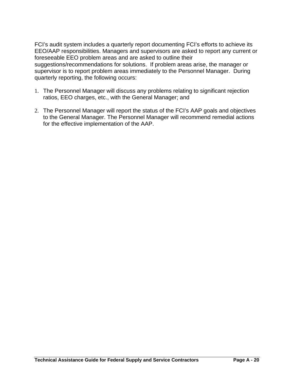FCI's audit system includes a quarterly report documenting FCI's efforts to achieve its EEO/AAP responsibilities. Managers and supervisors are asked to report any current or foreseeable EEO problem areas and are asked to outline their suggestions/recommendations for solutions. If problem areas arise, the manager or supervisor is to report problem areas immediately to the Personnel Manager. During quarterly reporting, the following occurs:

- 1. The Personnel Manager will discuss any problems relating to significant rejection ratios, EEO charges, etc., with the General Manager; and
- 2. The Personnel Manager will report the status of the FCI's AAP goals and objectives to the General Manager. The Personnel Manager will recommend remedial actions for the effective implementation of the AAP.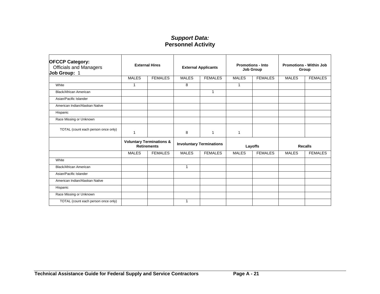| <b>OFCCP Category:</b><br><b>Officials and Managers</b><br>Job Group: 1 |                | <b>External Hires</b>                                     | <b>External Applicants</b> |                                 | <b>Promotions - Into</b><br><b>Job Group</b><br><b>MALES</b> |                |              | <b>Promotions - Within Job</b><br>Group |
|-------------------------------------------------------------------------|----------------|-----------------------------------------------------------|----------------------------|---------------------------------|--------------------------------------------------------------|----------------|--------------|-----------------------------------------|
|                                                                         | <b>MALES</b>   | <b>FEMALES</b>                                            | <b>MALES</b>               | <b>FEMALES</b>                  |                                                              | <b>FEMALES</b> | <b>MALES</b> | <b>FEMALES</b>                          |
| White                                                                   | $\overline{1}$ |                                                           | 8                          |                                 | 1                                                            |                |              |                                         |
| Black/African American                                                  |                |                                                           |                            | 1                               |                                                              |                |              |                                         |
| Asian/Pacific Islander                                                  |                |                                                           |                            |                                 |                                                              |                |              |                                         |
| American Indian/Alaskan Native                                          |                |                                                           |                            |                                 |                                                              |                |              |                                         |
| Hispanic                                                                |                |                                                           |                            |                                 |                                                              |                |              |                                         |
| Race Missing or Unknown                                                 |                |                                                           |                            |                                 |                                                              |                |              |                                         |
| TOTAL (count each person once only)                                     | -1             |                                                           | 8                          | 1                               | 1                                                            |                |              |                                         |
|                                                                         |                | <b>Voluntary Terminations &amp;</b><br><b>Retirements</b> |                            | <b>Involuntary Terminations</b> |                                                              | Layoffs        |              | <b>Recalls</b>                          |
|                                                                         | <b>MALES</b>   | <b>FEMALES</b>                                            | <b>MALES</b>               | <b>FEMALES</b>                  | <b>MALES</b>                                                 | <b>FEMALES</b> | <b>MALES</b> | <b>FEMALES</b>                          |
| White                                                                   |                |                                                           |                            |                                 |                                                              |                |              |                                         |
| Black/African American                                                  |                |                                                           | 1                          |                                 |                                                              |                |              |                                         |
| Asian/Pacific Islander                                                  |                |                                                           |                            |                                 |                                                              |                |              |                                         |
| American Indian/Alaskan Native                                          |                |                                                           |                            |                                 |                                                              |                |              |                                         |
| Hispanic                                                                |                |                                                           |                            |                                 |                                                              |                |              |                                         |
| Race Missing or Unknown                                                 |                |                                                           |                            |                                 |                                                              |                |              |                                         |
| TOTAL (count each person once only)                                     |                |                                                           | 1                          |                                 |                                                              |                |              |                                         |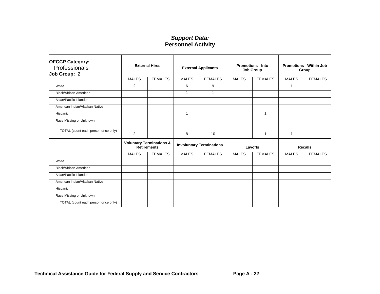| <b>OFCCP Category:</b><br>Professionals<br>Job Group: 2 | <b>External Hires</b>                                     |                | <b>External Applicants</b>      |                | <b>Promotions - Into</b><br><b>Job Group</b> |                | <b>Promotions - Within Job</b><br>Group |                |
|---------------------------------------------------------|-----------------------------------------------------------|----------------|---------------------------------|----------------|----------------------------------------------|----------------|-----------------------------------------|----------------|
|                                                         | <b>MALES</b>                                              | <b>FEMALES</b> | <b>MALES</b>                    | <b>FEMALES</b> | <b>MALES</b>                                 | <b>FEMALES</b> | <b>MALES</b>                            | <b>FEMALES</b> |
| White                                                   | 2                                                         |                | 6                               | 9              |                                              |                | 1                                       |                |
| <b>Black/African American</b>                           |                                                           |                | 1                               | $\mathbf{1}$   |                                              |                |                                         |                |
| Asian/Pacific Islander                                  |                                                           |                |                                 |                |                                              |                |                                         |                |
| American Indian/Alaskan Native                          |                                                           |                |                                 |                |                                              |                |                                         |                |
| Hispanic                                                |                                                           |                | $\mathbf{1}$                    |                |                                              | 1              |                                         |                |
| Race Missing or Unknown                                 |                                                           |                |                                 |                |                                              |                |                                         |                |
| TOTAL (count each person once only)                     | 2                                                         |                | 8                               | 10             |                                              | 1              | 1                                       |                |
|                                                         | <b>Voluntary Terminations &amp;</b><br><b>Retirements</b> |                | <b>Involuntary Terminations</b> |                | Layoffs                                      |                | <b>Recalls</b>                          |                |
|                                                         | <b>MALES</b>                                              | <b>FEMALES</b> | <b>MALES</b>                    | <b>FEMALES</b> | <b>MALES</b>                                 | <b>FEMALES</b> | <b>MALES</b>                            | <b>FEMALES</b> |
| White                                                   |                                                           |                |                                 |                |                                              |                |                                         |                |
| Black/African American                                  |                                                           |                |                                 |                |                                              |                |                                         |                |
| Asian/Pacific Islander                                  |                                                           |                |                                 |                |                                              |                |                                         |                |
| American Indian/Alaskan Native                          |                                                           |                |                                 |                |                                              |                |                                         |                |
| Hispanic                                                |                                                           |                |                                 |                |                                              |                |                                         |                |
| Race Missing or Unknown                                 |                                                           |                |                                 |                |                                              |                |                                         |                |
| TOTAL (count each person once only)                     |                                                           |                |                                 |                |                                              |                |                                         |                |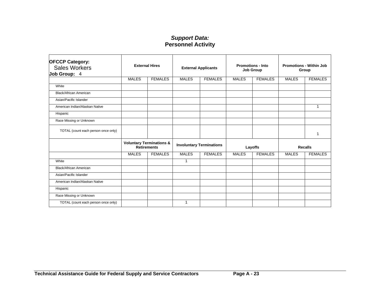| <b>OFCCP Category:</b><br><b>Sales Workers</b><br>Job Group: 4 | <b>External Hires</b>                                     |                | <b>External Applicants</b>      |                | <b>Promotions - Into</b><br><b>Job Group</b> |                | <b>Promotions - Within Job</b><br>Group |                |
|----------------------------------------------------------------|-----------------------------------------------------------|----------------|---------------------------------|----------------|----------------------------------------------|----------------|-----------------------------------------|----------------|
|                                                                | <b>MALES</b>                                              | <b>FEMALES</b> | <b>MALES</b>                    | <b>FEMALES</b> | <b>MALES</b>                                 | <b>FEMALES</b> | <b>MALES</b>                            | <b>FEMALES</b> |
| White                                                          |                                                           |                |                                 |                |                                              |                |                                         |                |
| Black/African American                                         |                                                           |                |                                 |                |                                              |                |                                         |                |
| Asian/Pacific Islander                                         |                                                           |                |                                 |                |                                              |                |                                         |                |
| American Indian/Alaskan Native                                 |                                                           |                |                                 |                |                                              |                |                                         | $\mathbf 1$    |
| Hispanic                                                       |                                                           |                |                                 |                |                                              |                |                                         |                |
| Race Missing or Unknown                                        |                                                           |                |                                 |                |                                              |                |                                         |                |
| TOTAL (count each person once only)                            |                                                           |                |                                 |                |                                              |                |                                         | 1              |
|                                                                | <b>Voluntary Terminations &amp;</b><br><b>Retirements</b> |                | <b>Involuntary Terminations</b> |                | Layoffs                                      |                | <b>Recalls</b>                          |                |
|                                                                | <b>MALES</b>                                              | <b>FEMALES</b> | <b>MALES</b>                    | <b>FEMALES</b> | <b>MALES</b>                                 | <b>FEMALES</b> | <b>MALES</b>                            | <b>FEMALES</b> |
| White                                                          |                                                           |                | 1                               |                |                                              |                |                                         |                |
| Black/African American                                         |                                                           |                |                                 |                |                                              |                |                                         |                |
| Asian/Pacific Islander                                         |                                                           |                |                                 |                |                                              |                |                                         |                |
| American Indian/Alaskan Native                                 |                                                           |                |                                 |                |                                              |                |                                         |                |
| Hispanic                                                       |                                                           |                |                                 |                |                                              |                |                                         |                |
| Race Missing or Unknown                                        |                                                           |                |                                 |                |                                              |                |                                         |                |
| TOTAL (count each person once only)                            |                                                           |                | 1                               |                |                                              |                |                                         |                |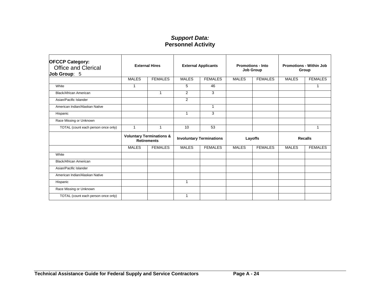| <b>OFCCP Category:</b><br><b>Office and Clerical</b><br>Job Group: 5 | <b>External Hires</b>                                     |                | <b>External Applicants</b>      |                | <b>Promotions - Into</b><br>Job Group |                | <b>Promotions - Within Job</b><br>Group |                |
|----------------------------------------------------------------------|-----------------------------------------------------------|----------------|---------------------------------|----------------|---------------------------------------|----------------|-----------------------------------------|----------------|
|                                                                      | <b>MALES</b>                                              | <b>FEMALES</b> | <b>MALES</b>                    | <b>FEMALES</b> | <b>MALES</b>                          | <b>FEMALES</b> | <b>MALES</b>                            | <b>FEMALES</b> |
| White                                                                | $\mathbf{1}$                                              |                | 5                               | 46             |                                       |                |                                         | 1              |
| Black/African American                                               |                                                           | $\mathbf 1$    | 2                               | 3              |                                       |                |                                         |                |
| Asian/Pacific Islander                                               |                                                           |                | 2                               |                |                                       |                |                                         |                |
| American Indian/Alaskan Native                                       |                                                           |                |                                 | $\mathbf{1}$   |                                       |                |                                         |                |
| Hispanic                                                             |                                                           |                | 1                               | 3              |                                       |                |                                         |                |
| Race Missing or Unknown                                              |                                                           |                |                                 |                |                                       |                |                                         |                |
| TOTAL (count each person once only)                                  | $\mathbf{1}$                                              | $\overline{1}$ | 10                              | 53             |                                       |                |                                         | 1              |
|                                                                      | <b>Voluntary Terminations &amp;</b><br><b>Retirements</b> |                | <b>Involuntary Terminations</b> |                | Layoffs                               |                | <b>Recalls</b>                          |                |
|                                                                      | <b>MALES</b>                                              | <b>FEMALES</b> | <b>MALES</b>                    | <b>FEMALES</b> | <b>MALES</b>                          | <b>FEMALES</b> | <b>MALES</b>                            | <b>FEMALES</b> |
| White                                                                |                                                           |                |                                 |                |                                       |                |                                         |                |
| <b>Black/African American</b>                                        |                                                           |                |                                 |                |                                       |                |                                         |                |
| Asian/Pacific Islander                                               |                                                           |                |                                 |                |                                       |                |                                         |                |
| American Indian/Alaskan Native                                       |                                                           |                |                                 |                |                                       |                |                                         |                |
| Hispanic                                                             |                                                           |                | 1                               |                |                                       |                |                                         |                |
| Race Missing or Unknown                                              |                                                           |                |                                 |                |                                       |                |                                         |                |
| TOTAL (count each person once only)                                  |                                                           |                | 1                               |                |                                       |                |                                         |                |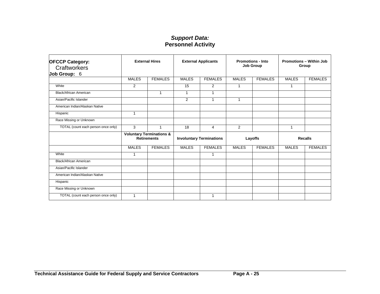| <b>OFCCP Category:</b><br>Craftworkers<br>Job Group: 6 | <b>External Hires</b>                                     |                | <b>External Applicants</b>      |                | <b>Promotions - Into</b><br>Job Group |                | <b>Promotions - Within Job</b><br>Group |                |
|--------------------------------------------------------|-----------------------------------------------------------|----------------|---------------------------------|----------------|---------------------------------------|----------------|-----------------------------------------|----------------|
|                                                        | <b>MALES</b>                                              | <b>FEMALES</b> | <b>MALES</b>                    | <b>FEMALES</b> | <b>MALES</b>                          | <b>FEMALES</b> | <b>MALES</b>                            | <b>FEMALES</b> |
| White                                                  | 2                                                         |                | 15                              | $\overline{2}$ | 1                                     |                | 1                                       |                |
| Black/African American                                 |                                                           | 1              | $\overline{1}$                  | $\mathbf{1}$   |                                       |                |                                         |                |
| Asian/Pacific Islander                                 |                                                           |                | $\overline{2}$                  | 1              | 1                                     |                |                                         |                |
| American Indian/Alaskan Native                         |                                                           |                |                                 |                |                                       |                |                                         |                |
| Hispanic                                               | $\mathbf 1$                                               |                |                                 |                |                                       |                |                                         |                |
| Race Missing or Unknown                                |                                                           |                |                                 |                |                                       |                |                                         |                |
| TOTAL (count each person once only)                    | 3                                                         | 1              | 18                              | 4              | $\overline{2}$                        |                | $\mathbf{1}$                            |                |
|                                                        | <b>Voluntary Terminations &amp;</b><br><b>Retirements</b> |                | <b>Involuntary Terminations</b> |                | Layoffs                               |                | <b>Recalls</b>                          |                |
|                                                        | <b>MALES</b>                                              | <b>FEMALES</b> | <b>MALES</b>                    | <b>FEMALES</b> | <b>MALES</b>                          | <b>FEMALES</b> | <b>MALES</b>                            | <b>FEMALES</b> |
| White                                                  | -1                                                        |                |                                 | 1              |                                       |                |                                         |                |
| Black/African American                                 |                                                           |                |                                 |                |                                       |                |                                         |                |
| Asian/Pacific Islander                                 |                                                           |                |                                 |                |                                       |                |                                         |                |
| American Indian/Alaskan Native                         |                                                           |                |                                 |                |                                       |                |                                         |                |
| Hispanic                                               |                                                           |                |                                 |                |                                       |                |                                         |                |
| Race Missing or Unknown                                |                                                           |                |                                 |                |                                       |                |                                         |                |
| TOTAL (count each person once only)                    | -1                                                        |                |                                 | 1              |                                       |                |                                         |                |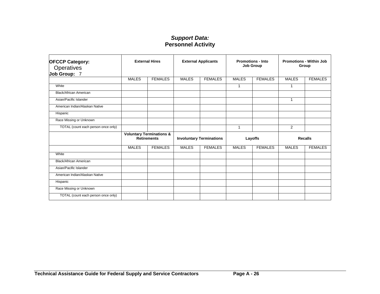| <b>OFCCP Category:</b><br>Operatives<br>Job Group: 7 | <b>External Hires</b>                                     |                | <b>External Applicants</b>      |                | <b>Promotions - Into</b><br><b>Job Group</b> |                | <b>Promotions - Within Job</b><br>Group |                |
|------------------------------------------------------|-----------------------------------------------------------|----------------|---------------------------------|----------------|----------------------------------------------|----------------|-----------------------------------------|----------------|
|                                                      | <b>MALES</b>                                              | <b>FEMALES</b> | <b>MALES</b>                    | <b>FEMALES</b> | <b>MALES</b>                                 | <b>FEMALES</b> | <b>MALES</b>                            | <b>FEMALES</b> |
| White                                                |                                                           |                |                                 |                | 1                                            |                | 1                                       |                |
| Black/African American                               |                                                           |                |                                 |                |                                              |                |                                         |                |
| Asian/Pacific Islander                               |                                                           |                |                                 |                |                                              |                | $\mathbf{1}$                            |                |
| American Indian/Alaskan Native                       |                                                           |                |                                 |                |                                              |                |                                         |                |
| Hispanic                                             |                                                           |                |                                 |                |                                              |                |                                         |                |
| Race Missing or Unknown                              |                                                           |                |                                 |                |                                              |                |                                         |                |
| TOTAL (count each person once only)                  |                                                           |                |                                 |                | 1                                            |                | 2                                       |                |
|                                                      | <b>Voluntary Terminations &amp;</b><br><b>Retirements</b> |                | <b>Involuntary Terminations</b> |                | Layoffs                                      |                | <b>Recalls</b>                          |                |
|                                                      | <b>MALES</b>                                              | <b>FEMALES</b> | <b>MALES</b>                    | <b>FEMALES</b> | <b>MALES</b>                                 | <b>FEMALES</b> | <b>MALES</b>                            | <b>FEMALES</b> |
| White                                                |                                                           |                |                                 |                |                                              |                |                                         |                |
| Black/African American                               |                                                           |                |                                 |                |                                              |                |                                         |                |
| Asian/Pacific Islander                               |                                                           |                |                                 |                |                                              |                |                                         |                |
| American Indian/Alaskan Native                       |                                                           |                |                                 |                |                                              |                |                                         |                |
| Hispanic                                             |                                                           |                |                                 |                |                                              |                |                                         |                |
| Race Missing or Unknown                              |                                                           |                |                                 |                |                                              |                |                                         |                |
| TOTAL (count each person once only)                  |                                                           |                |                                 |                |                                              |                |                                         |                |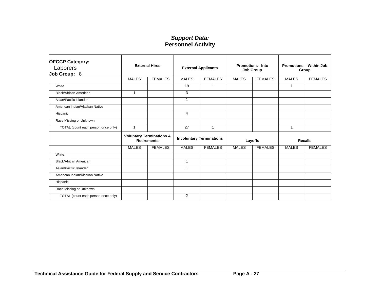| <b>OFCCP Category:</b><br>Laborers<br>Job Group: 8 | <b>External Hires</b>                                     |                | <b>External Applicants</b>      |                | <b>Promotions - Into</b><br><b>Job Group</b> |                | <b>Promotions - Within Job</b><br>Group |                |
|----------------------------------------------------|-----------------------------------------------------------|----------------|---------------------------------|----------------|----------------------------------------------|----------------|-----------------------------------------|----------------|
|                                                    | <b>MALES</b>                                              | <b>FEMALES</b> | <b>MALES</b>                    | <b>FEMALES</b> | <b>MALES</b>                                 | <b>FEMALES</b> | <b>MALES</b>                            | <b>FEMALES</b> |
| White                                              |                                                           |                | 19                              | 1              |                                              |                | $\mathbf{1}$                            |                |
| Black/African American                             | $\mathbf{1}$                                              |                | 3                               |                |                                              |                |                                         |                |
| Asian/Pacific Islander                             |                                                           |                | 1                               |                |                                              |                |                                         |                |
| American Indian/Alaskan Native                     |                                                           |                |                                 |                |                                              |                |                                         |                |
| Hispanic                                           |                                                           |                | $\overline{4}$                  |                |                                              |                |                                         |                |
| Race Missing or Unknown                            |                                                           |                |                                 |                |                                              |                |                                         |                |
| TOTAL (count each person once only)                | 1                                                         |                | 27                              | 1              |                                              |                | 1                                       |                |
|                                                    | <b>Voluntary Terminations &amp;</b><br><b>Retirements</b> |                | <b>Involuntary Terminations</b> |                | Layoffs                                      |                | <b>Recalls</b>                          |                |
|                                                    | <b>MALES</b>                                              | <b>FEMALES</b> | <b>MALES</b>                    | <b>FEMALES</b> | <b>MALES</b>                                 | <b>FEMALES</b> | <b>MALES</b>                            | <b>FEMALES</b> |
| White                                              |                                                           |                |                                 |                |                                              |                |                                         |                |
| Black/African American                             |                                                           |                | $\mathbf{1}$                    |                |                                              |                |                                         |                |
| Asian/Pacific Islander                             |                                                           |                | 1                               |                |                                              |                |                                         |                |
| American Indian/Alaskan Native                     |                                                           |                |                                 |                |                                              |                |                                         |                |
| Hispanic                                           |                                                           |                |                                 |                |                                              |                |                                         |                |
| Race Missing or Unknown                            |                                                           |                |                                 |                |                                              |                |                                         |                |
| TOTAL (count each person once only)                |                                                           |                | 2                               |                |                                              |                |                                         |                |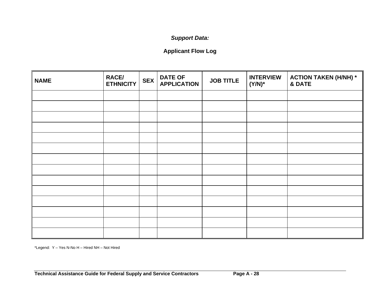# *Support Data:*

# **Applicant Flow Log**

| <b>NAME</b> | <b>RACE/</b><br><b>ETHNICITY</b> | <b>SEX</b> | <b>DATE OF</b><br><b>APPLICATION</b> | <b>JOB TITLE</b> | <b>INTERVIEW</b><br>$(Y/N)^*$ | <b>ACTION TAKEN (H/NH) *</b><br>& DATE |
|-------------|----------------------------------|------------|--------------------------------------|------------------|-------------------------------|----------------------------------------|
|             |                                  |            |                                      |                  |                               |                                        |
|             |                                  |            |                                      |                  |                               |                                        |
|             |                                  |            |                                      |                  |                               |                                        |
|             |                                  |            |                                      |                  |                               |                                        |
|             |                                  |            |                                      |                  |                               |                                        |
|             |                                  |            |                                      |                  |                               |                                        |
|             |                                  |            |                                      |                  |                               |                                        |
|             |                                  |            |                                      |                  |                               |                                        |
|             |                                  |            |                                      |                  |                               |                                        |
|             |                                  |            |                                      |                  |                               |                                        |
|             |                                  |            |                                      |                  |                               |                                        |
|             |                                  |            |                                      |                  |                               |                                        |
|             |                                  |            |                                      |                  |                               |                                        |
|             |                                  |            |                                      |                  |                               |                                        |

\*Legend: Y – Yes N-No H – Hired NH – Not Hired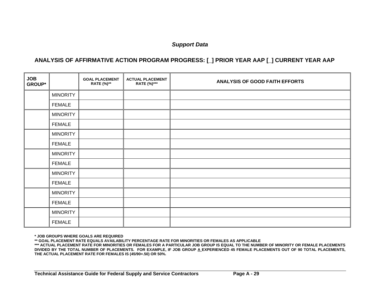### *Support Data*

#### **ANALYSIS OF AFFIRMATIVE ACTION PROGRAM PROGRESS: [\_] PRIOR YEAR AAP [\_] CURRENT YEAR AAP**

| <b>JOB</b><br><b>GROUP*</b> |                 | <b>GOAL PLACEMENT</b><br><b>RATE</b> (%)** | <b>ACTUAL PLACEMENT</b><br>RATE (%)*** | <b>ANALYSIS OF GOOD FAITH EFFORTS</b> |
|-----------------------------|-----------------|--------------------------------------------|----------------------------------------|---------------------------------------|
|                             | <b>MINORITY</b> |                                            |                                        |                                       |
|                             | <b>FEMALE</b>   |                                            |                                        |                                       |
|                             | <b>MINORITY</b> |                                            |                                        |                                       |
|                             | <b>FEMALE</b>   |                                            |                                        |                                       |
|                             | <b>MINORITY</b> |                                            |                                        |                                       |
|                             | <b>FEMALE</b>   |                                            |                                        |                                       |
|                             | <b>MINORITY</b> |                                            |                                        |                                       |
|                             | <b>FEMALE</b>   |                                            |                                        |                                       |
|                             | <b>MINORITY</b> |                                            |                                        |                                       |
|                             | <b>FEMALE</b>   |                                            |                                        |                                       |
|                             | <b>MINORITY</b> |                                            |                                        |                                       |
|                             | <b>FEMALE</b>   |                                            |                                        |                                       |
|                             | <b>MINORITY</b> |                                            |                                        |                                       |
|                             | <b>FEMALE</b>   |                                            |                                        |                                       |

**\* JOB GROUPS WHERE GOALS ARE REQUIRED** 

**\*\* GOAL PLACEMENT RATE EQUALS AVAILABILITY PERCENTAGE RATE FOR MINORITIES OR FEMALES AS APPLICABLE** 

**\*\*\* ACTUAL PLACEMENT RATE FOR MINORITIES OR FEMALES FOR A PARTICULAR JOB GROUP IS EQUAL TO THE NUMBER OF MINORITY OR FEMALE PLACEMENTS DIVIDED BY THE TOTAL NUMBER OF PLACEMENTS. FOR EXAMPLE, IF JOB GROUP A EXPERIENCED 45 FEMALE PLACEMENTS OUT OF 90 TOTAL PLACEMENTS, THE ACTUAL PLACEMENT RATE FOR FEMALES IS (45/90=.50) OR 50%.**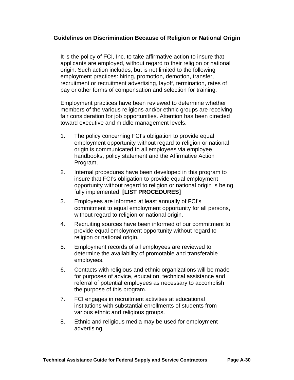#### **Guidelines on Discrimination Because of Religion or National Origin**

It is the policy of FCI, Inc. to take affirmative action to insure that applicants are employed, without regard to their religion or national origin. Such action includes, but is not limited to the following employment practices: hiring, promotion, demotion, transfer, recruitment or recruitment advertising, layoff, termination, rates of pay or other forms of compensation and selection for training.

Employment practices have been reviewed to determine whether members of the various religions and/or ethnic groups are receiving fair consideration for job opportunities. Attention has been directed toward executive and middle management levels.

- 1. The policy concerning FCI's obligation to provide equal employment opportunity without regard to religion or national origin is communicated to all employees via employee handbooks, policy statement and the Affirmative Action Program.
- 2. Internal procedures have been developed in this program to insure that FCI's obligation to provide equal employment opportunity without regard to religion or national origin is being fully implemented. **[LIST PROCEDURES]**
- 3. Employees are informed at least annually of FCI's commitment to equal employment opportunity for all persons, without regard to religion or national origin.
- 4. Recruiting sources have been informed of our commitment to provide equal employment opportunity without regard to religion or national origin.
- 5. Employment records of all employees are reviewed to determine the availability of promotable and transferable employees.
- 6. Contacts with religious and ethnic organizations will be made for purposes of advice, education, technical assistance and referral of potential employees as necessary to accomplish the purpose of this program.
- 7. FCI engages in recruitment activities at educational institutions with substantial enrollments of students from various ethnic and religious groups.
- 8. Ethnic and religious media may be used for employment advertising.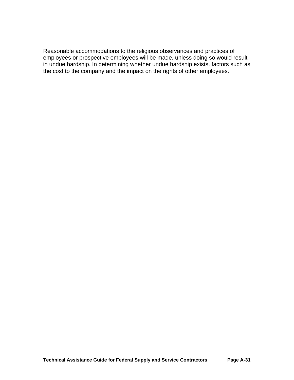Reasonable accommodations to the religious observances and practices of employees or prospective employees will be made, unless doing so would result in undue hardship. In determining whether undue hardship exists, factors such as the cost to the company and the impact on the rights of other employees.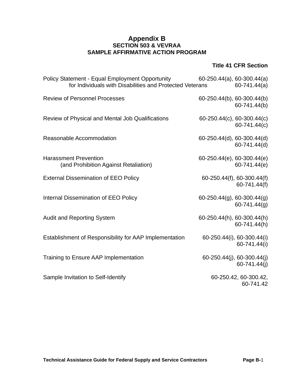### **Appendix B SECTION 503 & VEVRAA SAMPLE AFFIRMATIVE ACTION PROGRAM**

#### **Title 41 CFR Section**

| Policy Statement - Equal Employment Opportunity<br>for Individuals with Disabilities and Protected Veterans | 60-250.44(a), 60-300.44(a) | $60-741.44(a)$                                |
|-------------------------------------------------------------------------------------------------------------|----------------------------|-----------------------------------------------|
| <b>Review of Personnel Processes</b>                                                                        | 60-250.44(b), 60-300.44(b) | 60-741.44(b)                                  |
| Review of Physical and Mental Job Qualifications                                                            | 60-250.44(c), 60-300.44(c) | 60-741.44(c)                                  |
| Reasonable Accommodation                                                                                    | 60-250.44(d), 60-300.44(d) | 60-741.44(d)                                  |
| <b>Harassment Prevention</b><br>(and Prohibition Against Retaliation)                                       | 60-250.44(e), 60-300.44(e) | 60-741.44(e)                                  |
| <b>External Dissemination of EEO Policy</b>                                                                 |                            | 60-250.44(f), 60-300.44(f)<br>60-741.44(f)    |
| Internal Dissemination of EEO Policy                                                                        | 60-250.44(g), 60-300.44(g) | $60 - 741.44(q)$                              |
| <b>Audit and Reporting System</b>                                                                           | 60-250.44(h), 60-300.44(h) | 60-741.44(h)                                  |
| Establishment of Responsibility for AAP Implementation                                                      |                            | 60-250.44(i), 60-300.44(i)<br>60-741.44(i)    |
| Training to Ensure AAP Implementation                                                                       |                            | $60-250.44(j)$ , 60-300.44(j)<br>60-741.44(j) |
| Sample Invitation to Self-Identify                                                                          |                            | 60-250.42, 60-300.42,<br>60-741.42            |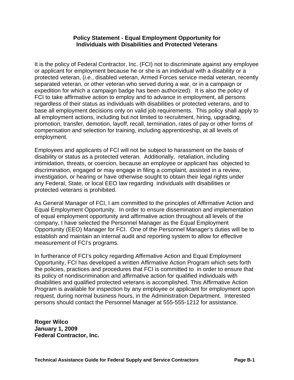#### **Policy Statement - Equal Employment Opportunity for Individuals with Disabilities and Protected Veterans**

It is the policy of Federal Contractor, Inc. (FCI) not to discriminate against any employee or applicant for employment because he or she is an individual with a disability or a protected veteran, (*i.e.*, disabled veteran, Armed Forces service medal veteran, recently separated veteran, or other veteran who served during a war, or in a campaign or expedition for which a campaign badge has been authorized). It is also the policy of FCI to take affirmative action to employ and to advance in employment, all persons regardless of their status as individuals with disabilities or protected veterans, and to base all employment decisions only on valid job requirements. This policy shall apply to all employment actions, including but not limited to recruitment, hiring, upgrading, promotion, transfer, demotion, layoff, recall, termination, rates of pay or other forms of compensation and selection for training, including apprenticeship, at all levels of employment.

Employees and applicants of FCI will not be subject to harassment on the basis of disability or status as a protected veteran. Additionally, retaliation, including intimidation, threats, or coercion, because an employee or applicant has objected to discrimination, engaged or may engage in filing a complaint, assisted in a review, investigation, or hearing or have otherwise sought to obtain their legal rights under any Federal, State, or local EEO law regarding individuals with disabilities or protected veterans is prohibited.

As General Manager of FCI, I am committed to the principles of Affirmative Action and Equal Employment Opportunity. In order to ensure dissemination and implementation of equal employment opportunity and affirmative action throughout all levels of the company, I have selected the Personnel Manager as the Equal Employment Opportunity (EEO) Manager for FCI. One of the Personnel Manager's duties will be to establish and maintain an internal audit and reporting system to allow for effective measurement of FCI's programs.

In furtherance of FCI's policy regarding Affirmative Action and Equal Employment Opportunity, FCI has developed a written Affirmative Action Program which sets forth the policies, practices and procedures that FCI is committed to in order to ensure that its policy of nondiscrimination and affirmative action for qualified individuals with disabilities and qualified protected veterans is accomplished. This Affirmative Action Program is available for inspection by any employee or applicant for employment upon request, during normal business hours, in the Administration Department. Interested persons should contact the Personnel Manager at 555-555-1212 for assistance.

**Roger Wilco January 1, 2009 Federal Contractor, Inc.**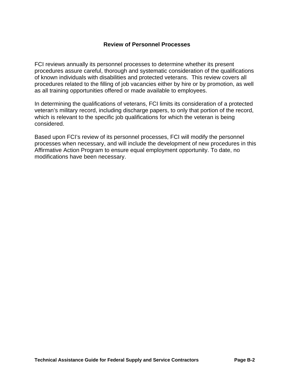#### **Review of Personnel Processes**

FCI reviews annually its personnel processes to determine whether its present procedures assure careful, thorough and systematic consideration of the qualifications of known individuals with disabilities and protected veterans. This review covers all procedures related to the filling of job vacancies either by hire or by promotion, as well as all training opportunities offered or made available to employees.

In determining the qualifications of veterans, FCI limits its consideration of a protected veteran's military record, including discharge papers, to only that portion of the record, which is relevant to the specific job qualifications for which the veteran is being considered.

Based upon FCI's review of its personnel processes, FCI will modify the personnel processes when necessary, and will include the development of new procedures in this Affirmative Action Program to ensure equal employment opportunity. To date, no modifications have been necessary.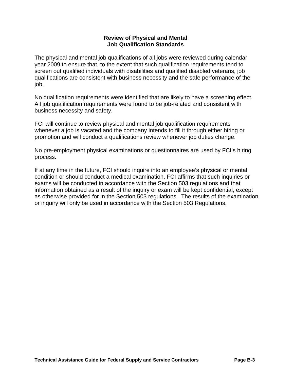#### **Review of Physical and Mental Job Qualification Standards**

The physical and mental job qualifications of all jobs were reviewed during calendar year 2009 to ensure that, to the extent that such qualification requirements tend to screen out qualified individuals with disabilities and qualified disabled veterans, job qualifications are consistent with business necessity and the safe performance of the job.

No qualification requirements were identified that are likely to have a screening effect. All job qualification requirements were found to be job-related and consistent with business necessity and safety.

FCI will continue to review physical and mental job qualification requirements whenever a job is vacated and the company intends to fill it through either hiring or promotion and will conduct a qualifications review whenever job duties change.

No pre-employment physical examinations or questionnaires are used by FCI's hiring process.

If at any time in the future, FCI should inquire into an employee's physical or mental condition or should conduct a medical examination, FCI affirms that such inquiries or exams will be conducted in accordance with the Section 503 regulations and that information obtained as a result of the inquiry or exam will be kept confidential, except as otherwise provided for in the Section 503 regulations. The results of the examination or inquiry will only be used in accordance with the Section 503 Regulations.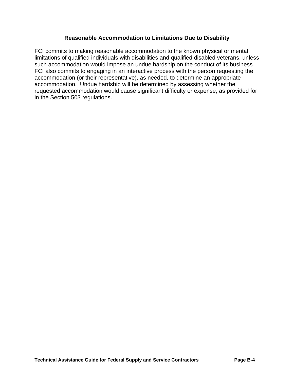#### **Reasonable Accommodation to Limitations Due to Disability**

FCI commits to making reasonable accommodation to the known physical or mental limitations of qualified individuals with disabilities and qualified disabled veterans, unless such accommodation would impose an undue hardship on the conduct of its business. FCI also commits to engaging in an interactive process with the person requesting the accommodation (or their representative), as needed, to determine an appropriate accommodation. Undue hardship will be determined by assessing whether the requested accommodation would cause significant difficulty or expense, as provided for in the Section 503 regulations.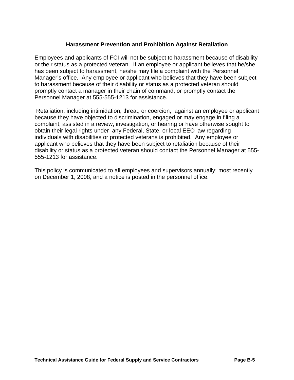### **Harassment Prevention and Prohibition Against Retaliation**

Employees and applicants of FCI will not be subject to harassment because of disability or their status as a protected veteran. If an employee or applicant believes that he/she has been subject to harassment, he/she may file a complaint with the Personnel Manager's office. Any employee or applicant who believes that they have been subject to harassment because of their disability or status as a protected veteran should promptly contact a manager in their chain of command, or promptly contact the Personnel Manager at 555-555-1213 for assistance.

 Retaliation, including intimidation, threat, or coercion, against an employee or applicant because they have objected to discrimination, engaged or may engage in filing a complaint, assisted in a review, investigation, or hearing or have otherwise sought to obtain their legal rights under any Federal, State, or local EEO law regarding individuals with disabilities or protected veterans is prohibited. Any employee or applicant who believes that they have been subject to retaliation because of their disability or status as a protected veteran should contact the Personnel Manager at 555- 555-1213 for assistance.

This policy is communicated to all employees and supervisors annually; most recently on December 1, 2008**,** and a notice is posted in the personnel office.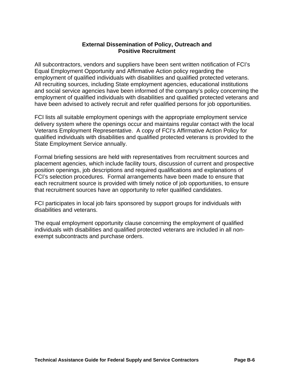#### **External Dissemination of Policy, Outreach and Positive Recruitment**

All subcontractors, vendors and suppliers have been sent written notification of FCI's Equal Employment Opportunity and Affirmative Action policy regarding the employment of qualified individuals with disabilities and qualified protected veterans. All recruiting sources, including State employment agencies, educational institutions and social service agencies have been informed of the company's policy concerning the employment of qualified individuals with disabilities and qualified protected veterans and have been advised to actively recruit and refer qualified persons for job opportunities.

FCI lists all suitable employment openings with the appropriate employment service delivery system where the openings occur and maintains regular contact with the local Veterans Employment Representative. A copy of FCI's Affirmative Action Policy for qualified individuals with disabilities and qualified protected veterans is provided to the State Employment Service annually.

Formal briefing sessions are held with representatives from recruitment sources and placement agencies, which include facility tours, discussion of current and prospective position openings, job descriptions and required qualifications and explanations of FCI's selection procedures. Formal arrangements have been made to ensure that each recruitment source is provided with timely notice of job opportunities, to ensure that recruitment sources have an opportunity to refer qualified candidates.

FCI participates in local job fairs sponsored by support groups for individuals with disabilities and veterans.

The equal employment opportunity clause concerning the employment of qualified individuals with disabilities and qualified protected veterans are included in all nonexempt subcontracts and purchase orders.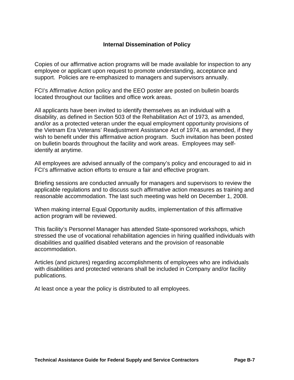### **Internal Dissemination of Policy**

Copies of our affirmative action programs will be made available for inspection to any employee or applicant upon request to promote understanding, acceptance and support. Policies are re-emphasized to managers and supervisors annually.

FCI's Affirmative Action policy and the EEO poster are posted on bulletin boards located throughout our facilities and office work areas.

All applicants have been invited to identify themselves as an individual with a disability, as defined in Section 503 of the Rehabilitation Act of 1973, as amended, and/or as a protected veteran under the equal employment opportunity provisions of the Vietnam Era Veterans' Readjustment Assistance Act of 1974, as amended, if they wish to benefit under this affirmative action program. Such invitation has been posted on bulletin boards throughout the facility and work areas. Employees may selfidentify at anytime.

All employees are advised annually of the company's policy and encouraged to aid in FCI's affirmative action efforts to ensure a fair and effective program.

Briefing sessions are conducted annually for managers and supervisors to review the applicable regulations and to discuss such affirmative action measures as training and reasonable accommodation. The last such meeting was held on December 1, 2008.

When making internal Equal Opportunity audits, implementation of this affirmative action program will be reviewed.

This facility's Personnel Manager has attended State-sponsored workshops, which stressed the use of vocational rehabilitation agencies in hiring qualified individuals with disabilities and qualified disabled veterans and the provision of reasonable accommodation.

Articles (and pictures) regarding accomplishments of employees who are individuals with disabilities and protected veterans shall be included in Company and/or facility publications.

At least once a year the policy is distributed to all employees.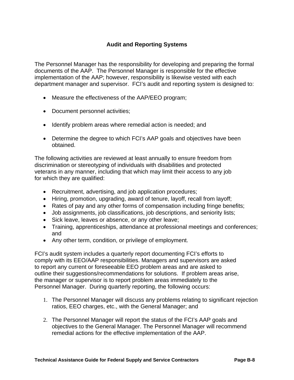## **Audit and Reporting Systems**

The Personnel Manager has the responsibility for developing and preparing the formal documents of the AAP. The Personnel Manager is responsible for the effective implementation of the AAP; however, responsibility is likewise vested with each department manager and supervisor. FCI's audit and reporting system is designed to:

- Measure the effectiveness of the AAP/EEO program;
- Document personnel activities;
- Identify problem areas where remedial action is needed; and
- Determine the degree to which FCI's AAP goals and objectives have been obtained.

The following activities are reviewed at least annually to ensure freedom from discrimination or stereotyping of individuals with disabilities and protected veterans in any manner, including that which may limit their access to any job for which they are qualified:

- Recruitment, advertising, and job application procedures;
- Hiring, promotion, upgrading, award of tenure, layoff, recall from layoff;
- Rates of pay and any other forms of compensation including fringe benefits;
- Job assignments, job classifications, job descriptions, and seniority lists;
- Sick leave, leaves or absence, or any other leave;
- Training, apprenticeships, attendance at professional meetings and conferences; and
- Any other term, condition, or privilege of employment.

FCI's audit system includes a quarterly report documenting FCI's efforts to comply with its EEO/AAP responsibilities. Managers and supervisors are asked to report any current or foreseeable EEO problem areas and are asked to outline their suggestions/recommendations for solutions. If problem areas arise, the manager or supervisor is to report problem areas immediately to the Personnel Manager. During quarterly reporting, the following occurs:

- 1. The Personnel Manager will discuss any problems relating to significant rejection ratios, EEO charges, etc., with the General Manager; and
- 2. The Personnel Manager will report the status of the FCI's AAP goals and objectives to the General Manager. The Personnel Manager will recommend remedial actions for the effective implementation of the AAP.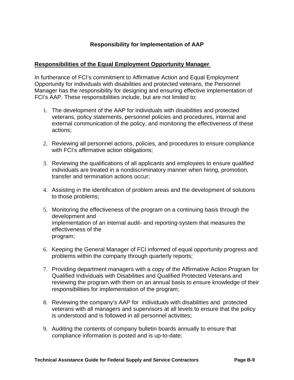## **Responsibility for Implementation of AAP**

#### **Responsibilities of the Equal Employment Opportunity Manager**

In furtherance of FCI's commitment to Affirmative Action and Equal Employment Opportunity for individuals with disabilities and protected veterans, the Personnel Manager has the responsibility for designing and ensuring effective implementation of FCI's AAP. These responsibilities include, but are not limited to:

- 1. The development of the AAP for individuals with disabilities and protected veterans, policy statements, personnel policies and procedures, internal and external communication of the policy, and monitoring the effectiveness of these actions;
- 2. Reviewing all personnel actions, policies, and procedures to ensure compliance with FCI's affirmative action obligations;
- 3. Reviewing the qualifications of all applicants and employees to ensure qualified individuals are treated in a nondiscriminatory manner when hiring, promotion, transfer and termination actions occur;
- 4. Assisting in the identification of problem areas and the development of solutions to those problems;
- 5. Monitoring the effectiveness of the program on a continuing basis through the development and implementation of an internal audit- and reporting-system that measures the effectiveness of the program;
- 6. Keeping the General Manager of FCI informed of equal opportunity progress and problems within the company through quarterly reports;
- 7. Providing department managers with a copy of the Affirmative Action Program for Qualified Individuals with Disabilities and Qualified Protected Veterans and reviewing the program with them on an annual basis to ensure knowledge of their responsibilities for implementation of the program;
- 8. Reviewing the company's AAP for individuals with disabilities and protected veterans with all managers and supervisors at all levels to ensure that the policy is understood and is followed in all personnel activities;
- 9. Auditing the contents of company bulletin boards annually to ensure that compliance information is posted and is up-to-date;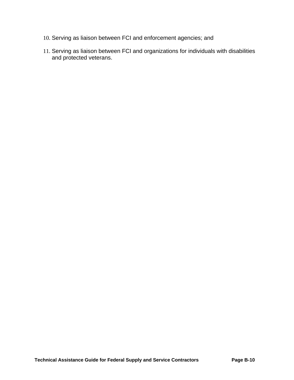- 10. Serving as liaison between FCI and enforcement agencies; and
- 11. Serving as liaison between FCI and organizations for individuals with disabilities and protected veterans.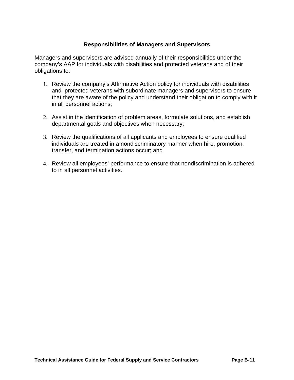## **Responsibilities of Managers and Supervisors**

Managers and supervisors are advised annually of their responsibilities under the company's AAP for individuals with disabilities and protected veterans and of their obligations to:

- 1. Review the company's Affirmative Action policy for individuals with disabilities and protected veterans with subordinate managers and supervisors to ensure that they are aware of the policy and understand their obligation to comply with it in all personnel actions;
- 2. Assist in the identification of problem areas, formulate solutions, and establish departmental goals and objectives when necessary;
- 3. Review the qualifications of all applicants and employees to ensure qualified individuals are treated in a nondiscriminatory manner when hire, promotion, transfer, and termination actions occur; and
- 4. Review all employees' performance to ensure that nondiscrimination is adhered to in all personnel activities.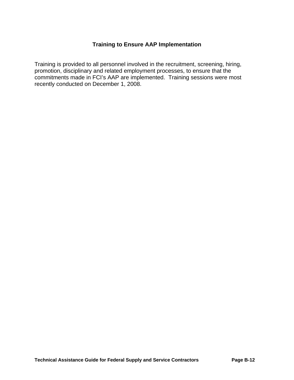## **Training to Ensure AAP Implementation**

Training is provided to all personnel involved in the recruitment, screening, hiring, promotion, disciplinary and related employment processes, to ensure that the commitments made in FCI's AAP are implemented. Training sessions were most recently conducted on December 1, 2008.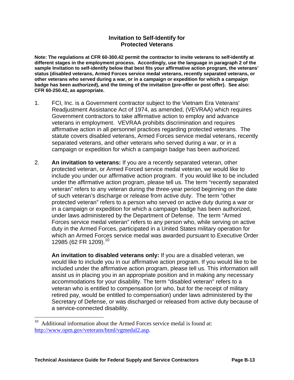#### **Invitation to Self-Identify for Protected Veterans**

<span id="page-113-0"></span>**Note: The regulations at CFR 60-300.42 permit the contractor to invite veterans to self-identify at different stages in the employment process. Accordingly, use the language in paragraph 2 of the sample Invitation to self-identify below that best fits your affirmative action program, the veterans' status (disabled veterans, Armed Forces service medal veterans, recently separated veterans, or other veterans who served during a war, or in a campaign or expedition for which a campaign badge has been authorized), and the timing of the invitation (pre-offer or post offer). See also: CFR 60-250.42, as appropriate.**

- 1. FCI, Inc. is a Government contractor subject to the Vietnam Era Veterans' Readjustment Assistance Act of 1974, as amended, (VEVRAA) which requires Government contractors to take affirmative action to employ and advance veterans in employment. VEVRAA prohibits discrimination and requires affirmative action in all personnel practices regarding protected veterans. The statute covers disabled veterans, Armed Forces service medal veterans, recently separated veterans, and other veterans who served during a war, or in a campaign or expedition for which a campaign badge has been authorized.
- 2. **An invitation to veterans:** If you are a recently separated veteran, other protected veteran, or Armed Forced service medal veteran, we would like to include you under our affirmative action program. If you would like to be included under the affirmative action program, please tell us. The term "recently separated veteran" refers to any veteran during the three-year period beginning on the date of such veteran's discharge or release from active duty. The term "other protected veteran" refers to a person who served on active duty during a war or in a campaign or expedition for which a campaign badge has been authorized, under laws administered by the Department of Defense. The term "Armed Forces service medal veteran" refers to any person who, while serving on active duty in the Armed Forces, participated in a United States military operation for which an Armed Forces service medal was awarded pursuant to Executive Order 12985 (62 FR 1209).<sup>[10](#page-113-0)</sup>

**An invitation to disabled veterans only:** If you are a disabled veteran, we would like to include you in our affirmative action program. If you would like to be included under the affirmative action program, please tell us. This information will assist us in placing you in an appropriate position and in making any necessary accommodations for your disability. The term "disabled veteran" refers to a veteran who is entitled to compensation (or who, but for the receipt of military retired pay, would be entitled to compensation) under laws administered by the Secretary of Defense, or was discharged or released from active duty because of a service-connected disability.

 $\overline{a}$ 

 $10$  Additional information about the Armed Forces service medal is found at: http://www.opm.gov/veterans/html/vgmedal2.asp.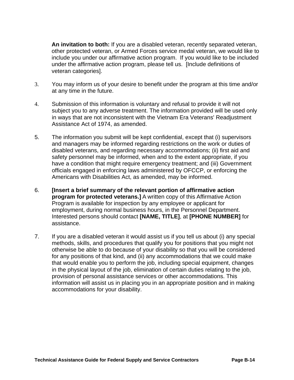**An invitation to both:** If you are a disabled veteran, recently separated veteran, other protected veteran, or Armed Forces service medal veteran, we would like to include you under our affirmative action program. If you would like to be included under the affirmative action program, please tell us. [Include definitions of veteran categories].

- 3. You may inform us of your desire to benefit under the program at this time and/or at any time in the future.
- 4. Submission of this information is voluntary and refusal to provide it will not subject you to any adverse treatment. The information provided will be used only in ways that are not inconsistent with the Vietnam Era Veterans' Readjustment Assistance Act of 1974, as amended.
- 5. The information you submit will be kept confidential, except that (i) supervisors and managers may be informed regarding restrictions on the work or duties of disabled veterans, and regarding necessary accommodations; (ii) first aid and safety personnel may be informed, when and to the extent appropriate, if you have a condition that might require emergency treatment; and (iii) Government officials engaged in enforcing laws administered by OFCCP, or enforcing the Americans with Disabilities Act, as amended, may be informed.
- 6. **[Insert a brief summary of the relevant portion of affirmative action program for protected veterans.]** A written copy of this Affirmative Action Program is available for inspection by any employee or applicant for employment, during normal business hours, in the Personnel Department. Interested persons should contact **[NAME, TITLE]**, at **[PHONE NUMBER]** for assistance.
- 7. If you are a disabled veteran it would assist us if you tell us about (i) any special methods, skills, and procedures that qualify you for positions that you might not otherwise be able to do because of your disability so that you will be considered for any positions of that kind, and (ii) any accommodations that we could make that would enable you to perform the job, including special equipment, changes in the physical layout of the job, elimination of certain duties relating to the job, provision of personal assistance services or other accommodations. This information will assist us in placing you in an appropriate position and in making accommodations for your disability.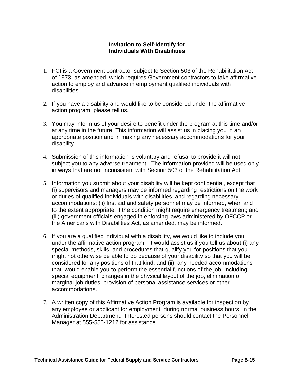### **Invitation to Self-Identify for Individuals With Disabilities**

- 1. FCI is a Government contractor subject to Section 503 of the Rehabilitation Act of 1973, as amended, which requires Government contractors to take affirmative action to employ and advance in employment qualified individuals with disabilities.
- 2. If you have a disability and would like to be considered under the affirmative action program, please tell us.
- 3. You may inform us of your desire to benefit under the program at this time and/or at any time in the future. This information will assist us in placing you in an appropriate position and in making any necessary accommodations for your disability.
- 4. Submission of this information is voluntary and refusal to provide it will not subject you to any adverse treatment. The information provided will be used only in ways that are not inconsistent with Section 503 of the Rehabilitation Act.
- 5. Information you submit about your disability will be kept confidential, except that (i) supervisors and managers may be informed regarding restrictions on the work or duties of qualified individuals with disabilities, and regarding necessary accommodations; (ii) first aid and safety personnel may be informed, when and to the extent appropriate, if the condition might require emergency treatment; and (iii) government officials engaged in enforcing laws administered by OFCCP or the Americans with Disabilities Act, as amended, may be informed.
- 6. If you are a qualified individual with a disability, we would like to include you under the affirmative action program. It would assist us if you tell us about (i) any special methods, skills, and procedures that qualify you for positions that you might not otherwise be able to do because of your disability so that you will be considered for any positions of that kind, and (ii) any needed accommodations that would enable you to perform the essential functions of the job, including special equipment, changes in the physical layout of the job, elimination of marginal job duties, provision of personal assistance services or other accommodations.
- 7. A written copy of this Affirmative Action Program is available for inspection by any employee or applicant for employment, during normal business hours, in the Administration Department. Interested persons should contact the Personnel Manager at 555-555-1212 for assistance.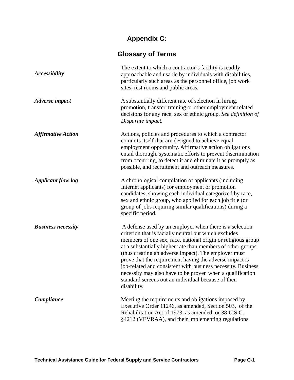# **Appendix C:**

# **Glossary of Terms**

| <i><b>Accessibility</b></i> | The extent to which a contractor's facility is readily<br>approachable and usable by individuals with disabilities,<br>particularly such areas as the personnel office, job work<br>sites, rest rooms and public areas.                                                                                                                                                                                                                                                                                                                                               |  |
|-----------------------------|-----------------------------------------------------------------------------------------------------------------------------------------------------------------------------------------------------------------------------------------------------------------------------------------------------------------------------------------------------------------------------------------------------------------------------------------------------------------------------------------------------------------------------------------------------------------------|--|
| <b>Adverse</b> impact       | A substantially different rate of selection in hiring,<br>promotion, transfer, training or other employment related<br>decisions for any race, sex or ethnic group. See definition of<br>Disparate impact.                                                                                                                                                                                                                                                                                                                                                            |  |
| <b>Affirmative Action</b>   | Actions, policies and procedures to which a contractor<br>commits itself that are designed to achieve equal<br>employment opportunity. Affirmative action obligations<br>entail thorough, systematic efforts to prevent discrimination<br>from occurring, to detect it and eliminate it as promptly as<br>possible, and recruitment and outreach measures.                                                                                                                                                                                                            |  |
| <b>Applicant flow log</b>   | A chronological compilation of applicants (including<br>Internet applicants) for employment or promotion<br>candidates, showing each individual categorized by race,<br>sex and ethnic group, who applied for each job title (or<br>group of jobs requiring similar qualifications) during a<br>specific period.                                                                                                                                                                                                                                                      |  |
| <b>Business necessity</b>   | A defense used by an employer when there is a selection<br>criterion that is facially neutral but which excludes<br>members of one sex, race, national origin or religious group<br>at a substantially higher rate than members of other groups<br>(thus creating an adverse impact). The employer must<br>prove that the requirement having the adverse impact is<br>job-related and consistent with business necessity. Business<br>necessity may also have to be proven when a qualification<br>standard screens out an individual because of their<br>disability. |  |
| Compliance                  | Meeting the requirements and obligations imposed by<br>Executive Order 11246, as amended, Section 503, of the<br>Rehabilitation Act of 1973, as amended, or 38 U.S.C.<br>§4212 (VEVRAA), and their implementing regulations.                                                                                                                                                                                                                                                                                                                                          |  |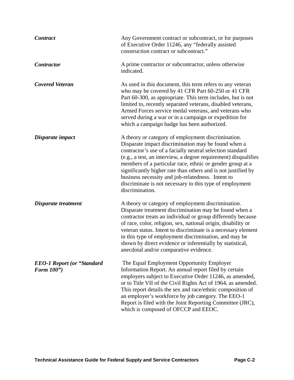| <b>Contract</b>                                 | Any Government contract or subcontract, or for purposes<br>of Executive Order 11246, any "federally assisted<br>construction contract or subcontract."                                                                                                                                                                                                                                                                                                                                                      |  |  |
|-------------------------------------------------|-------------------------------------------------------------------------------------------------------------------------------------------------------------------------------------------------------------------------------------------------------------------------------------------------------------------------------------------------------------------------------------------------------------------------------------------------------------------------------------------------------------|--|--|
| <b>Contractor</b>                               | A prime contractor or subcontractor, unless otherwise<br>indicated.                                                                                                                                                                                                                                                                                                                                                                                                                                         |  |  |
| <b>Covered Veteran</b>                          | As used in this document, this term refers to any veteran<br>who may be covered by 41 CFR Part 60-250 or 41 CFR<br>Part 60-300, as appropriate. This term includes, but is not<br>limited to, recently separated veterans, disabled veterans,<br>Armed Forces service medal veterans, and veterans who<br>served during a war or in a campaign or expedition for<br>which a campaign badge has been authorized.                                                                                             |  |  |
| Disparate impact                                | A theory or category of employment discrimination.<br>Disparate impact discrimination may be found when a<br>contractor's use of a facially neutral selection standard<br>(e.g., a test, an interview, a degree requirement) disqualifies<br>members of a particular race, ethnic or gender group at a<br>significantly higher rate than others and is not justified by<br>business necessity and job-relatedness. Intent to<br>discriminate is not necessary to this type of employment<br>discrimination. |  |  |
| Disparate treatment                             | A theory or category of employment discrimination.<br>Disparate treatment discrimination may be found when a<br>contractor treats an individual or group differently because<br>of race, color, religion, sex, national origin, disability or<br>veteran status. Intent to discriminate is a necessary element<br>in this type of employment discrimination, and may be<br>shown by direct evidence or inferentially by statistical,<br>anecdotal and/or comparative evidence.                              |  |  |
| <b>EEO-1 Report (or "Standard</b><br>Form 100") | The Equal Employment Opportunity Employer<br>Information Report. An annual report filed by certain<br>employers subject to Executive Order 11246, as amended,<br>or to Title VII of the Civil Rights Act of 1964, as amended.<br>This report details the sex and race/ethnic composition of<br>an employer's workforce by job category. The EEO-1<br>Report is filed with the Joint Reporting Committee (JRC),<br>which is composed of OFCCP and EEOC.                                                      |  |  |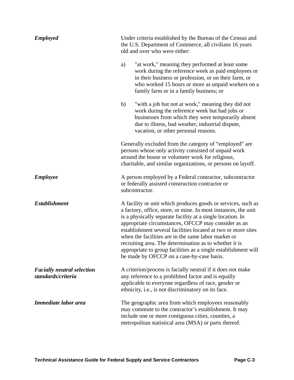| <b>Employed</b>                                         | Under criteria established by the Bureau of the Census and<br>the U.S. Department of Commerce, all civilians 16 years<br>old and over who were either:                                                                                                                                                                                                                                                                                                                                                                                               |  |  |
|---------------------------------------------------------|------------------------------------------------------------------------------------------------------------------------------------------------------------------------------------------------------------------------------------------------------------------------------------------------------------------------------------------------------------------------------------------------------------------------------------------------------------------------------------------------------------------------------------------------------|--|--|
|                                                         | "at work," meaning they performed at least some<br>a)<br>work during the reference week as paid employees or<br>in their business or profession, or on their farm, or<br>who worked 15 hours or more as unpaid workers on a<br>family farm or in a family business; or                                                                                                                                                                                                                                                                               |  |  |
|                                                         | "with a job but not at work," meaning they did not<br>b)<br>work during the reference week but had jobs or<br>businesses from which they were temporarily absent<br>due to illness, bad weather, industrial dispute,<br>vacation, or other personal reasons.                                                                                                                                                                                                                                                                                         |  |  |
|                                                         | Generally excluded from the category of "employed" are<br>persons whose only activity consisted of unpaid work<br>around the house or volunteer work for religious,<br>charitable, and similar organizations, or persons on layoff.                                                                                                                                                                                                                                                                                                                  |  |  |
| <b>Employee</b>                                         | A person employed by a Federal contractor, subcontractor<br>or federally assisted construction contractor or<br>subcontractor.                                                                                                                                                                                                                                                                                                                                                                                                                       |  |  |
| <b>Establishment</b>                                    | A facility or unit which produces goods or services, such as<br>a factory, office, store, or mine. In most instances, the unit<br>is a physically separate facility at a single location. In<br>appropriate circumstances, OFCCP may consider as an<br>establishment several facilities located at two or more sites<br>when the facilities are in the same labor market or<br>recruiting area. The determination as to whether it is<br>appropriate to group facilities as a single establishment will<br>be made by OFCCP on a case-by-case basis. |  |  |
| <b>Facially neutral selection</b><br>standards/criteria | A criterion/process is facially neutral if it does not make<br>any reference to a prohibited factor and is equally<br>applicable to everyone regardless of race, gender or<br>ethnicity, i.e., is not discriminatory on its face.                                                                                                                                                                                                                                                                                                                    |  |  |
| Immediate labor area                                    | The geographic area from which employees reasonably<br>may commute to the contractor's establishment. It may<br>include one or more contiguous cities, counties, a<br>metropolitan statistical area (MSA) or parts thereof.                                                                                                                                                                                                                                                                                                                          |  |  |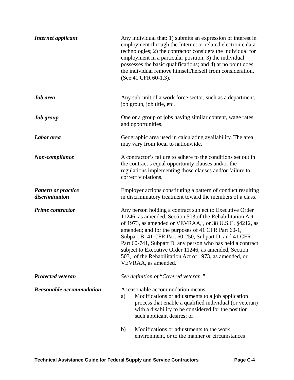| <b>Internet applicant</b>                    | Any individual that: 1) submits an expression of interest in<br>employment through the Internet or related electronic data<br>technologies; 2) the contractor considers the individual for<br>employment in a particular position; 3) the individual<br>possesses the basic qualifications; and 4) at no point does<br>the individual remove himself/herself from consideration.<br>(See 41 CFR 60-1.3).                                                                                               |  |  |
|----------------------------------------------|--------------------------------------------------------------------------------------------------------------------------------------------------------------------------------------------------------------------------------------------------------------------------------------------------------------------------------------------------------------------------------------------------------------------------------------------------------------------------------------------------------|--|--|
| <b>Job</b> area                              | Any sub-unit of a work force sector, such as a department,<br>job group, job title, etc.                                                                                                                                                                                                                                                                                                                                                                                                               |  |  |
| Job group                                    | One or a group of jobs having similar content, wage rates<br>and opportunities.                                                                                                                                                                                                                                                                                                                                                                                                                        |  |  |
| Labor area                                   | Geographic area used in calculating availability. The area<br>may vary from local to nationwide.                                                                                                                                                                                                                                                                                                                                                                                                       |  |  |
| Non-compliance                               | A contractor's failure to adhere to the conditions set out in<br>the contract's equal opportunity clauses and/or the<br>regulations implementing those clauses and/or failure to<br>correct violations.                                                                                                                                                                                                                                                                                                |  |  |
| <b>Pattern or practice</b><br>discrimination | Employer actions constituting a pattern of conduct resulting<br>in discriminatory treatment toward the members of a class.                                                                                                                                                                                                                                                                                                                                                                             |  |  |
| <b>Prime contractor</b>                      | Any person holding a contract subject to Executive Order<br>11246, as amended, Section 503, of the Rehabilitation Act<br>of 1973, as amended or VEVRAA, , or 38 U.S.C. §4212, as<br>amended; and for the purposes of 41 CFR Part 60-1,<br>Subpart B; 41 CFR Part 60-250, Subpart D; and 41 CFR<br>Part 60-741, Subpart D, any person who has held a contract<br>subject to Executive Order 11246, as amended, Section<br>503, of the Rehabilitation Act of 1973, as amended, or<br>VEVRAA, as amended. |  |  |
| <b>Protected veteran</b>                     | See definition of "Covered veteran."                                                                                                                                                                                                                                                                                                                                                                                                                                                                   |  |  |
| <b>Reasonable accommodation</b>              | A reasonable accommodation means:<br>Modifications or adjustments to a job application<br>a)<br>process that enable a qualified individual (or veteran)<br>with a disability to be considered for the position<br>such applicant desires; or                                                                                                                                                                                                                                                           |  |  |
|                                              | Modifications or adjustments to the work<br>b)<br>environment, or to the manner or circumstances                                                                                                                                                                                                                                                                                                                                                                                                       |  |  |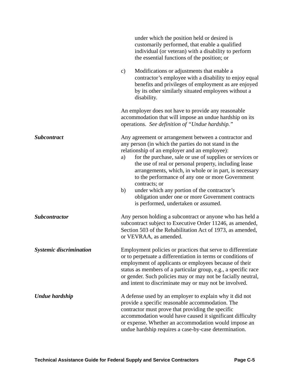|                                | under which the position held or desired is<br>customarily performed, that enable a qualified<br>individual (or veteran) with a disability to perform<br>the essential functions of the position; or                                                                                                                                                                                                                                                                                                                                                                       |  |  |
|--------------------------------|----------------------------------------------------------------------------------------------------------------------------------------------------------------------------------------------------------------------------------------------------------------------------------------------------------------------------------------------------------------------------------------------------------------------------------------------------------------------------------------------------------------------------------------------------------------------------|--|--|
|                                | Modifications or adjustments that enable a<br>$\mathbf{c})$<br>contractor's employee with a disability to enjoy equal<br>benefits and privileges of employment as are enjoyed<br>by its other similarly situated employees without a<br>disability.                                                                                                                                                                                                                                                                                                                        |  |  |
|                                | An employer does not have to provide any reasonable<br>accommodation that will impose an undue hardship on its<br>operations. See definition of "Undue hardship."                                                                                                                                                                                                                                                                                                                                                                                                          |  |  |
| <b>Subcontract</b>             | Any agreement or arrangement between a contractor and<br>any person (in which the parties do not stand in the<br>relationship of an employer and an employee):<br>for the purchase, sale or use of supplies or services or<br>a)<br>the use of real or personal property, including lease<br>arrangements, which, in whole or in part, is necessary<br>to the performance of any one or more Government<br>contracts; or<br>under which any portion of the contractor's<br>b)<br>obligation under one or more Government contracts<br>is performed, undertaken or assumed. |  |  |
| <b>Subcontractor</b>           | Any person holding a subcontract or anyone who has held a<br>subcontract subject to Executive Order 11246, as amended,<br>Section 503 of the Rehabilitation Act of 1973, as amended,<br>or VEVRAA, as amended.                                                                                                                                                                                                                                                                                                                                                             |  |  |
| <b>Systemic discrimination</b> | Employment policies or practices that serve to differentiate<br>or to perpetuate a differentiation in terms or conditions of<br>employment of applicants or employees because of their<br>status as members of a particular group, e.g., a specific race<br>or gender. Such policies may or may not be facially neutral,<br>and intent to discriminate may or may not be involved.                                                                                                                                                                                         |  |  |
| Undue hardship                 | A defense used by an employer to explain why it did not<br>provide a specific reasonable accommodation. The<br>contractor must prove that providing the specific<br>accommodation would have caused it significant difficulty<br>or expense. Whether an accommodation would impose an<br>undue hardship requires a case-by-case determination.                                                                                                                                                                                                                             |  |  |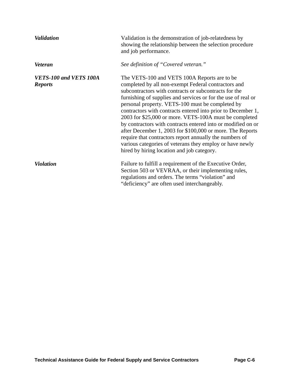| <b>Validation</b>                        | Validation is the demonstration of job-relatedness by<br>showing the relationship between the selection procedure<br>and job performance.                                                                                                                                                                                                                                                                                                                                                                                                                                                                                                                                                                     |
|------------------------------------------|---------------------------------------------------------------------------------------------------------------------------------------------------------------------------------------------------------------------------------------------------------------------------------------------------------------------------------------------------------------------------------------------------------------------------------------------------------------------------------------------------------------------------------------------------------------------------------------------------------------------------------------------------------------------------------------------------------------|
| <b>Veteran</b>                           | See definition of "Covered veteran."                                                                                                                                                                                                                                                                                                                                                                                                                                                                                                                                                                                                                                                                          |
| VETS-100 and VETS 100A<br><b>Reports</b> | The VETS-100 and VETS 100A Reports are to be<br>completed by all non-exempt Federal contractors and<br>subcontractors with contracts or subcontracts for the<br>furnishing of supplies and services or for the use of real or<br>personal property. VETS-100 must be completed by<br>contractors with contracts entered into prior to December 1,<br>2003 for \$25,000 or more. VETS-100A must be completed<br>by contractors with contracts entered into or modified on or<br>after December 1, 2003 for \$100,000 or more. The Reports<br>require that contractors report annually the numbers of<br>various categories of veterans they employ or have newly<br>hired by hiring location and job category. |
| <b>Violation</b>                         | Failure to fulfill a requirement of the Executive Order,<br>Section 503 or VEVRAA, or their implementing rules,<br>regulations and orders. The terms "violation" and<br>"deficiency" are often used interchangeably.                                                                                                                                                                                                                                                                                                                                                                                                                                                                                          |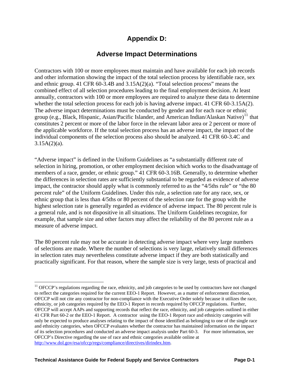# **Appendix D:**

## **Adverse Impact Determinations**

Contractors with 100 or more employees must maintain and have available for each job records and other information showing the impact of the total selection process by identifiable race, sex and ethnic group. 41 CFR 60-3.4B and 3.15A(2)(a). "Total selection process" means the combined effect of all selection procedures leading to the final employment decision. At least annually, contractors with 100 or more employees are required to analyze these data to determine whether the total selection process for each job is having adverse impact. 41 CFR 60-3.15A(2). The adverse impact determinations must be conducted by gender and for each race or ethnic group (e.g., Black, Hispanic, Asian/Pacific Islander, and American Indian/Alaskan Native)<sup>11</sup> that constitutes 2 percent or more of the labor force in the relevant labor area or 2 percent or more of the applicable workforce. If the total selection process has an adverse impact, the impact of the individual components of the selection process also should be analyzed. 41 CFR 60-3.4C and  $3.15A(2)(a)$ .

"Adverse impact" is defined in the Uniform Guidelines as "a substantially different rate of selection in hiring, promotion, or other employment decision which works to the disadvantage of members of a race, gender, or ethnic group." 41 CFR 60-3.16B. Generally, to determine whether the differences in selection rates are sufficiently substantial to be regarded as evidence of adverse impact, the contractor should apply what is commonly referred to as the "4/5ths rule" or "the 80 percent rule" of the Uniform Guidelines. Under this rule, a selection rate for any race, sex, or ethnic group that is less than 4/5ths or 80 percent of the selection rate for the group with the highest selection rate is generally regarded as evidence of adverse impact. The 80 percent rule is a general rule, and is not dispositive in all situations. The Uniform Guidelines recognize, for example, that sample size and other factors may affect the reliability of the 80 percent rule as a measure of adverse impact.

The 80 percent rule may not be accurate in detecting adverse impact where very large numbers of selections are made. Where the number of selections is very large, relatively small differences in selection rates may nevertheless constitute adverse impact if they are both statistically and practically significant. For that reason, where the sample size is very large, tests of practical and

 $\overline{a}$ 

<sup>&</sup>lt;sup>11</sup> OFCCP's regulations regarding the race, ethnicity, and job categories to be used by contractors have not changed to reflect the categories required for the current EEO-1 Report. However, as a matter of enforcement discretion, OFCCP will not cite any contractor for non-compliance with the Executive Order solely because it utilizes the race, ethnicity, or job categories required by the EEO-1 Report in records required by OFCCP regulations. Further, OFCCP will accept AAPs and supporting records that reflect the race, ethnicity, and job categories outlined in either 41 CFR Part 60-2 or the EEO-1 Report. A contractor using the EEO-1 Report race and ethnicity categories will only be expected to produce analyses relating to the impact of those identified as belonging to one of the single race and ethnicity categories, when OFCCP evaluates whether the contractor has maintained information on the impact of its selection procedures and conducted an adverse impact analysis under Part 60-3. For more information, see OFCCP's Directive regarding the use of race and ethnic categories available online at [http://www.dol.gov/esa/ofccp/regs/compliance/directives/dirindex.htm.](http://www.dol.gov/esa/ofccp/regs/compliance/directives/dirindex.htm)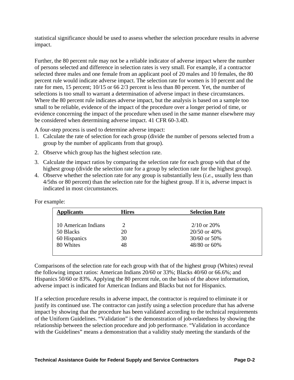statistical significance should be used to assess whether the selection procedure results in adverse impact.

Further, the 80 percent rule may not be a reliable indicator of adverse impact where the number of persons selected and difference in selection rates is very small. For example, if a contractor selected three males and one female from an applicant pool of 20 males and 10 females, the 80 percent rule would indicate adverse impact. The selection rate for women is 10 percent and the rate for men, 15 percent; 10/15 or 66 2/3 percent is less than 80 percent. Yet, the number of selections is too small to warrant a determination of adverse impact in these circumstances. Where the 80 percent rule indicates adverse impact, but the analysis is based on a sample too small to be reliable, evidence of the impact of the procedure over a longer period of time, or evidence concerning the impact of the procedure when used in the same manner elsewhere may be considered when determining adverse impact. 41 CFR 60-3.4D.

A four-step process is used to determine adverse impact:

- 1. Calculate the rate of selection for each group (divide the number of persons selected from a group by the number of applicants from that group).
- 2. Observe which group has the highest selection rate.
- 3. Calculate the impact ratios by comparing the selection rate for each group with that of the highest group (divide the selection rate for a group by selection rate for the highest group).
- 4. Observe whether the selection rate for any group is substantially less (*i.e.*, usually less than 4/5ths or 80 percent) than the selection rate for the highest group. If it is, adverse impact is indicated in most circumstances.

| <b>Hires</b> | <b>Selection Rate</b> |                  |
|--------------|-----------------------|------------------|
|              |                       |                  |
| 20           | 20/50 or 40%          |                  |
| 30           | 30/60 or 50%          |                  |
| 48           | 48/80 or 60%          |                  |
|              |                       | $2/10$ or $20\%$ |

For example:

Comparisons of the selection rate for each group with that of the highest group (Whites) reveal the following impact ratios: American Indians 20/60 or 33%; Blacks 40/60 or 66.6%; and Hispanics 50/60 or 83%. Applying the 80 percent rule, on the basis of the above information, adverse impact is indicated for American Indians and Blacks but not for Hispanics.

If a selection procedure results in adverse impact, the contractor is required to eliminate it or justify its continued use. The contractor can justify using a selection procedure that has adverse impact by showing that the procedure has been validated according to the technical requirements of the Uniform Guidelines. "Validation" is the demonstration of job-relatedness by showing the relationship between the selection procedure and job performance. "Validation in accordance with the Guidelines" means a demonstration that a validity study meeting the standards of the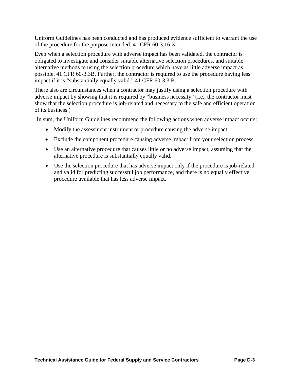Uniform Guidelines has been conducted and has produced evidence sufficient to warrant the use of the procedure for the purpose intended. 41 CFR 60-3.16 X.

Even when a selection procedure with adverse impact has been validated, the contractor is obligated to investigate and consider suitable alternative selection procedures, and suitable alternative methods to using the selection procedure which have as little adverse impact as possible. 41 CFR 60-3.3B. Further, the contractor is required to use the procedure having less impact if it is "substantially equally valid." 41 CFR 60-3.3 B.

There also are circumstances when a contractor may justify using a selection procedure with adverse impact by showing that it is required by "business necessity" (i.e., the contractor must show that the selection procedure is job-related and necessary to the safe and efficient operation of its business.)

In sum, the Uniform Guidelines recommend the following actions when adverse impact occurs:

- Modify the assessment instrument or procedure causing the adverse impact.
- Exclude the component procedure causing adverse impact from your selection process.
- Use an alternative procedure that causes little or no adverse impact, assuming that the alternative procedure is substantially equally valid.
- Use the selection procedure that has adverse impact only if the procedure is job-related and valid for predicting successful job performance, and there is no equally effective procedure available that has less adverse impact.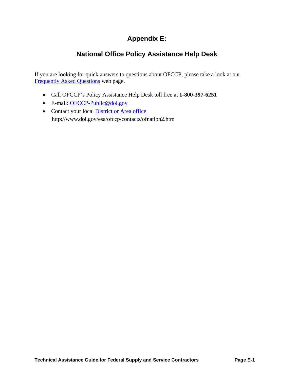# **Appendix E:**

# **National Office Policy Assistance Help Desk**

If you are looking for quick answers to questions about OFCCP, please take a look at our [Frequently Asked Questions](http://www.dol.gov/esa/ofccp/regs/compliance/faqs/offaqs.htm) web page.

- Call OFCCP's Policy Assistance Help Desk toll free at **1-800-397-6251**
- E-mail: OFCCP-Public@dol.gov
- Contact your local District or Area office http://www.dol.gov/esa/ofccp/contacts/ofnation2.htm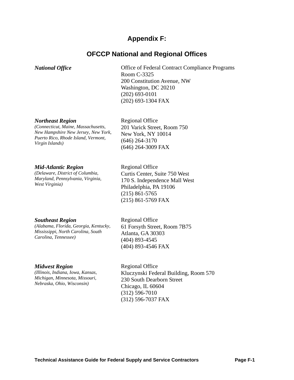## **Appendix F:**

## **OFCCP National and Regional Offices**

*National Office* **Contract Contract Compliance Programs** Office of Federal Contract Compliance Programs Room C-3325 200 Constitution Avenue, NW Washington, DC 20210 (202) 693-0101 (202) 693-1304 FAX

#### *Northeast Region*

*(Connecticut, Maine, Massachusetts, New Hampshire New Jersey, New York, Puerto Rico, Rhode Island, Vermont, Virgin Islands)*

Regional Office 201 Varick Street, Room 750 New York, NY 10014 (646) 264-3170 (646) 264-3009 FAX

#### *Mid-Atlantic Region*

*(Delaware, District of Columbia, Maryland, Pennsylvania, Virginia, West Virginia)*

Regional Office Curtis Center, Suite 750 West 170 S. Independence Mall West Philadelphia, PA 19106 (215) 861-5765 (215) 861-5769 FAX

#### *Southeast Region*

*(Alabama, Florida, Georgia, Kentucky, Mississippi, North Carolina, South Carolina, Tennessee)*

Regional Office 61 Forsyth Street, Room 7B75 Atlanta, GA 30303 (404) 893-4545 (404) 893-4546 FAX

#### *Midwest Region* Regional Office

*(Illinois, Indiana, Iowa, Kansas, Michigan, Minnesota, Missouri, Nebraska, Ohio, Wisconsin)*

Kluczynski Federal Building, Room 570 230 South Dearborn Street Chicago, IL 60604 (312) 596-7010 (312) 596-7037 FAX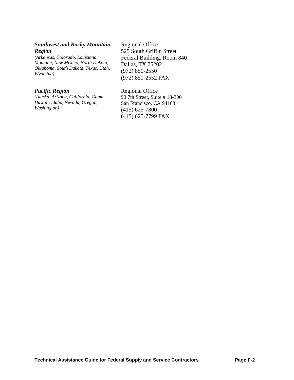#### *Southwest and Rocky Mountain Region*

*(Arkansas, Colorado, Louisiana, Montana, New Mexico, North Dakota, Oklahoma, South Dakota, Texas, Utah, Wyoming)*

*(Alaska, Arizona, California, Guam, Hawaii, Idaho, Nevada, Oregon, Washington)*

Regional Office 525 South Griffin Street Federal Building, Room 840 Dallas, TX 75202 (972) 850-2550 (972) 850-2552 FAX

*Pacific Region* Regional Office 90 7th Street, Suite # 18-300 San Francisco, CA 94103

> (415) 625-7800 (415) 625-7799 FAX